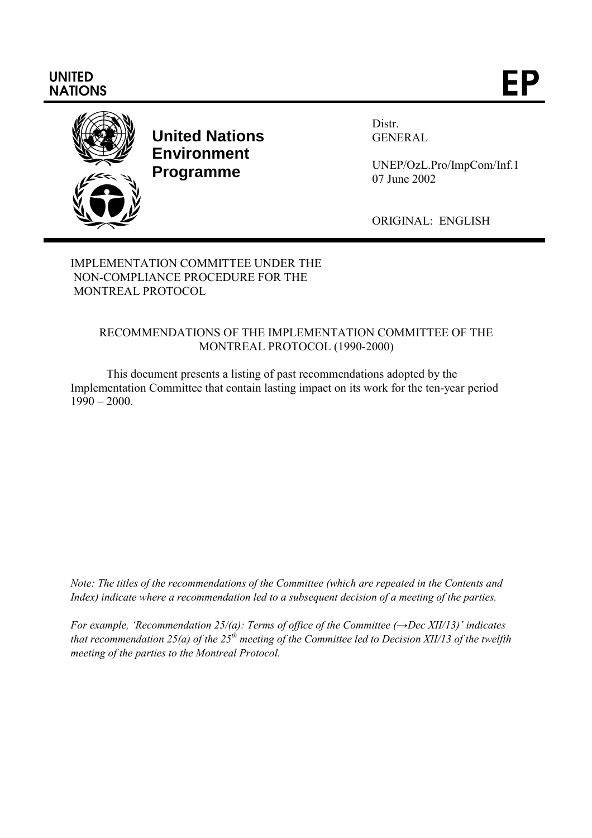# **UNITED** UNITED<br>NATIONS **EP**



**United Nations Environment Programme**

Distr. GENERAL

UNEP/OzL.Pro/ImpCom/Inf.1 07 June 2002

ORIGINAL: ENGLISH

IMPLEMENTATION COMMITTEE UNDER THE NON-COMPLIANCE PROCEDURE FOR THE MONTREAL PROTOCOL

# RECOMMENDATIONS OF THE IMPLEMENTATION COMMITTEE OF THE MONTREAL PROTOCOL (1990-2000)

This document presents a listing of past recommendations adopted by the Implementation Committee that contain lasting impact on its work for the ten-year period  $1990 - 2000$ .

*Note: The titles of the recommendations of the Committee (which are repeated in the Contents and Index) indicate where a recommendation led to a subsequent decision of a meeting of the parties.*

*For example, 'Recommendation 25/(a): Terms of office of the Committee (→Dec XII/13)' indicates that recommendation 25(a) of the 25th meeting of the Committee led to Decision XII/13 of the twelfth meeting of the parties to the Montreal Protocol.*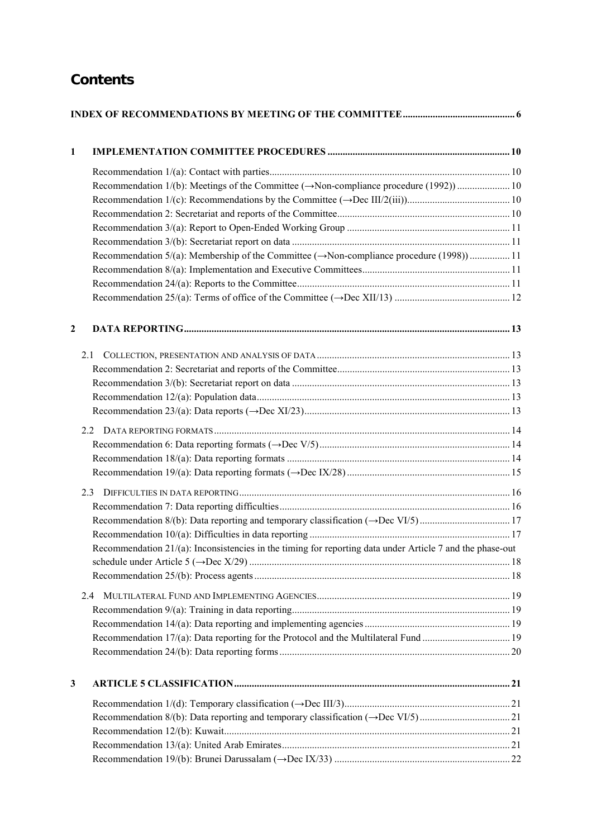# **Contents**

| 1                |                                                                                                              |  |  |
|------------------|--------------------------------------------------------------------------------------------------------------|--|--|
|                  |                                                                                                              |  |  |
|                  |                                                                                                              |  |  |
|                  |                                                                                                              |  |  |
|                  |                                                                                                              |  |  |
|                  |                                                                                                              |  |  |
|                  |                                                                                                              |  |  |
|                  |                                                                                                              |  |  |
|                  | Recommendation $5/(a)$ : Membership of the Committee ( $\rightarrow$ Non-compliance procedure (1998)) 11     |  |  |
|                  |                                                                                                              |  |  |
|                  |                                                                                                              |  |  |
|                  |                                                                                                              |  |  |
| $\boldsymbol{2}$ |                                                                                                              |  |  |
|                  | 2.1                                                                                                          |  |  |
|                  |                                                                                                              |  |  |
|                  |                                                                                                              |  |  |
|                  |                                                                                                              |  |  |
|                  |                                                                                                              |  |  |
|                  | 2.2                                                                                                          |  |  |
|                  |                                                                                                              |  |  |
|                  |                                                                                                              |  |  |
|                  |                                                                                                              |  |  |
|                  |                                                                                                              |  |  |
|                  | 2.3                                                                                                          |  |  |
|                  |                                                                                                              |  |  |
|                  |                                                                                                              |  |  |
|                  |                                                                                                              |  |  |
|                  | Recommendation $21/(a)$ : Inconsistencies in the timing for reporting data under Article 7 and the phase-out |  |  |
|                  |                                                                                                              |  |  |
|                  |                                                                                                              |  |  |
|                  | 2.4                                                                                                          |  |  |
|                  |                                                                                                              |  |  |
|                  |                                                                                                              |  |  |
|                  |                                                                                                              |  |  |
|                  |                                                                                                              |  |  |
|                  |                                                                                                              |  |  |
| 3                |                                                                                                              |  |  |
|                  |                                                                                                              |  |  |
|                  |                                                                                                              |  |  |
|                  |                                                                                                              |  |  |
|                  |                                                                                                              |  |  |
|                  |                                                                                                              |  |  |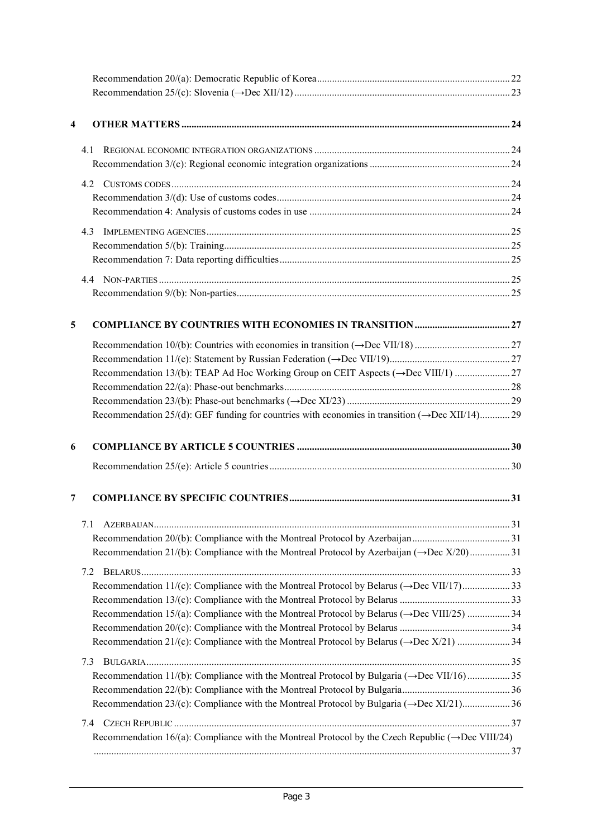| 4 |                                                                                                                 |  |
|---|-----------------------------------------------------------------------------------------------------------------|--|
|   |                                                                                                                 |  |
|   | 41                                                                                                              |  |
|   |                                                                                                                 |  |
|   | 4.2                                                                                                             |  |
|   |                                                                                                                 |  |
|   |                                                                                                                 |  |
|   | 4.3                                                                                                             |  |
|   |                                                                                                                 |  |
|   |                                                                                                                 |  |
|   |                                                                                                                 |  |
|   |                                                                                                                 |  |
| 5 |                                                                                                                 |  |
|   |                                                                                                                 |  |
|   |                                                                                                                 |  |
|   |                                                                                                                 |  |
|   |                                                                                                                 |  |
|   |                                                                                                                 |  |
|   | Recommendation 25/(d): GEF funding for countries with economies in transition $(\rightarrow$ Dec XII/14)29      |  |
| 6 |                                                                                                                 |  |
|   |                                                                                                                 |  |
| 7 |                                                                                                                 |  |
|   | 7.1                                                                                                             |  |
|   |                                                                                                                 |  |
|   | Recommendation 21/(b): Compliance with the Montreal Protocol by Azerbaijan $(\rightarrow$ Dec X/20)31           |  |
|   | 7.2                                                                                                             |  |
|   | Recommendation 11/(c): Compliance with the Montreal Protocol by Belarus ( $\rightarrow$ Dec VII/17)33           |  |
|   |                                                                                                                 |  |
|   | Recommendation 15/(a): Compliance with the Montreal Protocol by Belarus (→Dec VIII/25)  34                      |  |
|   |                                                                                                                 |  |
|   |                                                                                                                 |  |
|   | 7.3                                                                                                             |  |
|   | Recommendation 11/(b): Compliance with the Montreal Protocol by Bulgaria ( $\rightarrow$ Dec VII/16)35          |  |
|   |                                                                                                                 |  |
|   | Recommendation 23/(c): Compliance with the Montreal Protocol by Bulgaria $(\rightarrow$ Dec XI/21)36            |  |
|   | 7.4                                                                                                             |  |
|   | Recommendation 16/(a): Compliance with the Montreal Protocol by the Czech Republic ( $\rightarrow$ Dec VIII/24) |  |
|   |                                                                                                                 |  |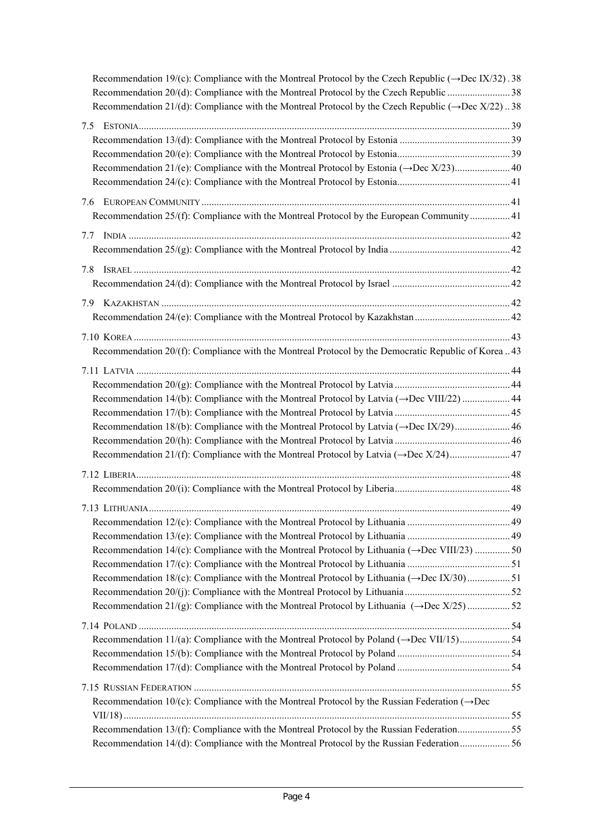| Recommendation 19/(c): Compliance with the Montreal Protocol by the Czech Republic ( $\rightarrow$ Dec IX/32). 38 |  |
|-------------------------------------------------------------------------------------------------------------------|--|
|                                                                                                                   |  |
| Recommendation 21/(d): Compliance with the Montreal Protocol by the Czech Republic ( $\rightarrow$ Dec X/22)38    |  |
| 7.5                                                                                                               |  |
|                                                                                                                   |  |
|                                                                                                                   |  |
|                                                                                                                   |  |
|                                                                                                                   |  |
|                                                                                                                   |  |
| Recommendation 25/(f): Compliance with the Montreal Protocol by the European Community 41                         |  |
|                                                                                                                   |  |
| 7.7                                                                                                               |  |
|                                                                                                                   |  |
| 7.8                                                                                                               |  |
|                                                                                                                   |  |
|                                                                                                                   |  |
|                                                                                                                   |  |
|                                                                                                                   |  |
|                                                                                                                   |  |
| Recommendation 20/(f): Compliance with the Montreal Protocol by the Democratic Republic of Korea  43              |  |
|                                                                                                                   |  |
|                                                                                                                   |  |
| Recommendation 14/(b): Compliance with the Montreal Protocol by Latvia $(\rightarrow$ Dec VIII/22)  44            |  |
|                                                                                                                   |  |
|                                                                                                                   |  |
|                                                                                                                   |  |
|                                                                                                                   |  |
|                                                                                                                   |  |
|                                                                                                                   |  |
|                                                                                                                   |  |
|                                                                                                                   |  |
|                                                                                                                   |  |
| Recommendation 14/(c): Compliance with the Montreal Protocol by Lithuania ( $\rightarrow$ Dec VIII/23) 50         |  |
|                                                                                                                   |  |
| Recommendation 18/(c): Compliance with the Montreal Protocol by Lithuania ( $\rightarrow$ Dec IX/30) 51           |  |
|                                                                                                                   |  |
| Recommendation 21/(g): Compliance with the Montreal Protocol by Lithuania $(\rightarrow$ Dec X/25)52              |  |
|                                                                                                                   |  |
|                                                                                                                   |  |
|                                                                                                                   |  |
|                                                                                                                   |  |
|                                                                                                                   |  |
|                                                                                                                   |  |
| Recommendation 10/(c): Compliance with the Montreal Protocol by the Russian Federation ( $\rightarrow$ Dec        |  |
|                                                                                                                   |  |
| Recommendation 13/(f): Compliance with the Montreal Protocol by the Russian Federation55                          |  |
| Recommendation 14/(d): Compliance with the Montreal Protocol by the Russian Federation  56                        |  |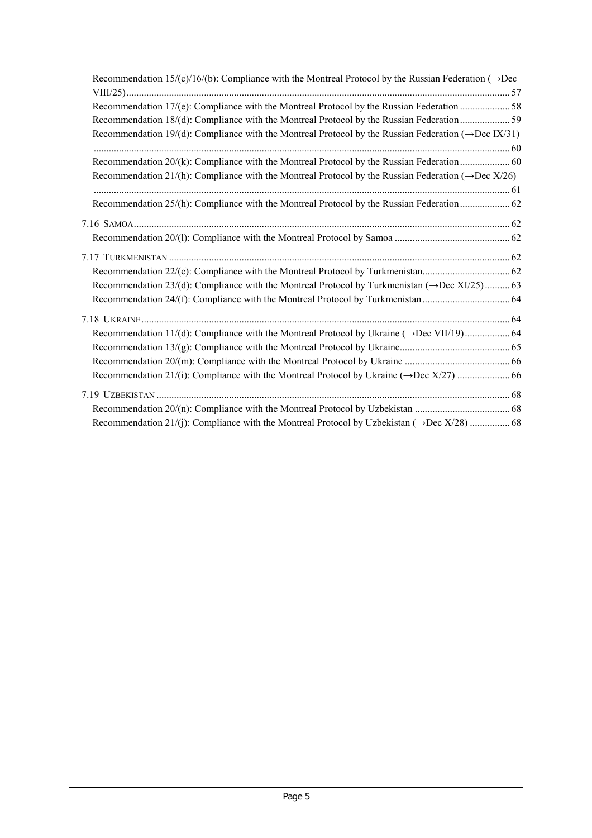| Recommendation 15/(c)/16/(b): Compliance with the Montreal Protocol by the Russian Federation ( $\rightarrow$ Dec |  |
|-------------------------------------------------------------------------------------------------------------------|--|
|                                                                                                                   |  |
| Recommendation 18/(d): Compliance with the Montreal Protocol by the Russian Federation59                          |  |
| Recommendation 19/(d): Compliance with the Montreal Protocol by the Russian Federation ( $\rightarrow$ Dec IX/31) |  |
|                                                                                                                   |  |
| Recommendation 20/(k): Compliance with the Montreal Protocol by the Russian Federation  60                        |  |
| Recommendation 21/(h): Compliance with the Montreal Protocol by the Russian Federation ( $\rightarrow$ Dec X/26)  |  |
|                                                                                                                   |  |
| Recommendation 25/(h): Compliance with the Montreal Protocol by the Russian Federation  62                        |  |
|                                                                                                                   |  |
|                                                                                                                   |  |
|                                                                                                                   |  |
|                                                                                                                   |  |
|                                                                                                                   |  |
| Recommendation 23/(d): Compliance with the Montreal Protocol by Turkmenistan $(\rightarrow$ Dec XI/25)63          |  |
|                                                                                                                   |  |
|                                                                                                                   |  |
|                                                                                                                   |  |
|                                                                                                                   |  |
|                                                                                                                   |  |
|                                                                                                                   |  |
|                                                                                                                   |  |
|                                                                                                                   |  |
|                                                                                                                   |  |
|                                                                                                                   |  |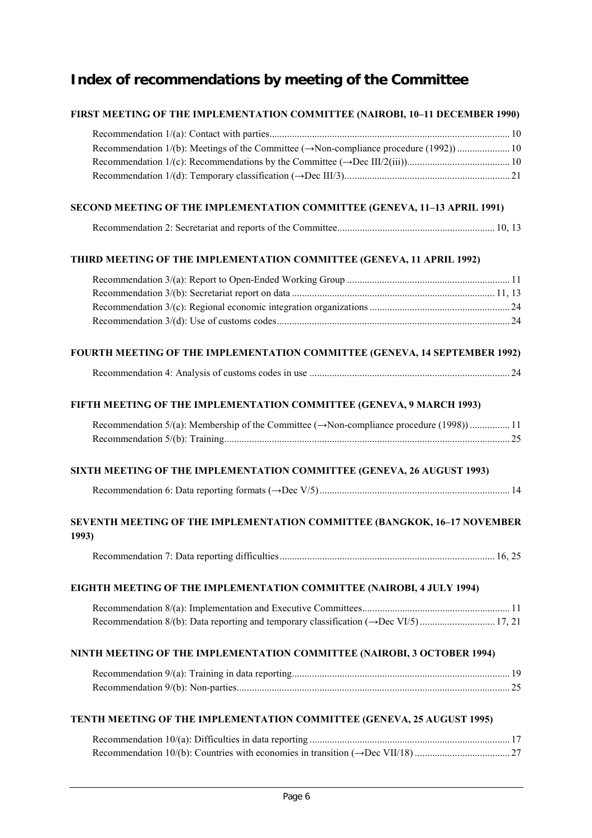# **Index of recommendations by meeting of the Committee**

## **FIRST MEETING OF THE IMPLEMENTATION COMMITTEE (NAIROBI, 10–11 DECEMBER 1990)**

## **SECOND MEETING OF THE IMPLEMENTATION COMMITTEE (GENEVA, 11–13 APRIL 1991)**

|--|--|

## **THIRD MEETING OF THE IMPLEMENTATION COMMITTEE (GENEVA, 11 APRIL 1992)**

# **FOURTH MEETING OF THE IMPLEMENTATION COMMITTEE (GENEVA, 14 SEPTEMBER 1992)**

|--|--|

#### **FIFTH MEETING OF THE IMPLEMENTATION COMMITTEE (GENEVA, 9 MARCH 1993)**

| Recommendation $5/(a)$ : Membership of the Committee ( $\rightarrow$ Non-compliance procedure (1998))11 |  |
|---------------------------------------------------------------------------------------------------------|--|
|                                                                                                         |  |

## **SIXTH MEETING OF THE IMPLEMENTATION COMMITTEE (GENEVA, 26 AUGUST 1993)**

|--|--|--|

## **SEVENTH MEETING OF THE IMPLEMENTATION COMMITTEE (BANGKOK, 16–17 NOVEMBER 1993)**

|--|--|--|

## **EIGHTH MEETING OF THE IMPLEMENTATION COMMITTEE (NAIROBI, 4 JULY 1994)**

## **NINTH MEETING OF THE IMPLEMENTATION COMMITTEE (NAIROBI, 3 OCTOBER 1994)**

#### **TENTH MEETING OF THE IMPLEMENTATION COMMITTEE (GENEVA, 25 AUGUST 1995)**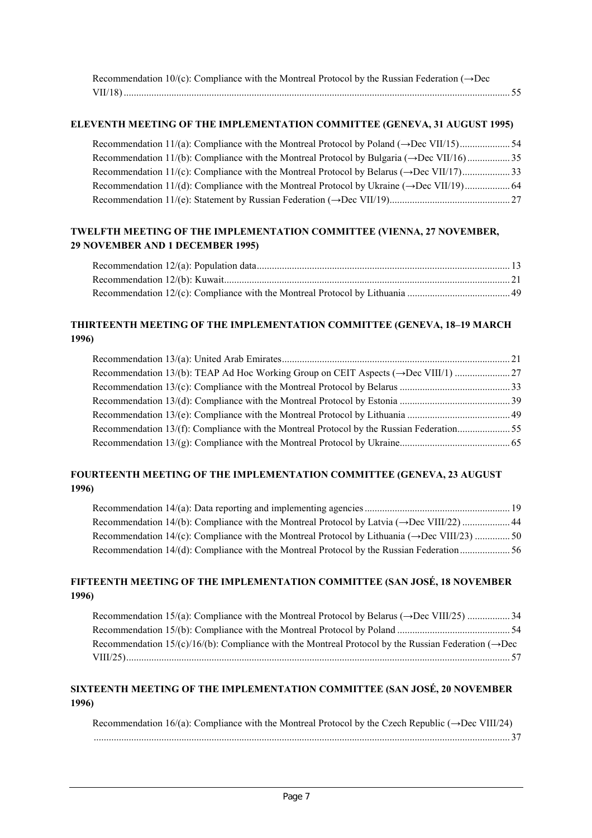| Recommendation 10/(c): Compliance with the Montreal Protocol by the Russian Federation ( $\rightarrow$ Dec |  |
|------------------------------------------------------------------------------------------------------------|--|
|                                                                                                            |  |

#### **ELEVENTH MEETING OF THE IMPLEMENTATION COMMITTEE (GENEVA, 31 AUGUST 1995)**

| Recommendation 11/(c): Compliance with the Montreal Protocol by Belarus ( $\rightarrow$ Dec VII/17)33 |  |
|-------------------------------------------------------------------------------------------------------|--|
|                                                                                                       |  |
|                                                                                                       |  |

#### **TWELFTH MEETING OF THE IMPLEMENTATION COMMITTEE (VIENNA, 27 NOVEMBER, 29 NOVEMBER AND 1 DECEMBER 1995)**

## **THIRTEENTH MEETING OF THE IMPLEMENTATION COMMITTEE (GENEVA, 18–19 MARCH 1996)**

| Recommendation 13/(f): Compliance with the Montreal Protocol by the Russian Federation55 |  |
|------------------------------------------------------------------------------------------|--|
|                                                                                          |  |
|                                                                                          |  |

## **FOURTEENTH MEETING OF THE IMPLEMENTATION COMMITTEE (GENEVA, 23 AUGUST 1996)**

Recommendation 14/(a): Data reporting and implementing agencies .......................................................... 19 Recommendation 14/(b): Compliance with the Montreal Protocol by Latvia (→Dec VIII/22) ................... 44 Recommendation 14/(c): Compliance with the Montreal Protocol by Lithuania (→Dec VIII/23) .............. 50 Recommendation 14/(d): Compliance with the Montreal Protocol by the Russian Federation.................... 56

#### **FIFTEENTH MEETING OF THE IMPLEMENTATION COMMITTEE (SAN JOSÉ, 18 NOVEMBER 1996)**

Recommendation 15/(a): Compliance with the Montreal Protocol by Belarus (→Dec VIII/25) ................. 34 Recommendation 15/(b): Compliance with the Montreal Protocol by Poland ............................................. 54 Recommendation  $15/(c)/16/(b)$ : Compliance with the Montreal Protocol by the Russian Federation ( $\rightarrow$ Dec VIII/25)......................................................................................................................................................... 57

## **SIXTEENTH MEETING OF THE IMPLEMENTATION COMMITTEE (SAN JOSÉ, 20 NOVEMBER 1996)**

Recommendation 16/(a): Compliance with the Montreal Protocol by the Czech Republic (→Dec VIII/24) ...................................................................................................................................................................... 37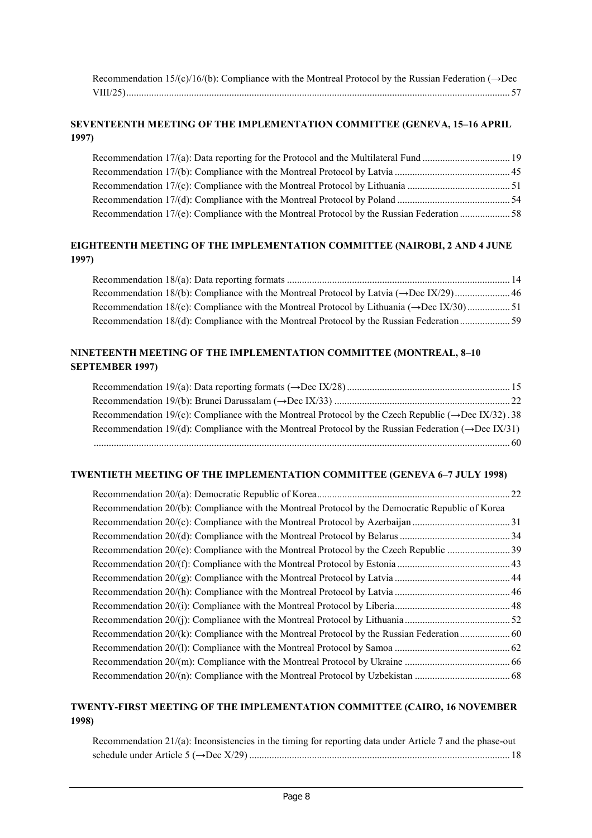| Recommendation 15/(c)/16/(b): Compliance with the Montreal Protocol by the Russian Federation ( $\rightarrow$ Dec |  |
|-------------------------------------------------------------------------------------------------------------------|--|
|                                                                                                                   |  |

## **SEVENTEENTH MEETING OF THE IMPLEMENTATION COMMITTEE (GENEVA, 15–16 APRIL 1997)**

## **EIGHTEENTH MEETING OF THE IMPLEMENTATION COMMITTEE (NAIROBI, 2 AND 4 JUNE 1997)**

Recommendation 18/(a): Data reporting formats ......................................................................................... 14 Recommendation 18/(b): Compliance with the Montreal Protocol by Latvia (→Dec IX/29)...................... 46 Recommendation 18/(c): Compliance with the Montreal Protocol by Lithuania (→Dec IX/30) ................. 51 Recommendation 18/(d): Compliance with the Montreal Protocol by the Russian Federation.................... 59

#### **NINETEENTH MEETING OF THE IMPLEMENTATION COMMITTEE (MONTREAL, 8–10 SEPTEMBER 1997)**

| Recommendation 19/(c): Compliance with the Montreal Protocol by the Czech Republic ( $\rightarrow$ Dec IX/32). 38 |  |
|-------------------------------------------------------------------------------------------------------------------|--|
| Recommendation 19/(d): Compliance with the Montreal Protocol by the Russian Federation ( $\rightarrow$ Dec IX/31) |  |
|                                                                                                                   |  |

#### **TWENTIETH MEETING OF THE IMPLEMENTATION COMMITTEE (GENEVA 6–7 JULY 1998)**

|                                                                                                  | 22 |
|--------------------------------------------------------------------------------------------------|----|
| Recommendation 20/(b): Compliance with the Montreal Protocol by the Democratic Republic of Korea |    |
|                                                                                                  |    |
|                                                                                                  |    |
|                                                                                                  |    |
|                                                                                                  |    |
|                                                                                                  |    |
|                                                                                                  |    |
|                                                                                                  |    |
|                                                                                                  |    |
|                                                                                                  |    |
|                                                                                                  |    |
|                                                                                                  |    |
|                                                                                                  |    |

#### **TWENTY-FIRST MEETING OF THE IMPLEMENTATION COMMITTEE (CAIRO, 16 NOVEMBER 1998)**

| Recommendation 21/(a): Inconsistencies in the timing for reporting data under Article 7 and the phase-out |  |
|-----------------------------------------------------------------------------------------------------------|--|
|                                                                                                           |  |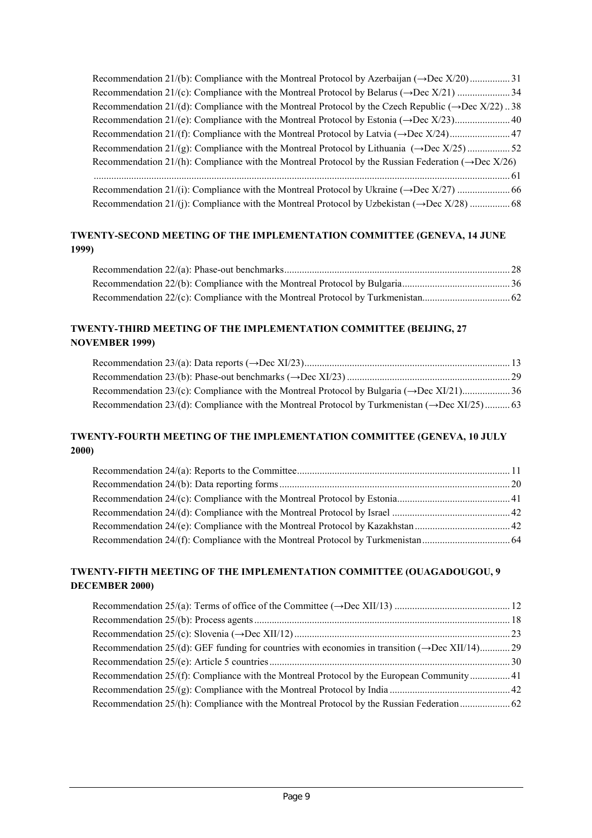| Recommendation 21/(d): Compliance with the Montreal Protocol by the Czech Republic ( $\rightarrow$ Dec X/22)38   |
|------------------------------------------------------------------------------------------------------------------|
|                                                                                                                  |
|                                                                                                                  |
| Recommendation 21/(g): Compliance with the Montreal Protocol by Lithuania $(\rightarrow$ Dec X/25)52             |
| Recommendation 21/(h): Compliance with the Montreal Protocol by the Russian Federation ( $\rightarrow$ Dec X/26) |
|                                                                                                                  |
|                                                                                                                  |
|                                                                                                                  |

## **TWENTY-SECOND MEETING OF THE IMPLEMENTATION COMMITTEE (GENEVA, 14 JUNE 1999)**

## **TWENTY-THIRD MEETING OF THE IMPLEMENTATION COMMITTEE (BEIJING, 27 NOVEMBER 1999)**

## **TWENTY-FOURTH MEETING OF THE IMPLEMENTATION COMMITTEE (GENEVA, 10 JULY 2000)**

## **TWENTY-FIFTH MEETING OF THE IMPLEMENTATION COMMITTEE (OUAGADOUGOU, 9 DECEMBER 2000)**

| Recommendation 25/(d): GEF funding for countries with economies in transition ( $\rightarrow$ Dec XII/14)29 |  |
|-------------------------------------------------------------------------------------------------------------|--|
|                                                                                                             |  |
| Recommendation 25/(f): Compliance with the Montreal Protocol by the European Community 41                   |  |
|                                                                                                             |  |
|                                                                                                             |  |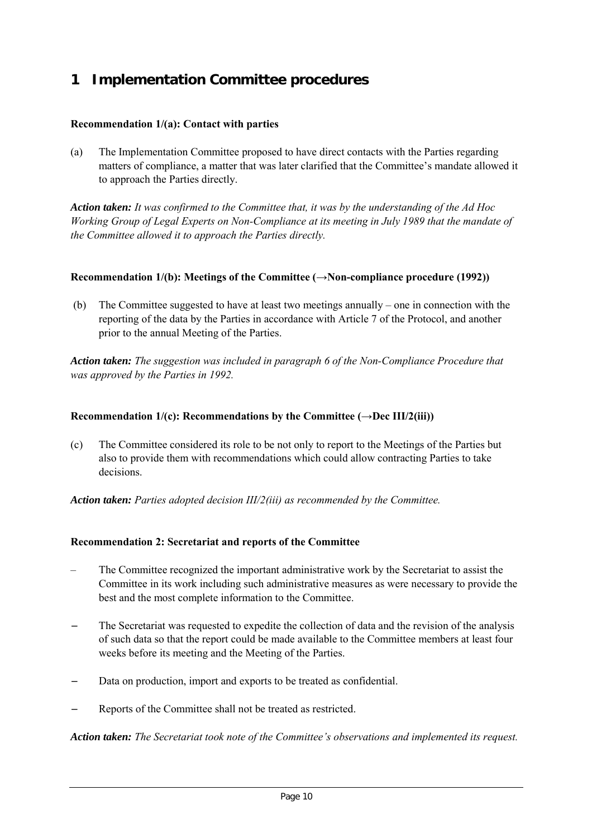# **1 Implementation Committee procedures**

## **Recommendation 1/(a): Contact with parties**

(a) The Implementation Committee proposed to have direct contacts with the Parties regarding matters of compliance, a matter that was later clarified that the Committee's mandate allowed it to approach the Parties directly.

*Action taken: It was confirmed to the Committee that, it was by the understanding of the Ad Hoc Working Group of Legal Experts on Non-Compliance at its meeting in July 1989 that the mandate of the Committee allowed it to approach the Parties directly.*

## **Recommendation 1/(b): Meetings of the Committee (→Non-compliance procedure (1992))**

 (b) The Committee suggested to have at least two meetings annually – one in connection with the reporting of the data by the Parties in accordance with Article 7 of the Protocol, and another prior to the annual Meeting of the Parties.

*Action taken: The suggestion was included in paragraph 6 of the Non-Compliance Procedure that was approved by the Parties in 1992.*

## **Recommendation 1/(c): Recommendations by the Committee (→Dec III/2(iii))**

(c) The Committee considered its role to be not only to report to the Meetings of the Parties but also to provide them with recommendations which could allow contracting Parties to take decisions.

*Action taken: Parties adopted decision III/2(iii) as recommended by the Committee.*

## **Recommendation 2: Secretariat and reports of the Committee**

- The Committee recognized the important administrative work by the Secretariat to assist the Committee in its work including such administrative measures as were necessary to provide the best and the most complete information to the Committee.
- The Secretariat was requested to expedite the collection of data and the revision of the analysis of such data so that the report could be made available to the Committee members at least four weeks before its meeting and the Meeting of the Parties.
- Data on production, import and exports to be treated as confidential.
- Reports of the Committee shall not be treated as restricted.

*Action taken: The Secretariat took note of the Committee's observations and implemented its request.*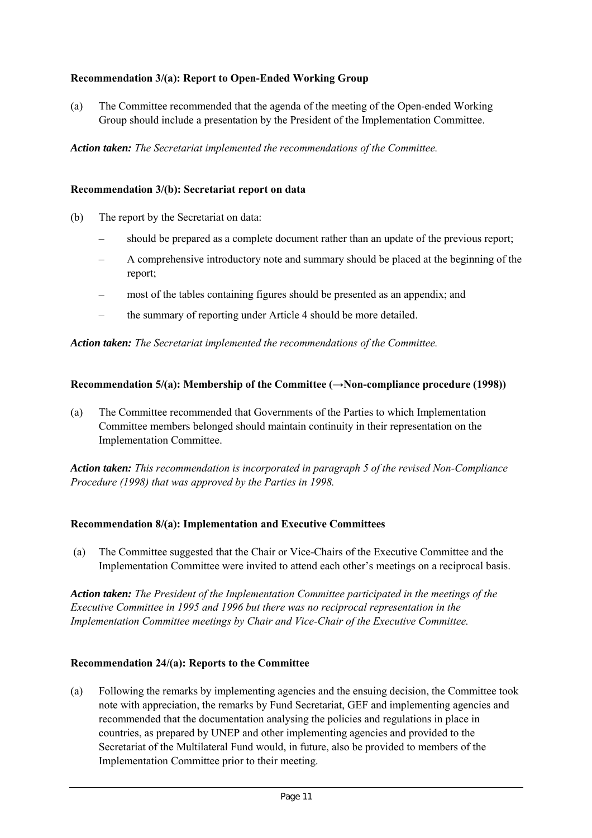## **Recommendation 3/(a): Report to Open-Ended Working Group**

(a) The Committee recommended that the agenda of the meeting of the Open-ended Working Group should include a presentation by the President of the Implementation Committee.

*Action taken: The Secretariat implemented the recommendations of the Committee.*

#### **Recommendation 3/(b): Secretariat report on data**

- (b) The report by the Secretariat on data:
	- should be prepared as a complete document rather than an update of the previous report;
	- A comprehensive introductory note and summary should be placed at the beginning of the report;
	- most of the tables containing figures should be presented as an appendix; and
	- the summary of reporting under Article 4 should be more detailed.

*Action taken: The Secretariat implemented the recommendations of the Committee.*

#### **Recommendation 5/(a): Membership of the Committee (** $\rightarrow$ **Non-compliance procedure (1998))**

(a) The Committee recommended that Governments of the Parties to which Implementation Committee members belonged should maintain continuity in their representation on the Implementation Committee.

*Action taken: This recommendation is incorporated in paragraph 5 of the revised Non-Compliance Procedure (1998) that was approved by the Parties in 1998.*

#### **Recommendation 8/(a): Implementation and Executive Committees**

 (a) The Committee suggested that the Chair or Vice-Chairs of the Executive Committee and the Implementation Committee were invited to attend each other's meetings on a reciprocal basis.

*Action taken: The President of the Implementation Committee participated in the meetings of the Executive Committee in 1995 and 1996 but there was no reciprocal representation in the Implementation Committee meetings by Chair and Vice-Chair of the Executive Committee.*

#### **Recommendation 24/(a): Reports to the Committee**

(a) Following the remarks by implementing agencies and the ensuing decision, the Committee took note with appreciation, the remarks by Fund Secretariat, GEF and implementing agencies and recommended that the documentation analysing the policies and regulations in place in countries, as prepared by UNEP and other implementing agencies and provided to the Secretariat of the Multilateral Fund would, in future, also be provided to members of the Implementation Committee prior to their meeting.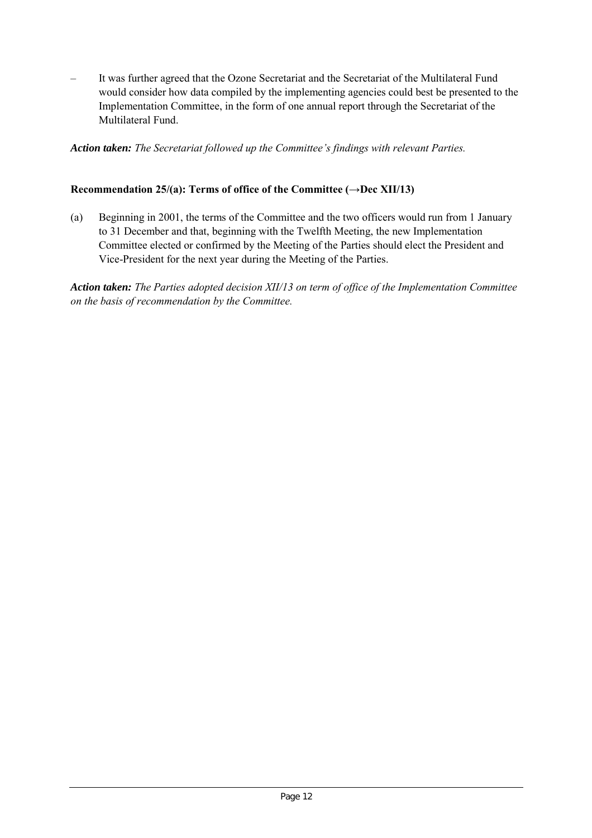– It was further agreed that the Ozone Secretariat and the Secretariat of the Multilateral Fund would consider how data compiled by the implementing agencies could best be presented to the Implementation Committee, in the form of one annual report through the Secretariat of the Multilateral Fund.

*Action taken: The Secretariat followed up the Committee's findings with relevant Parties.*

## Recommendation 25/(a): Terms of office of the Committee  $(\rightarrow$ Dec XII/13)

(a) Beginning in 2001, the terms of the Committee and the two officers would run from 1 January to 31 December and that, beginning with the Twelfth Meeting, the new Implementation Committee elected or confirmed by the Meeting of the Parties should elect the President and Vice-President for the next year during the Meeting of the Parties.

*Action taken: The Parties adopted decision XII/13 on term of office of the Implementation Committee on the basis of recommendation by the Committee.*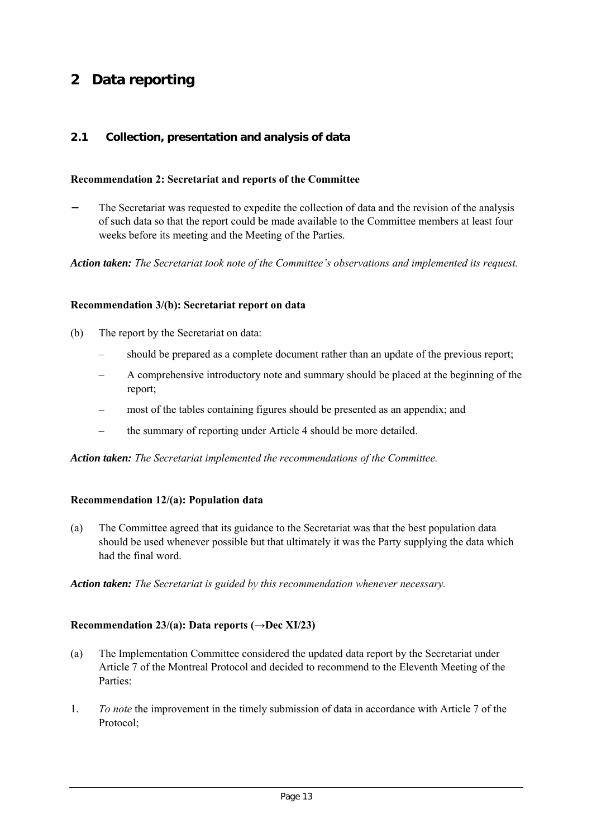# **2 Data reporting**

## **2.1 Collection, presentation and analysis of data**

#### **Recommendation 2: Secretariat and reports of the Committee**

The Secretariat was requested to expedite the collection of data and the revision of the analysis of such data so that the report could be made available to the Committee members at least four weeks before its meeting and the Meeting of the Parties.

*Action taken: The Secretariat took note of the Committee's observations and implemented its request.*

#### **Recommendation 3/(b): Secretariat report on data**

- (b) The report by the Secretariat on data:
	- should be prepared as a complete document rather than an update of the previous report;
	- A comprehensive introductory note and summary should be placed at the beginning of the report;
	- most of the tables containing figures should be presented as an appendix; and
	- the summary of reporting under Article 4 should be more detailed.

*Action taken: The Secretariat implemented the recommendations of the Committee.*

#### **Recommendation 12/(a): Population data**

(a) The Committee agreed that its guidance to the Secretariat was that the best population data should be used whenever possible but that ultimately it was the Party supplying the data which had the final word.

*Action taken: The Secretariat is guided by this recommendation whenever necessary.*

#### **Recommendation 23/(a): Data reports (→Dec XI/23)**

- (a) The Implementation Committee considered the updated data report by the Secretariat under Article 7 of the Montreal Protocol and decided to recommend to the Eleventh Meeting of the Parties:
- 1. *To note* the improvement in the timely submission of data in accordance with Article 7 of the Protocol;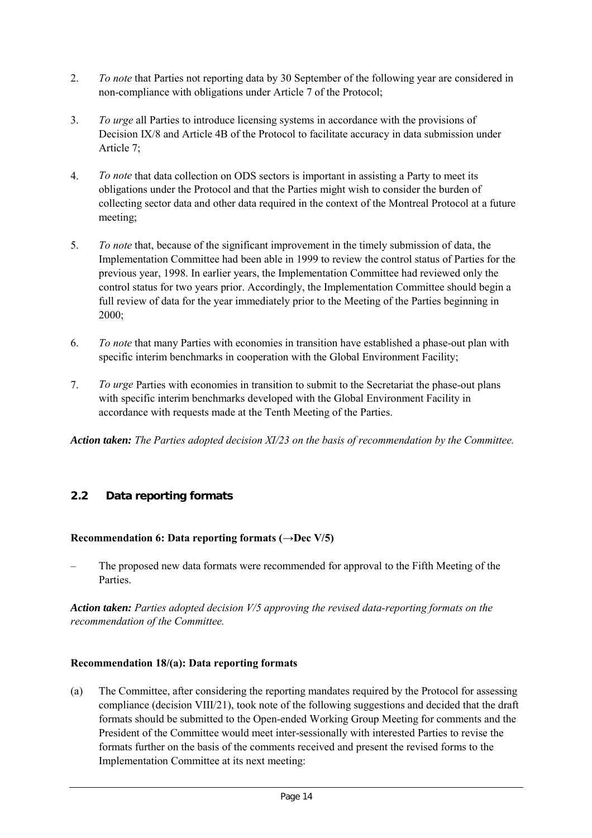- 2. *To note* that Parties not reporting data by 30 September of the following year are considered in non-compliance with obligations under Article 7 of the Protocol;
- 3. *To urge* all Parties to introduce licensing systems in accordance with the provisions of Decision IX/8 and Article 4B of the Protocol to facilitate accuracy in data submission under Article 7;
- 4. *To note* that data collection on ODS sectors is important in assisting a Party to meet its obligations under the Protocol and that the Parties might wish to consider the burden of collecting sector data and other data required in the context of the Montreal Protocol at a future meeting;
- 5. *To note* that, because of the significant improvement in the timely submission of data, the Implementation Committee had been able in 1999 to review the control status of Parties for the previous year, 1998. In earlier years, the Implementation Committee had reviewed only the control status for two years prior. Accordingly, the Implementation Committee should begin a full review of data for the year immediately prior to the Meeting of the Parties beginning in 2000;
- 6. *To note* that many Parties with economies in transition have established a phase-out plan with specific interim benchmarks in cooperation with the Global Environment Facility;
- 7. *To urge* Parties with economies in transition to submit to the Secretariat the phase-out plans with specific interim benchmarks developed with the Global Environment Facility in accordance with requests made at the Tenth Meeting of the Parties.

*Action taken: The Parties adopted decision XI/23 on the basis of recommendation by the Committee.*

# **2.2 Data reporting formats**

## **Recommendation 6: Data reporting formats (→Dec V/5)**

– The proposed new data formats were recommended for approval to the Fifth Meeting of the Parties.

*Action taken: Parties adopted decision V/5 approving the revised data-reporting formats on the recommendation of the Committee.*

## **Recommendation 18/(a): Data reporting formats**

(a) The Committee, after considering the reporting mandates required by the Protocol for assessing compliance (decision VIII/21), took note of the following suggestions and decided that the draft formats should be submitted to the Open-ended Working Group Meeting for comments and the President of the Committee would meet inter-sessionally with interested Parties to revise the formats further on the basis of the comments received and present the revised forms to the Implementation Committee at its next meeting: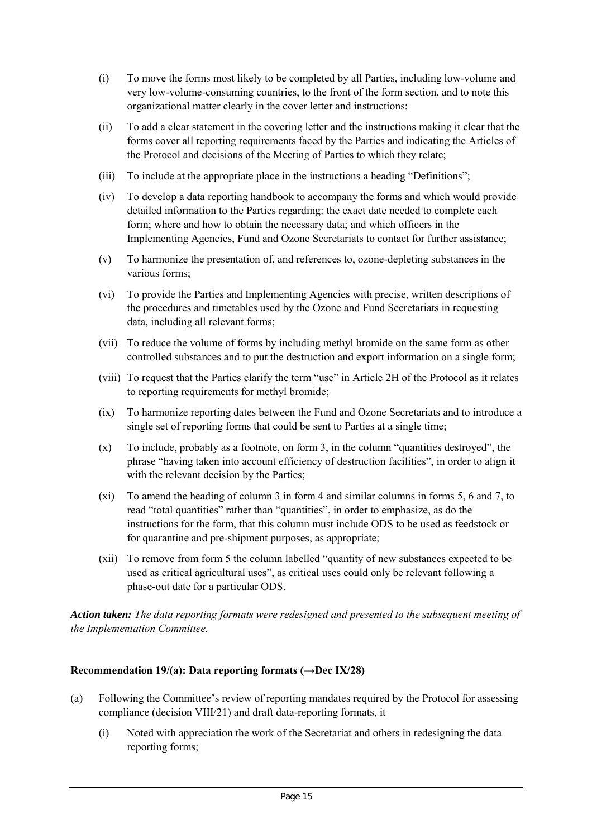- (i) To move the forms most likely to be completed by all Parties, including low-volume and very low-volume-consuming countries, to the front of the form section, and to note this organizational matter clearly in the cover letter and instructions;
- (ii) To add a clear statement in the covering letter and the instructions making it clear that the forms cover all reporting requirements faced by the Parties and indicating the Articles of the Protocol and decisions of the Meeting of Parties to which they relate;
- (iii) To include at the appropriate place in the instructions a heading "Definitions";
- (iv) To develop a data reporting handbook to accompany the forms and which would provide detailed information to the Parties regarding: the exact date needed to complete each form; where and how to obtain the necessary data; and which officers in the Implementing Agencies, Fund and Ozone Secretariats to contact for further assistance;
- (v) To harmonize the presentation of, and references to, ozone-depleting substances in the various forms;
- (vi) To provide the Parties and Implementing Agencies with precise, written descriptions of the procedures and timetables used by the Ozone and Fund Secretariats in requesting data, including all relevant forms;
- (vii) To reduce the volume of forms by including methyl bromide on the same form as other controlled substances and to put the destruction and export information on a single form;
- (viii) To request that the Parties clarify the term "use" in Article 2H of the Protocol as it relates to reporting requirements for methyl bromide;
- (ix) To harmonize reporting dates between the Fund and Ozone Secretariats and to introduce a single set of reporting forms that could be sent to Parties at a single time;
- (x) To include, probably as a footnote, on form 3, in the column "quantities destroyed", the phrase "having taken into account efficiency of destruction facilities", in order to align it with the relevant decision by the Parties;
- (xi) To amend the heading of column 3 in form 4 and similar columns in forms 5, 6 and 7, to read "total quantities" rather than "quantities", in order to emphasize, as do the instructions for the form, that this column must include ODS to be used as feedstock or for quarantine and pre-shipment purposes, as appropriate;
- (xii) To remove from form 5 the column labelled "quantity of new substances expected to be used as critical agricultural uses", as critical uses could only be relevant following a phase-out date for a particular ODS.

*Action taken: The data reporting formats were redesigned and presented to the subsequent meeting of the Implementation Committee.*

## **Recommendation 19/(a): Data reporting formats (→Dec IX/28)**

- (a) Following the Committee's review of reporting mandates required by the Protocol for assessing compliance (decision VIII/21) and draft data-reporting formats, it
	- (i) Noted with appreciation the work of the Secretariat and others in redesigning the data reporting forms;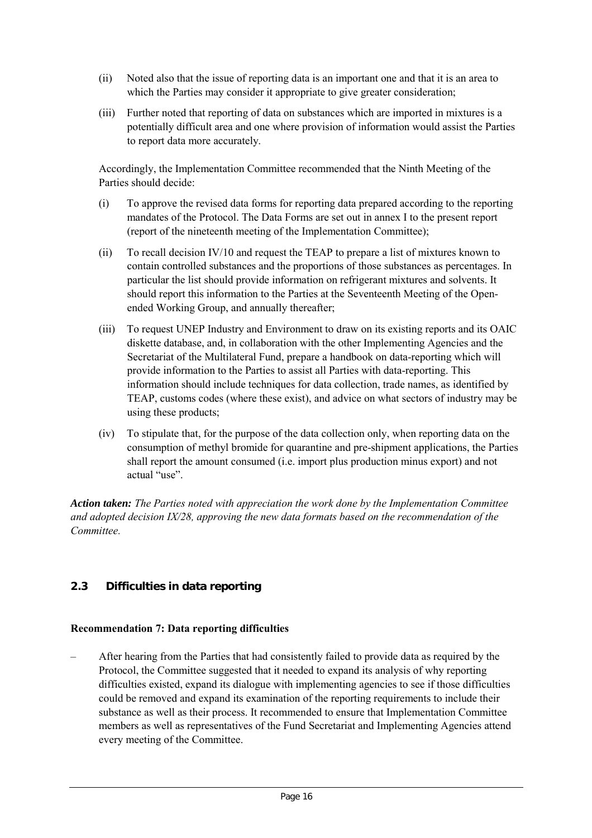- (ii) Noted also that the issue of reporting data is an important one and that it is an area to which the Parties may consider it appropriate to give greater consideration;
- (iii) Further noted that reporting of data on substances which are imported in mixtures is a potentially difficult area and one where provision of information would assist the Parties to report data more accurately.

Accordingly, the Implementation Committee recommended that the Ninth Meeting of the Parties should decide:

- (i) To approve the revised data forms for reporting data prepared according to the reporting mandates of the Protocol. The Data Forms are set out in annex I to the present report (report of the nineteenth meeting of the Implementation Committee);
- (ii) To recall decision IV/10 and request the TEAP to prepare a list of mixtures known to contain controlled substances and the proportions of those substances as percentages. In particular the list should provide information on refrigerant mixtures and solvents. It should report this information to the Parties at the Seventeenth Meeting of the Openended Working Group, and annually thereafter;
- (iii) To request UNEP Industry and Environment to draw on its existing reports and its OAIC diskette database, and, in collaboration with the other Implementing Agencies and the Secretariat of the Multilateral Fund, prepare a handbook on data-reporting which will provide information to the Parties to assist all Parties with data-reporting. This information should include techniques for data collection, trade names, as identified by TEAP, customs codes (where these exist), and advice on what sectors of industry may be using these products;
- (iv) To stipulate that, for the purpose of the data collection only, when reporting data on the consumption of methyl bromide for quarantine and pre-shipment applications, the Parties shall report the amount consumed (i.e. import plus production minus export) and not actual "use".

*Action taken: The Parties noted with appreciation the work done by the Implementation Committee and adopted decision IX/28, approving the new data formats based on the recommendation of the Committee.*

# **2.3 Difficulties in data reporting**

## **Recommendation 7: Data reporting difficulties**

– After hearing from the Parties that had consistently failed to provide data as required by the Protocol, the Committee suggested that it needed to expand its analysis of why reporting difficulties existed, expand its dialogue with implementing agencies to see if those difficulties could be removed and expand its examination of the reporting requirements to include their substance as well as their process. It recommended to ensure that Implementation Committee members as well as representatives of the Fund Secretariat and Implementing Agencies attend every meeting of the Committee.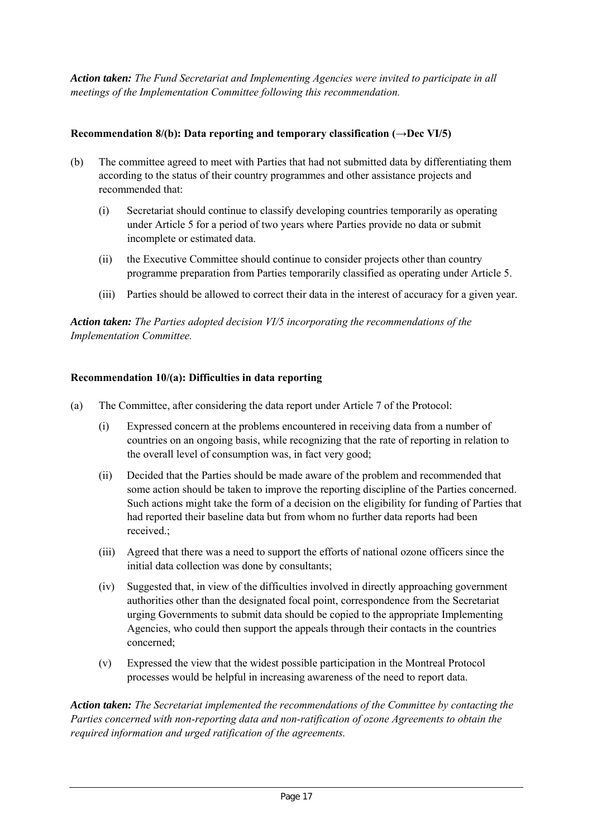*Action taken: The Fund Secretariat and Implementing Agencies were invited to participate in all meetings of the Implementation Committee following this recommendation.*

## **Recommendation 8/(b): Data reporting and temporary classification (→Dec VI/5)**

- (b) The committee agreed to meet with Parties that had not submitted data by differentiating them according to the status of their country programmes and other assistance projects and recommended that:
	- (i) Secretariat should continue to classify developing countries temporarily as operating under Article 5 for a period of two years where Parties provide no data or submit incomplete or estimated data.
	- (ii) the Executive Committee should continue to consider projects other than country programme preparation from Parties temporarily classified as operating under Article 5.
	- (iii) Parties should be allowed to correct their data in the interest of accuracy for a given year.

*Action taken: The Parties adopted decision VI/5 incorporating the recommendations of the Implementation Committee.*

## **Recommendation 10/(a): Difficulties in data reporting**

- (a) The Committee, after considering the data report under Article 7 of the Protocol:
	- (i) Expressed concern at the problems encountered in receiving data from a number of countries on an ongoing basis, while recognizing that the rate of reporting in relation to the overall level of consumption was, in fact very good;
	- (ii) Decided that the Parties should be made aware of the problem and recommended that some action should be taken to improve the reporting discipline of the Parties concerned. Such actions might take the form of a decision on the eligibility for funding of Parties that had reported their baseline data but from whom no further data reports had been received.;
	- (iii) Agreed that there was a need to support the efforts of national ozone officers since the initial data collection was done by consultants;
	- (iv) Suggested that, in view of the difficulties involved in directly approaching government authorities other than the designated focal point, correspondence from the Secretariat urging Governments to submit data should be copied to the appropriate Implementing Agencies, who could then support the appeals through their contacts in the countries concerned;
	- (v) Expressed the view that the widest possible participation in the Montreal Protocol processes would be helpful in increasing awareness of the need to report data.

*Action taken: The Secretariat implemented the recommendations of the Committee by contacting the Parties concerned with non-reporting data and non-ratification of ozone Agreements to obtain the required information and urged ratification of the agreements.*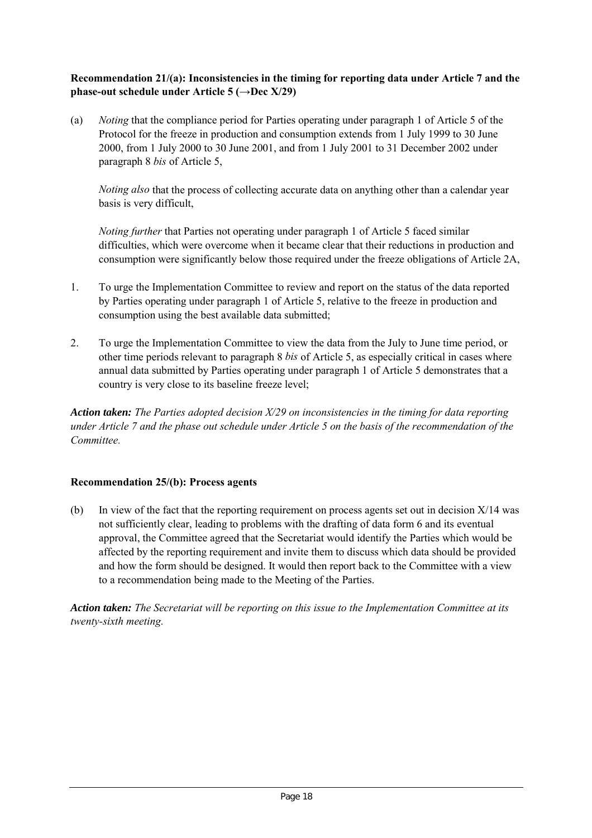## **Recommendation 21/(a): Inconsistencies in the timing for reporting data under Article 7 and the phase-out schedule under Article 5 (→Dec X/29)**

(a) *Noting* that the compliance period for Parties operating under paragraph 1 of Article 5 of the Protocol for the freeze in production and consumption extends from 1 July 1999 to 30 June 2000, from 1 July 2000 to 30 June 2001, and from 1 July 2001 to 31 December 2002 under paragraph 8 *bis* of Article 5,

*Noting also* that the process of collecting accurate data on anything other than a calendar year basis is very difficult,

*Noting further* that Parties not operating under paragraph 1 of Article 5 faced similar difficulties, which were overcome when it became clear that their reductions in production and consumption were significantly below those required under the freeze obligations of Article 2A,

- 1. To urge the Implementation Committee to review and report on the status of the data reported by Parties operating under paragraph 1 of Article 5, relative to the freeze in production and consumption using the best available data submitted;
- 2. To urge the Implementation Committee to view the data from the July to June time period, or other time periods relevant to paragraph 8 *bis* of Article 5, as especially critical in cases where annual data submitted by Parties operating under paragraph 1 of Article 5 demonstrates that a country is very close to its baseline freeze level;

*Action taken: The Parties adopted decision X/29 on inconsistencies in the timing for data reporting under Article 7 and the phase out schedule under Article 5 on the basis of the recommendation of the Committee.*

## **Recommendation 25/(b): Process agents**

(b) In view of the fact that the reporting requirement on process agents set out in decision X/14 was not sufficiently clear, leading to problems with the drafting of data form 6 and its eventual approval, the Committee agreed that the Secretariat would identify the Parties which would be affected by the reporting requirement and invite them to discuss which data should be provided and how the form should be designed. It would then report back to the Committee with a view to a recommendation being made to the Meeting of the Parties.

*Action taken: The Secretariat will be reporting on this issue to the Implementation Committee at its twenty-sixth meeting.*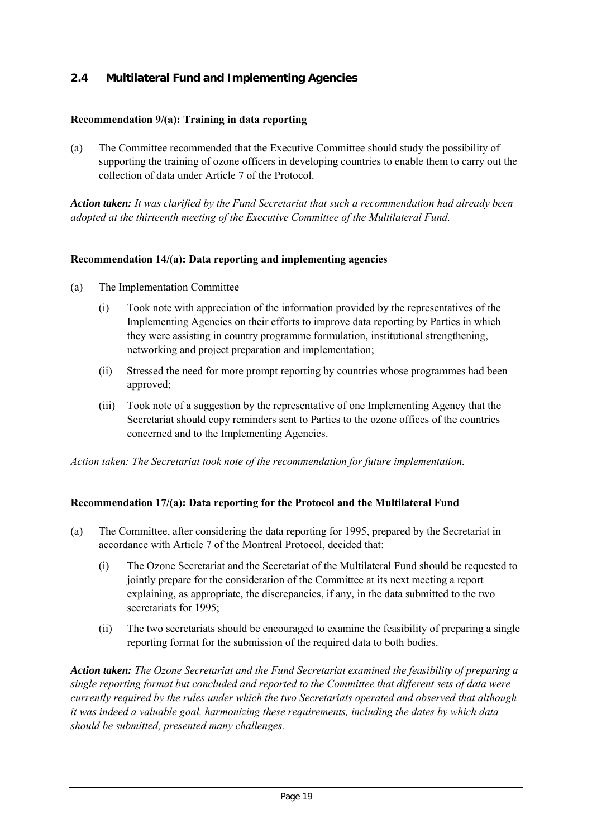# **2.4 Multilateral Fund and Implementing Agencies**

## **Recommendation 9/(a): Training in data reporting**

(a) The Committee recommended that the Executive Committee should study the possibility of supporting the training of ozone officers in developing countries to enable them to carry out the collection of data under Article 7 of the Protocol.

*Action taken: It was clarified by the Fund Secretariat that such a recommendation had already been adopted at the thirteenth meeting of the Executive Committee of the Multilateral Fund.*

## **Recommendation 14/(a): Data reporting and implementing agencies**

- (a) The Implementation Committee
	- (i) Took note with appreciation of the information provided by the representatives of the Implementing Agencies on their efforts to improve data reporting by Parties in which they were assisting in country programme formulation, institutional strengthening, networking and project preparation and implementation;
	- (ii) Stressed the need for more prompt reporting by countries whose programmes had been approved;
	- (iii) Took note of a suggestion by the representative of one Implementing Agency that the Secretariat should copy reminders sent to Parties to the ozone offices of the countries concerned and to the Implementing Agencies.

*Action taken: The Secretariat took note of the recommendation for future implementation.*

## **Recommendation 17/(a): Data reporting for the Protocol and the Multilateral Fund**

- (a) The Committee, after considering the data reporting for 1995, prepared by the Secretariat in accordance with Article 7 of the Montreal Protocol, decided that:
	- (i) The Ozone Secretariat and the Secretariat of the Multilateral Fund should be requested to jointly prepare for the consideration of the Committee at its next meeting a report explaining, as appropriate, the discrepancies, if any, in the data submitted to the two secretariats for 1995:
	- (ii) The two secretariats should be encouraged to examine the feasibility of preparing a single reporting format for the submission of the required data to both bodies.

*Action taken: The Ozone Secretariat and the Fund Secretariat examined the feasibility of preparing a single reporting format but concluded and reported to the Committee that different sets of data were currently required by the rules under which the two Secretariats operated and observed that although it was indeed a valuable goal, harmonizing these requirements, including the dates by which data should be submitted, presented many challenges.*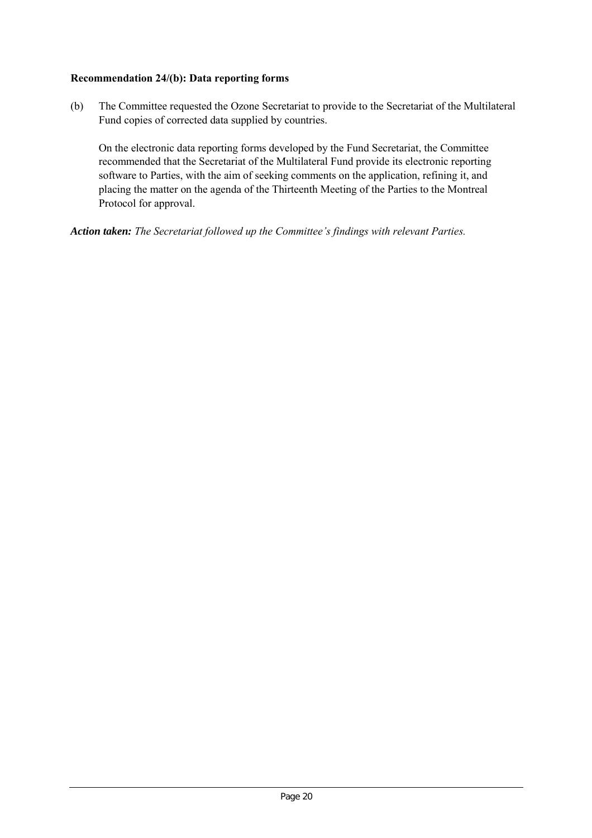## **Recommendation 24/(b): Data reporting forms**

(b) The Committee requested the Ozone Secretariat to provide to the Secretariat of the Multilateral Fund copies of corrected data supplied by countries.

On the electronic data reporting forms developed by the Fund Secretariat, the Committee recommended that the Secretariat of the Multilateral Fund provide its electronic reporting software to Parties, with the aim of seeking comments on the application, refining it, and placing the matter on the agenda of the Thirteenth Meeting of the Parties to the Montreal Protocol for approval.

*Action taken: The Secretariat followed up the Committee's findings with relevant Parties.*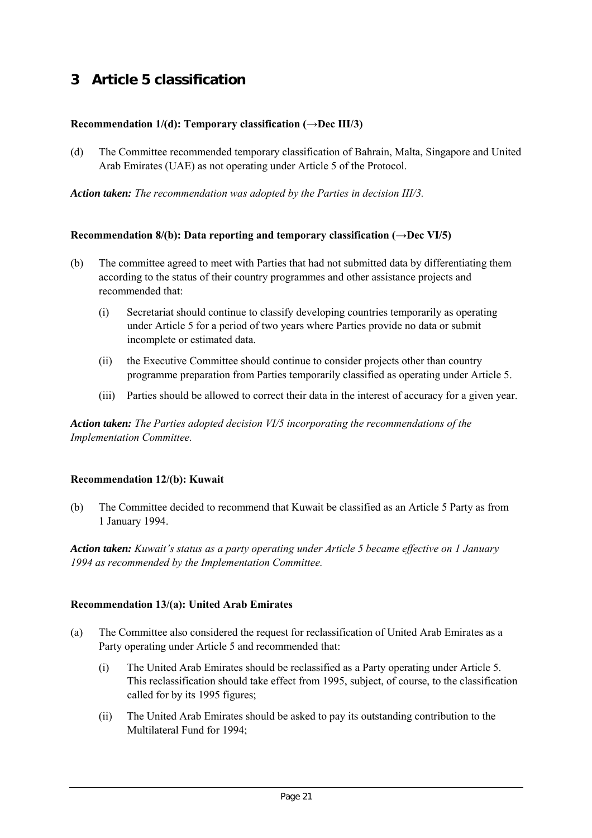# **3 Article 5 classification**

## **Recommendation 1/(d): Temporary classification (→Dec III/3)**

(d) The Committee recommended temporary classification of Bahrain, Malta, Singapore and United Arab Emirates (UAE) as not operating under Article 5 of the Protocol.

*Action taken: The recommendation was adopted by the Parties in decision III/3.*

## **Recommendation 8/(b): Data reporting and temporary classification (→Dec VI/5)**

- (b) The committee agreed to meet with Parties that had not submitted data by differentiating them according to the status of their country programmes and other assistance projects and recommended that:
	- (i) Secretariat should continue to classify developing countries temporarily as operating under Article 5 for a period of two years where Parties provide no data or submit incomplete or estimated data.
	- (ii) the Executive Committee should continue to consider projects other than country programme preparation from Parties temporarily classified as operating under Article 5.
	- (iii) Parties should be allowed to correct their data in the interest of accuracy for a given year.

*Action taken: The Parties adopted decision VI/5 incorporating the recommendations of the Implementation Committee.*

## **Recommendation 12/(b): Kuwait**

(b) The Committee decided to recommend that Kuwait be classified as an Article 5 Party as from 1 January 1994.

*Action taken: Kuwait's status as a party operating under Article 5 became effective on 1 January 1994 as recommended by the Implementation Committee.*

## **Recommendation 13/(a): United Arab Emirates**

- (a) The Committee also considered the request for reclassification of United Arab Emirates as a Party operating under Article 5 and recommended that:
	- (i) The United Arab Emirates should be reclassified as a Party operating under Article 5. This reclassification should take effect from 1995, subject, of course, to the classification called for by its 1995 figures;
	- (ii) The United Arab Emirates should be asked to pay its outstanding contribution to the Multilateral Fund for 1994;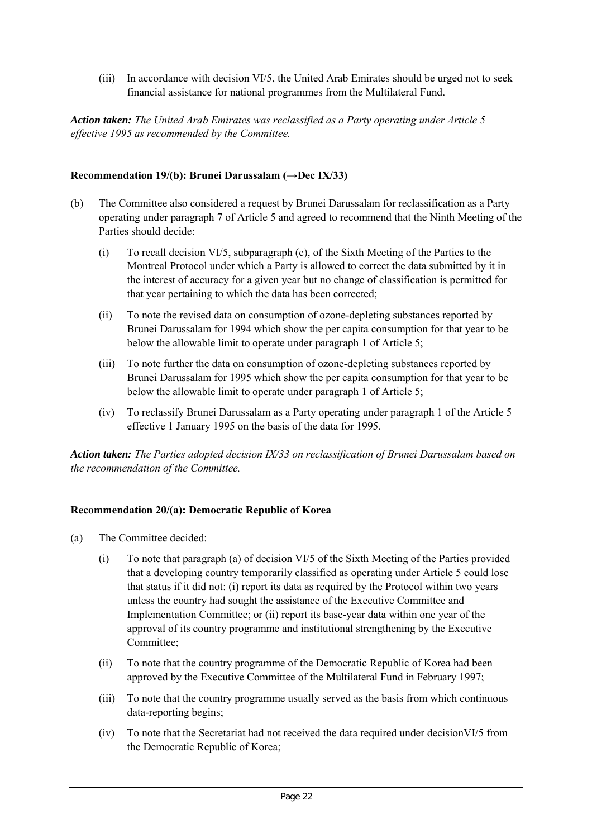(iii) In accordance with decision VI/5, the United Arab Emirates should be urged not to seek financial assistance for national programmes from the Multilateral Fund.

*Action taken: The United Arab Emirates was reclassified as a Party operating under Article 5 effective 1995 as recommended by the Committee.*

## **Recommendation 19/(b): Brunei Darussalam (→Dec IX/33)**

- (b) The Committee also considered a request by Brunei Darussalam for reclassification as a Party operating under paragraph 7 of Article 5 and agreed to recommend that the Ninth Meeting of the Parties should decide:
	- (i) To recall decision VI/5, subparagraph (c), of the Sixth Meeting of the Parties to the Montreal Protocol under which a Party is allowed to correct the data submitted by it in the interest of accuracy for a given year but no change of classification is permitted for that year pertaining to which the data has been corrected;
	- (ii) To note the revised data on consumption of ozone-depleting substances reported by Brunei Darussalam for 1994 which show the per capita consumption for that year to be below the allowable limit to operate under paragraph 1 of Article 5;
	- (iii) To note further the data on consumption of ozone-depleting substances reported by Brunei Darussalam for 1995 which show the per capita consumption for that year to be below the allowable limit to operate under paragraph 1 of Article 5;
	- (iv) To reclassify Brunei Darussalam as a Party operating under paragraph 1 of the Article 5 effective 1 January 1995 on the basis of the data for 1995.

*Action taken: The Parties adopted decision IX/33 on reclassification of Brunei Darussalam based on the recommendation of the Committee.*

## **Recommendation 20/(a): Democratic Republic of Korea**

- (a) The Committee decided:
	- (i) To note that paragraph (a) of decision VI/5 of the Sixth Meeting of the Parties provided that a developing country temporarily classified as operating under Article 5 could lose that status if it did not: (i) report its data as required by the Protocol within two years unless the country had sought the assistance of the Executive Committee and Implementation Committee; or (ii) report its base-year data within one year of the approval of its country programme and institutional strengthening by the Executive Committee;
	- (ii) To note that the country programme of the Democratic Republic of Korea had been approved by the Executive Committee of the Multilateral Fund in February 1997;
	- (iii) To note that the country programme usually served as the basis from which continuous data-reporting begins;
	- (iv) To note that the Secretariat had not received the data required under decisionVI/5 from the Democratic Republic of Korea;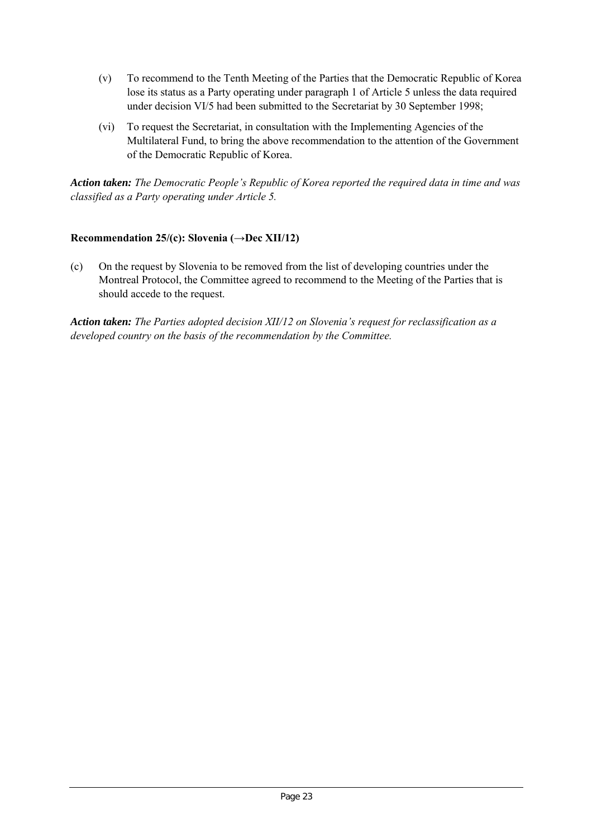- (v) To recommend to the Tenth Meeting of the Parties that the Democratic Republic of Korea lose its status as a Party operating under paragraph 1 of Article 5 unless the data required under decision VI/5 had been submitted to the Secretariat by 30 September 1998;
- (vi) To request the Secretariat, in consultation with the Implementing Agencies of the Multilateral Fund, to bring the above recommendation to the attention of the Government of the Democratic Republic of Korea.

*Action taken: The Democratic People's Republic of Korea reported the required data in time and was classified as a Party operating under Article 5.*

## **Recommendation 25/(c): Slovenia (→Dec XII/12)**

(c) On the request by Slovenia to be removed from the list of developing countries under the Montreal Protocol, the Committee agreed to recommend to the Meeting of the Parties that is should accede to the request.

*Action taken: The Parties adopted decision XII/12 on Slovenia's request for reclassification as a developed country on the basis of the recommendation by the Committee.*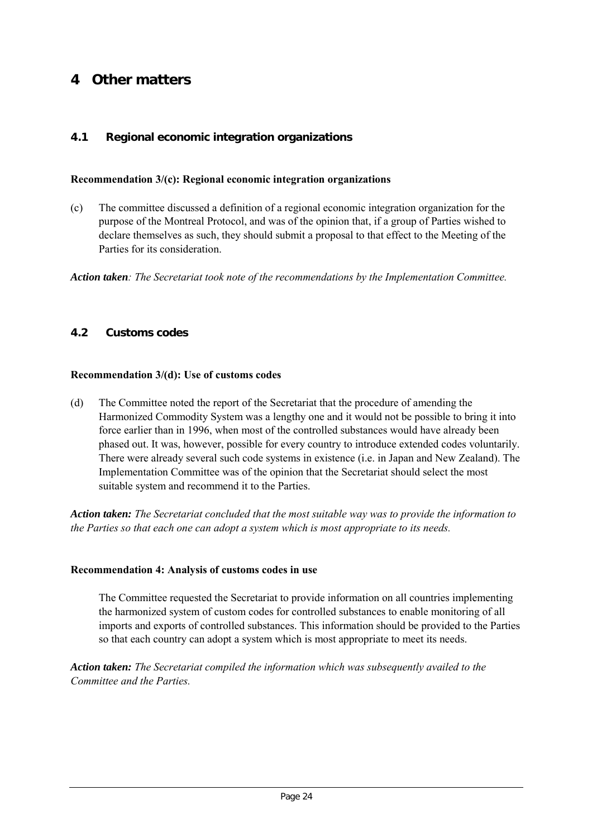# **4 Other matters**

## **4.1 Regional economic integration organizations**

#### **Recommendation 3/(c): Regional economic integration organizations**

(c) The committee discussed a definition of a regional economic integration organization for the purpose of the Montreal Protocol, and was of the opinion that, if a group of Parties wished to declare themselves as such, they should submit a proposal to that effect to the Meeting of the Parties for its consideration.

*Action taken: The Secretariat took note of the recommendations by the Implementation Committee.*

## **4.2 Customs codes**

#### **Recommendation 3/(d): Use of customs codes**

(d) The Committee noted the report of the Secretariat that the procedure of amending the Harmonized Commodity System was a lengthy one and it would not be possible to bring it into force earlier than in 1996, when most of the controlled substances would have already been phased out. It was, however, possible for every country to introduce extended codes voluntarily. There were already several such code systems in existence (i.e. in Japan and New Zealand). The Implementation Committee was of the opinion that the Secretariat should select the most suitable system and recommend it to the Parties.

*Action taken: The Secretariat concluded that the most suitable way was to provide the information to the Parties so that each one can adopt a system which is most appropriate to its needs.*

#### **Recommendation 4: Analysis of customs codes in use**

The Committee requested the Secretariat to provide information on all countries implementing the harmonized system of custom codes for controlled substances to enable monitoring of all imports and exports of controlled substances. This information should be provided to the Parties so that each country can adopt a system which is most appropriate to meet its needs.

*Action taken: The Secretariat compiled the information which was subsequently availed to the Committee and the Parties.*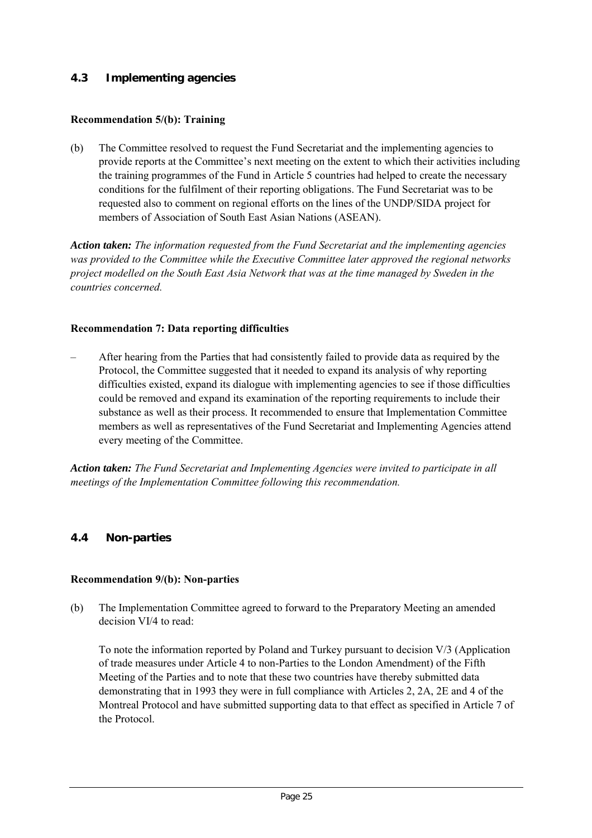# **4.3 Implementing agencies**

## **Recommendation 5/(b): Training**

(b) The Committee resolved to request the Fund Secretariat and the implementing agencies to provide reports at the Committee's next meeting on the extent to which their activities including the training programmes of the Fund in Article 5 countries had helped to create the necessary conditions for the fulfilment of their reporting obligations. The Fund Secretariat was to be requested also to comment on regional efforts on the lines of the UNDP/SIDA project for members of Association of South East Asian Nations (ASEAN).

*Action taken: The information requested from the Fund Secretariat and the implementing agencies was provided to the Committee while the Executive Committee later approved the regional networks project modelled on the South East Asia Network that was at the time managed by Sweden in the countries concerned.*

## **Recommendation 7: Data reporting difficulties**

– After hearing from the Parties that had consistently failed to provide data as required by the Protocol, the Committee suggested that it needed to expand its analysis of why reporting difficulties existed, expand its dialogue with implementing agencies to see if those difficulties could be removed and expand its examination of the reporting requirements to include their substance as well as their process. It recommended to ensure that Implementation Committee members as well as representatives of the Fund Secretariat and Implementing Agencies attend every meeting of the Committee.

*Action taken: The Fund Secretariat and Implementing Agencies were invited to participate in all meetings of the Implementation Committee following this recommendation.*

## **4.4 Non-parties**

## **Recommendation 9/(b): Non-parties**

(b) The Implementation Committee agreed to forward to the Preparatory Meeting an amended decision VI/4 to read:

To note the information reported by Poland and Turkey pursuant to decision V/3 (Application of trade measures under Article 4 to non-Parties to the London Amendment) of the Fifth Meeting of the Parties and to note that these two countries have thereby submitted data demonstrating that in 1993 they were in full compliance with Articles 2, 2A, 2E and 4 of the Montreal Protocol and have submitted supporting data to that effect as specified in Article 7 of the Protocol.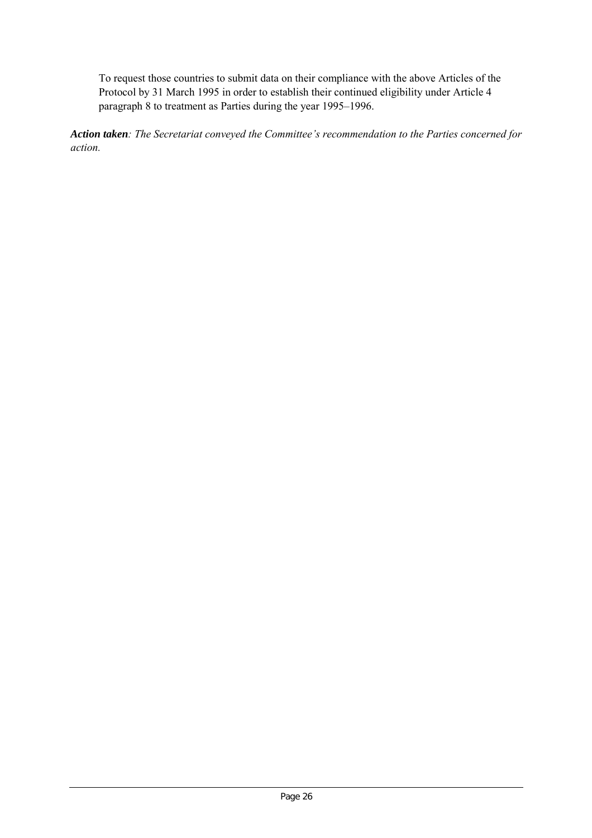To request those countries to submit data on their compliance with the above Articles of the Protocol by 31 March 1995 in order to establish their continued eligibility under Article 4 paragraph 8 to treatment as Parties during the year 1995–1996.

*Action taken: The Secretariat conveyed the Committee's recommendation to the Parties concerned for action.*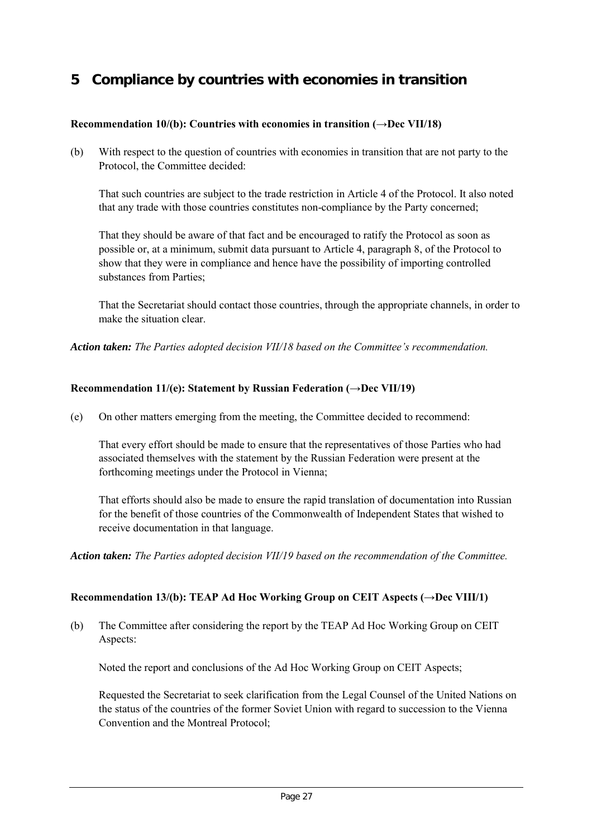# **5 Compliance by countries with economies in transition**

## **Recommendation 10/(b): Countries with economies in transition**  $(\rightarrow$ **<b>Dec VII/18**)

(b) With respect to the question of countries with economies in transition that are not party to the Protocol, the Committee decided:

That such countries are subject to the trade restriction in Article 4 of the Protocol. It also noted that any trade with those countries constitutes non-compliance by the Party concerned;

That they should be aware of that fact and be encouraged to ratify the Protocol as soon as possible or, at a minimum, submit data pursuant to Article 4, paragraph 8, of the Protocol to show that they were in compliance and hence have the possibility of importing controlled substances from Parties;

That the Secretariat should contact those countries, through the appropriate channels, in order to make the situation clear.

*Action taken: The Parties adopted decision VII/18 based on the Committee's recommendation.*

## **Recommendation 11/(e): Statement by Russian Federation (→Dec VII/19)**

(e) On other matters emerging from the meeting, the Committee decided to recommend:

That every effort should be made to ensure that the representatives of those Parties who had associated themselves with the statement by the Russian Federation were present at the forthcoming meetings under the Protocol in Vienna;

That efforts should also be made to ensure the rapid translation of documentation into Russian for the benefit of those countries of the Commonwealth of Independent States that wished to receive documentation in that language.

*Action taken: The Parties adopted decision VII/19 based on the recommendation of the Committee.*

## **Recommendation 13/(b): TEAP Ad Hoc Working Group on CEIT Aspects (→Dec VIII/1)**

(b) The Committee after considering the report by the TEAP Ad Hoc Working Group on CEIT Aspects:

Noted the report and conclusions of the Ad Hoc Working Group on CEIT Aspects;

Requested the Secretariat to seek clarification from the Legal Counsel of the United Nations on the status of the countries of the former Soviet Union with regard to succession to the Vienna Convention and the Montreal Protocol;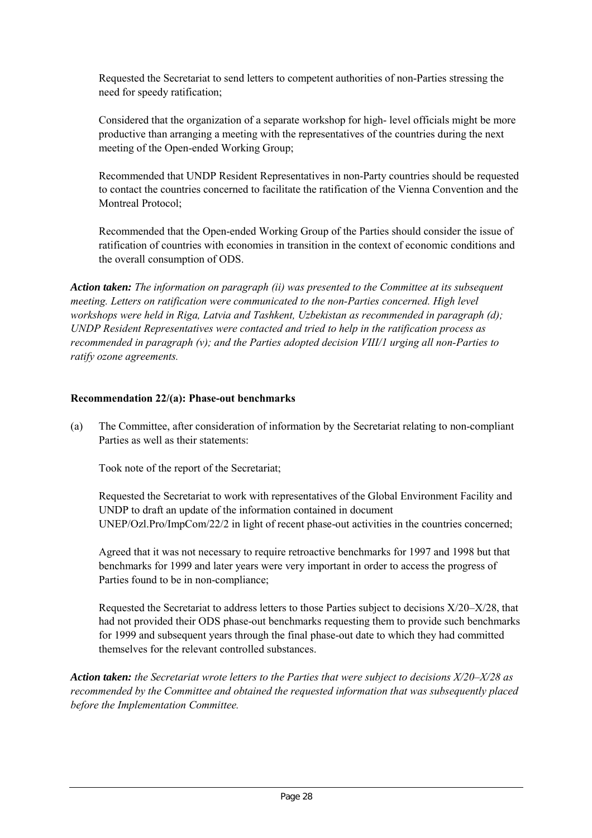Requested the Secretariat to send letters to competent authorities of non-Parties stressing the need for speedy ratification;

Considered that the organization of a separate workshop for high- level officials might be more productive than arranging a meeting with the representatives of the countries during the next meeting of the Open-ended Working Group;

Recommended that UNDP Resident Representatives in non-Party countries should be requested to contact the countries concerned to facilitate the ratification of the Vienna Convention and the Montreal Protocol;

Recommended that the Open-ended Working Group of the Parties should consider the issue of ratification of countries with economies in transition in the context of economic conditions and the overall consumption of ODS.

*Action taken: The information on paragraph (ii) was presented to the Committee at its subsequent meeting. Letters on ratification were communicated to the non-Parties concerned. High level workshops were held in Riga, Latvia and Tashkent, Uzbekistan as recommended in paragraph (d); UNDP Resident Representatives were contacted and tried to help in the ratification process as recommended in paragraph (v); and the Parties adopted decision VIII/1 urging all non-Parties to ratify ozone agreements.*

#### **Recommendation 22/(a): Phase-out benchmarks**

(a) The Committee, after consideration of information by the Secretariat relating to non-compliant Parties as well as their statements:

Took note of the report of the Secretariat;

Requested the Secretariat to work with representatives of the Global Environment Facility and UNDP to draft an update of the information contained in document UNEP/Ozl.Pro/ImpCom/22/2 in light of recent phase-out activities in the countries concerned;

Agreed that it was not necessary to require retroactive benchmarks for 1997 and 1998 but that benchmarks for 1999 and later years were very important in order to access the progress of Parties found to be in non-compliance;

Requested the Secretariat to address letters to those Parties subject to decisions X/20–X/28, that had not provided their ODS phase-out benchmarks requesting them to provide such benchmarks for 1999 and subsequent years through the final phase-out date to which they had committed themselves for the relevant controlled substances.

*Action taken: the Secretariat wrote letters to the Parties that were subject to decisions X/20–X/28 as recommended by the Committee and obtained the requested information that was subsequently placed before the Implementation Committee.*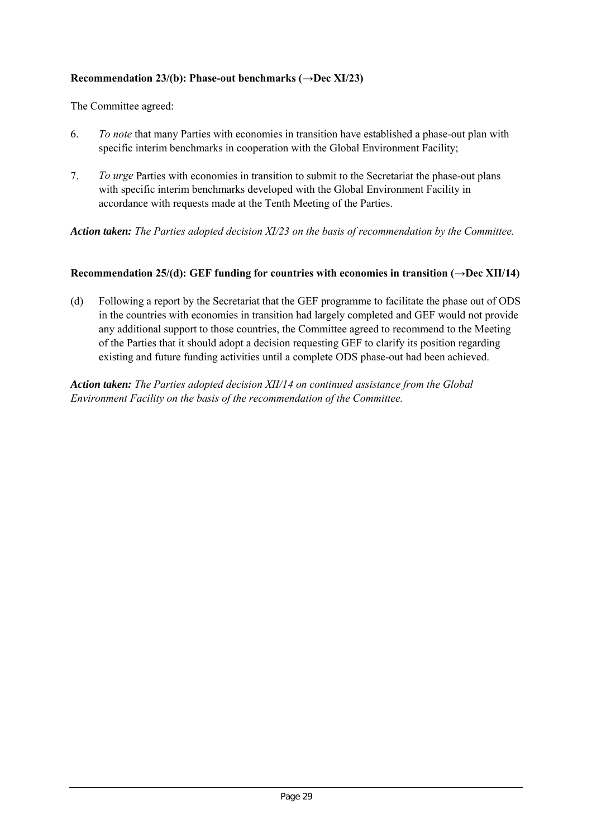## **Recommendation 23/(b): Phase-out benchmarks (→Dec XI/23)**

The Committee agreed:

- 6. *To note* that many Parties with economies in transition have established a phase-out plan with specific interim benchmarks in cooperation with the Global Environment Facility;
- 7. *To urge* Parties with economies in transition to submit to the Secretariat the phase-out plans with specific interim benchmarks developed with the Global Environment Facility in accordance with requests made at the Tenth Meeting of the Parties.

*Action taken: The Parties adopted decision XI/23 on the basis of recommendation by the Committee.*

#### **Recommendation 25/(d): GEF funding for countries with economies in transition (** $\rightarrow$ **Dec XII/14)**

(d) Following a report by the Secretariat that the GEF programme to facilitate the phase out of ODS in the countries with economies in transition had largely completed and GEF would not provide any additional support to those countries, the Committee agreed to recommend to the Meeting of the Parties that it should adopt a decision requesting GEF to clarify its position regarding existing and future funding activities until a complete ODS phase-out had been achieved.

*Action taken: The Parties adopted decision XII/14 on continued assistance from the Global Environment Facility on the basis of the recommendation of the Committee.*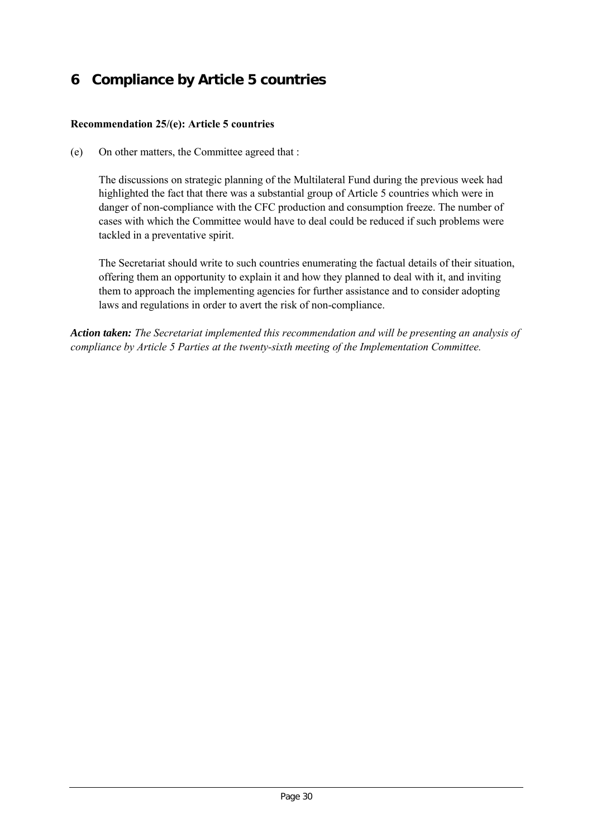# **6 Compliance by Article 5 countries**

## **Recommendation 25/(e): Article 5 countries**

(e) On other matters, the Committee agreed that :

The discussions on strategic planning of the Multilateral Fund during the previous week had highlighted the fact that there was a substantial group of Article 5 countries which were in danger of non-compliance with the CFC production and consumption freeze. The number of cases with which the Committee would have to deal could be reduced if such problems were tackled in a preventative spirit.

The Secretariat should write to such countries enumerating the factual details of their situation, offering them an opportunity to explain it and how they planned to deal with it, and inviting them to approach the implementing agencies for further assistance and to consider adopting laws and regulations in order to avert the risk of non-compliance.

*Action taken: The Secretariat implemented this recommendation and will be presenting an analysis of compliance by Article 5 Parties at the twenty-sixth meeting of the Implementation Committee.*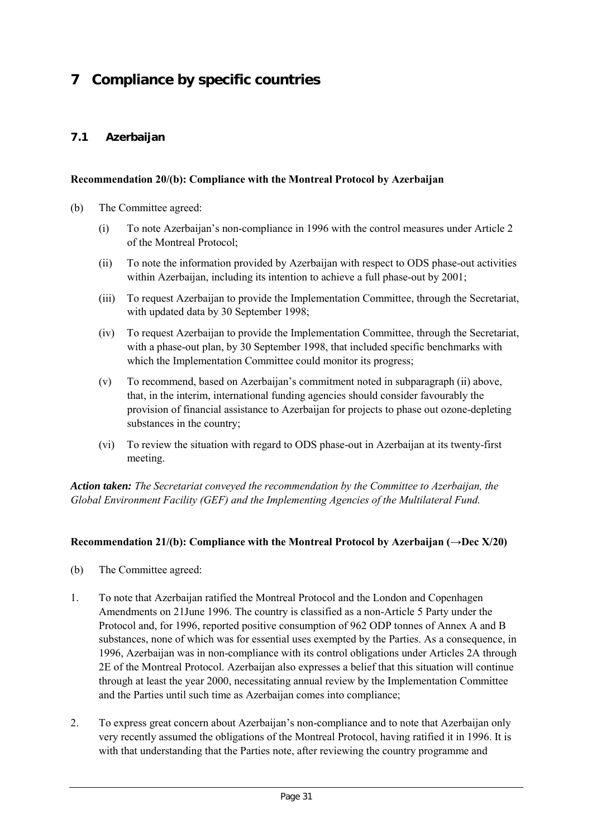# **7 Compliance by specific countries**

## **7.1 Azerbaijan**

#### **Recommendation 20/(b): Compliance with the Montreal Protocol by Azerbaijan**

- (b) The Committee agreed:
	- (i) To note Azerbaijan's non-compliance in 1996 with the control measures under Article 2 of the Montreal Protocol;
	- (ii) To note the information provided by Azerbaijan with respect to ODS phase-out activities within Azerbaijan, including its intention to achieve a full phase-out by 2001;
	- (iii) To request Azerbaijan to provide the Implementation Committee, through the Secretariat, with updated data by 30 September 1998;
	- (iv) To request Azerbaijan to provide the Implementation Committee, through the Secretariat, with a phase-out plan, by 30 September 1998, that included specific benchmarks with which the Implementation Committee could monitor its progress;
	- (v) To recommend, based on Azerbaijan's commitment noted in subparagraph (ii) above, that, in the interim, international funding agencies should consider favourably the provision of financial assistance to Azerbaijan for projects to phase out ozone-depleting substances in the country;
	- (vi) To review the situation with regard to ODS phase-out in Azerbaijan at its twenty-first meeting.

*Action taken: The Secretariat conveyed the recommendation by the Committee to Azerbaijan, the Global Environment Facility (GEF) and the Implementing Agencies of the Multilateral Fund.*

## **Recommendation 21/(b): Compliance with the Montreal Protocol by Azerbaijan (→Dec X/20)**

- (b) The Committee agreed:
- 1. To note that Azerbaijan ratified the Montreal Protocol and the London and Copenhagen Amendments on 21June 1996. The country is classified as a non-Article 5 Party under the Protocol and, for 1996, reported positive consumption of 962 ODP tonnes of Annex A and B substances, none of which was for essential uses exempted by the Parties. As a consequence, in 1996, Azerbaijan was in non-compliance with its control obligations under Articles 2A through 2E of the Montreal Protocol. Azerbaijan also expresses a belief that this situation will continue through at least the year 2000, necessitating annual review by the Implementation Committee and the Parties until such time as Azerbaijan comes into compliance;
- 2. To express great concern about Azerbaijan's non-compliance and to note that Azerbaijan only very recently assumed the obligations of the Montreal Protocol, having ratified it in 1996. It is with that understanding that the Parties note, after reviewing the country programme and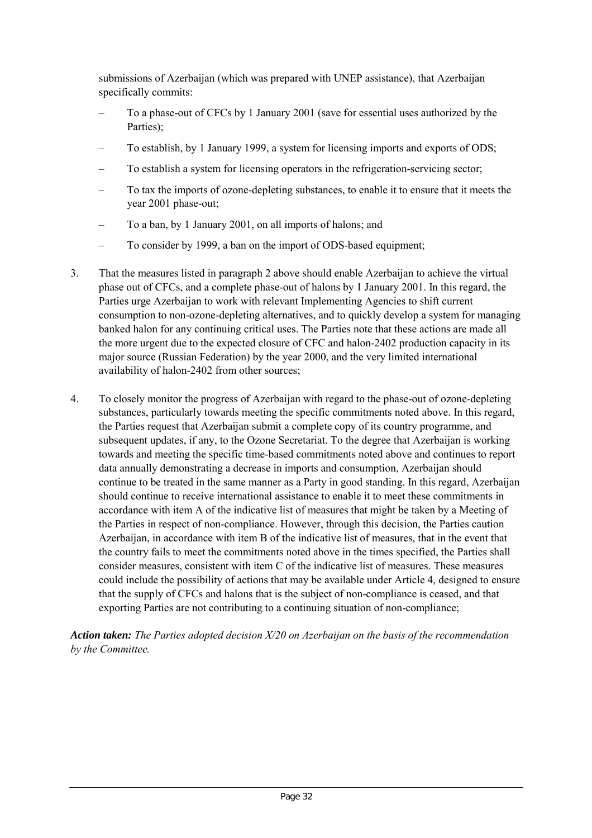submissions of Azerbaijan (which was prepared with UNEP assistance), that Azerbaijan specifically commits:

- To a phase-out of CFCs by 1 January 2001 (save for essential uses authorized by the Parties);
- To establish, by 1 January 1999, a system for licensing imports and exports of ODS;
- To establish a system for licensing operators in the refrigeration-servicing sector;
- To tax the imports of ozone-depleting substances, to enable it to ensure that it meets the year 2001 phase-out;
- To a ban, by 1 January 2001, on all imports of halons; and
- To consider by 1999, a ban on the import of ODS-based equipment;
- 3. That the measures listed in paragraph 2 above should enable Azerbaijan to achieve the virtual phase out of CFCs, and a complete phase-out of halons by 1 January 2001. In this regard, the Parties urge Azerbaijan to work with relevant Implementing Agencies to shift current consumption to non-ozone-depleting alternatives, and to quickly develop a system for managing banked halon for any continuing critical uses. The Parties note that these actions are made all the more urgent due to the expected closure of CFC and halon-2402 production capacity in its major source (Russian Federation) by the year 2000, and the very limited international availability of halon-2402 from other sources;
- 4. To closely monitor the progress of Azerbaijan with regard to the phase-out of ozone-depleting substances, particularly towards meeting the specific commitments noted above. In this regard, the Parties request that Azerbaijan submit a complete copy of its country programme, and subsequent updates, if any, to the Ozone Secretariat. To the degree that Azerbaijan is working towards and meeting the specific time-based commitments noted above and continues to report data annually demonstrating a decrease in imports and consumption, Azerbaijan should continue to be treated in the same manner as a Party in good standing. In this regard, Azerbaijan should continue to receive international assistance to enable it to meet these commitments in accordance with item A of the indicative list of measures that might be taken by a Meeting of the Parties in respect of non-compliance. However, through this decision, the Parties caution Azerbaijan, in accordance with item B of the indicative list of measures, that in the event that the country fails to meet the commitments noted above in the times specified, the Parties shall consider measures, consistent with item C of the indicative list of measures. These measures could include the possibility of actions that may be available under Article 4, designed to ensure that the supply of CFCs and halons that is the subject of non-compliance is ceased, and that exporting Parties are not contributing to a continuing situation of non-compliance;

*Action taken: The Parties adopted decision X/20 on Azerbaijan on the basis of the recommendation by the Committee.*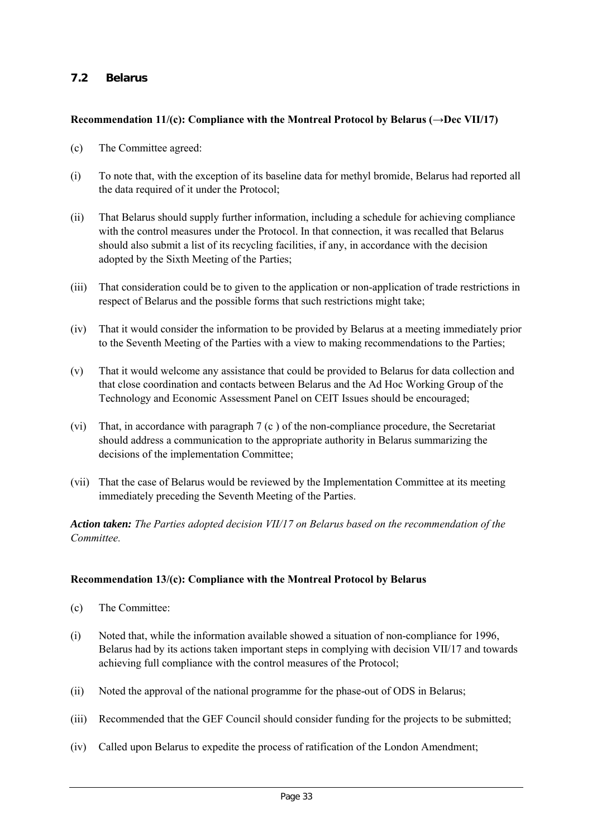# **7.2 Belarus**

## **Recommendation 11/(c): Compliance with the Montreal Protocol by Belarus (→Dec VII/17)**

- (c) The Committee agreed:
- (i) To note that, with the exception of its baseline data for methyl bromide, Belarus had reported all the data required of it under the Protocol;
- (ii) That Belarus should supply further information, including a schedule for achieving compliance with the control measures under the Protocol. In that connection, it was recalled that Belarus should also submit a list of its recycling facilities, if any, in accordance with the decision adopted by the Sixth Meeting of the Parties;
- (iii) That consideration could be to given to the application or non-application of trade restrictions in respect of Belarus and the possible forms that such restrictions might take;
- (iv) That it would consider the information to be provided by Belarus at a meeting immediately prior to the Seventh Meeting of the Parties with a view to making recommendations to the Parties;
- (v) That it would welcome any assistance that could be provided to Belarus for data collection and that close coordination and contacts between Belarus and the Ad Hoc Working Group of the Technology and Economic Assessment Panel on CEIT Issues should be encouraged;
- (vi) That, in accordance with paragraph 7 (c ) of the non-compliance procedure, the Secretariat should address a communication to the appropriate authority in Belarus summarizing the decisions of the implementation Committee;
- (vii) That the case of Belarus would be reviewed by the Implementation Committee at its meeting immediately preceding the Seventh Meeting of the Parties.

*Action taken: The Parties adopted decision VII/17 on Belarus based on the recommendation of the Committee.*

## **Recommendation 13/(c): Compliance with the Montreal Protocol by Belarus**

- (c) The Committee:
- (i) Noted that, while the information available showed a situation of non-compliance for 1996, Belarus had by its actions taken important steps in complying with decision VII/17 and towards achieving full compliance with the control measures of the Protocol;
- (ii) Noted the approval of the national programme for the phase-out of ODS in Belarus;
- (iii) Recommended that the GEF Council should consider funding for the projects to be submitted;
- (iv) Called upon Belarus to expedite the process of ratification of the London Amendment;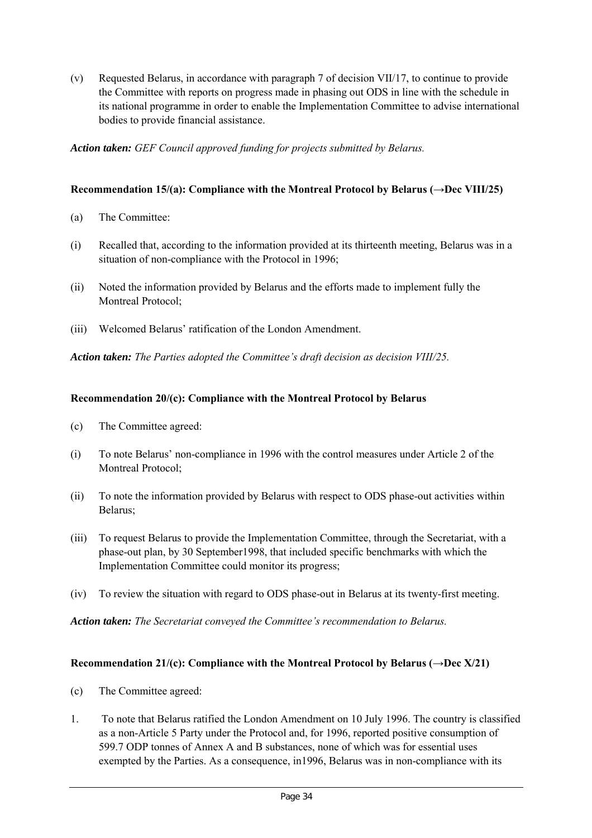(v) Requested Belarus, in accordance with paragraph 7 of decision VII/17, to continue to provide the Committee with reports on progress made in phasing out ODS in line with the schedule in its national programme in order to enable the Implementation Committee to advise international bodies to provide financial assistance.

*Action taken: GEF Council approved funding for projects submitted by Belarus.*

## **Recommendation 15/(a): Compliance with the Montreal Protocol by Belarus (→Dec VIII/25)**

- (a) The Committee:
- (i) Recalled that, according to the information provided at its thirteenth meeting, Belarus was in a situation of non-compliance with the Protocol in 1996;
- (ii) Noted the information provided by Belarus and the efforts made to implement fully the Montreal Protocol;
- (iii) Welcomed Belarus' ratification of the London Amendment.

*Action taken: The Parties adopted the Committee's draft decision as decision VIII/25.*

## **Recommendation 20/(c): Compliance with the Montreal Protocol by Belarus**

- (c) The Committee agreed:
- (i) To note Belarus' non-compliance in 1996 with the control measures under Article 2 of the Montreal Protocol;
- (ii) To note the information provided by Belarus with respect to ODS phase-out activities within Belarus;
- (iii) To request Belarus to provide the Implementation Committee, through the Secretariat, with a phase-out plan, by 30 September1998, that included specific benchmarks with which the Implementation Committee could monitor its progress;
- (iv) To review the situation with regard to ODS phase-out in Belarus at its twenty-first meeting.

*Action taken: The Secretariat conveyed the Committee's recommendation to Belarus.*

## **Recommendation 21/(c): Compliance with the Montreal Protocol by Belarus (** $\rightarrow$ **Dec X/21)**

- (c) The Committee agreed:
- 1. To note that Belarus ratified the London Amendment on 10 July 1996. The country is classified as a non-Article 5 Party under the Protocol and, for 1996, reported positive consumption of 599.7 ODP tonnes of Annex A and B substances, none of which was for essential uses exempted by the Parties. As a consequence, in1996, Belarus was in non-compliance with its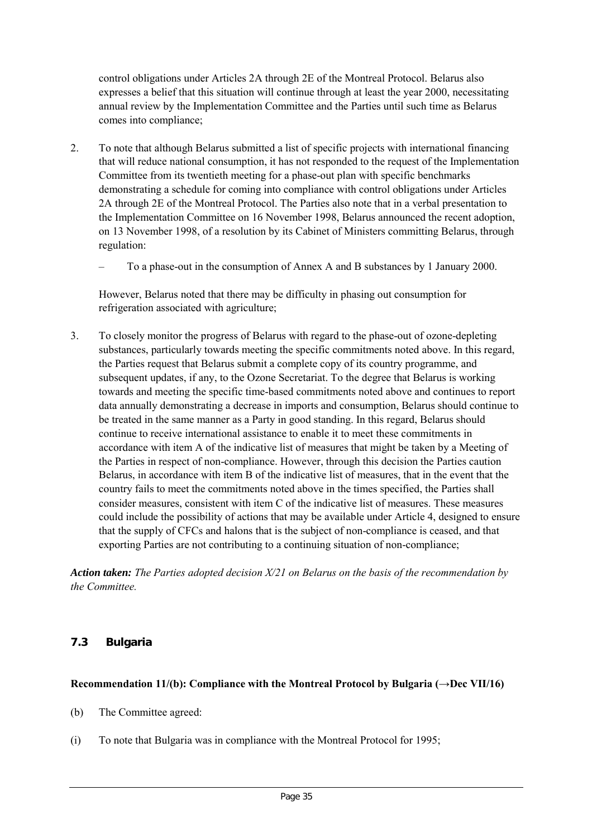control obligations under Articles 2A through 2E of the Montreal Protocol. Belarus also expresses a belief that this situation will continue through at least the year 2000, necessitating annual review by the Implementation Committee and the Parties until such time as Belarus comes into compliance;

- 2. To note that although Belarus submitted a list of specific projects with international financing that will reduce national consumption, it has not responded to the request of the Implementation Committee from its twentieth meeting for a phase-out plan with specific benchmarks demonstrating a schedule for coming into compliance with control obligations under Articles 2A through 2E of the Montreal Protocol. The Parties also note that in a verbal presentation to the Implementation Committee on 16 November 1998, Belarus announced the recent adoption, on 13 November 1998, of a resolution by its Cabinet of Ministers committing Belarus, through regulation:
	- To a phase-out in the consumption of Annex A and B substances by 1 January 2000.

However, Belarus noted that there may be difficulty in phasing out consumption for refrigeration associated with agriculture;

3. To closely monitor the progress of Belarus with regard to the phase-out of ozone-depleting substances, particularly towards meeting the specific commitments noted above. In this regard, the Parties request that Belarus submit a complete copy of its country programme, and subsequent updates, if any, to the Ozone Secretariat. To the degree that Belarus is working towards and meeting the specific time-based commitments noted above and continues to report data annually demonstrating a decrease in imports and consumption, Belarus should continue to be treated in the same manner as a Party in good standing. In this regard, Belarus should continue to receive international assistance to enable it to meet these commitments in accordance with item A of the indicative list of measures that might be taken by a Meeting of the Parties in respect of non-compliance. However, through this decision the Parties caution Belarus, in accordance with item B of the indicative list of measures, that in the event that the country fails to meet the commitments noted above in the times specified, the Parties shall consider measures, consistent with item C of the indicative list of measures. These measures could include the possibility of actions that may be available under Article 4, designed to ensure that the supply of CFCs and halons that is the subject of non-compliance is ceased, and that exporting Parties are not contributing to a continuing situation of non-compliance;

*Action taken: The Parties adopted decision X/21 on Belarus on the basis of the recommendation by the Committee.*

## **7.3 Bulgaria**

## **Recommendation 11/(b): Compliance with the Montreal Protocol by Bulgaria (→Dec VII/16)**

- (b) The Committee agreed:
- (i) To note that Bulgaria was in compliance with the Montreal Protocol for 1995;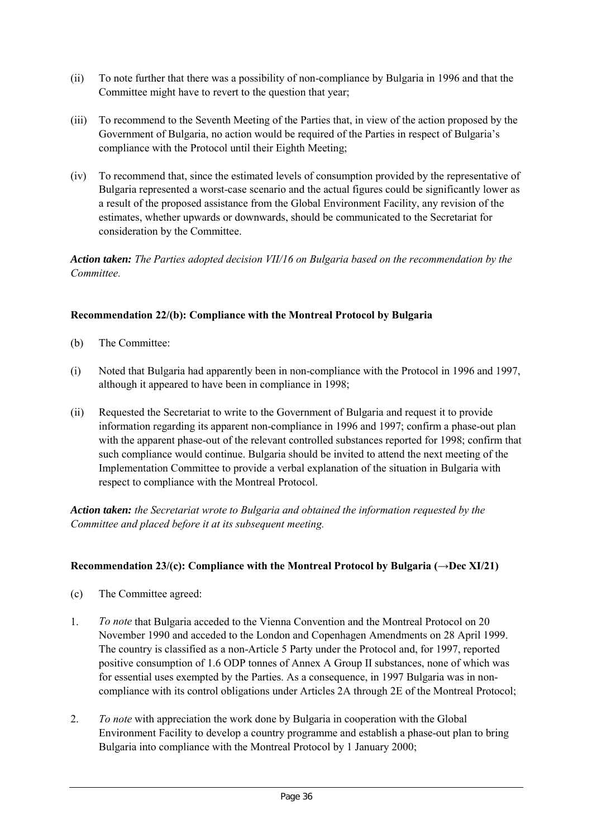- (ii) To note further that there was a possibility of non-compliance by Bulgaria in 1996 and that the Committee might have to revert to the question that year;
- (iii) To recommend to the Seventh Meeting of the Parties that, in view of the action proposed by the Government of Bulgaria, no action would be required of the Parties in respect of Bulgaria's compliance with the Protocol until their Eighth Meeting;
- (iv) To recommend that, since the estimated levels of consumption provided by the representative of Bulgaria represented a worst-case scenario and the actual figures could be significantly lower as a result of the proposed assistance from the Global Environment Facility, any revision of the estimates, whether upwards or downwards, should be communicated to the Secretariat for consideration by the Committee.

*Action taken: The Parties adopted decision VII/16 on Bulgaria based on the recommendation by the Committee.*

## **Recommendation 22/(b): Compliance with the Montreal Protocol by Bulgaria**

- (b) The Committee:
- (i) Noted that Bulgaria had apparently been in non-compliance with the Protocol in 1996 and 1997, although it appeared to have been in compliance in 1998;
- (ii) Requested the Secretariat to write to the Government of Bulgaria and request it to provide information regarding its apparent non-compliance in 1996 and 1997; confirm a phase-out plan with the apparent phase-out of the relevant controlled substances reported for 1998; confirm that such compliance would continue. Bulgaria should be invited to attend the next meeting of the Implementation Committee to provide a verbal explanation of the situation in Bulgaria with respect to compliance with the Montreal Protocol.

*Action taken: the Secretariat wrote to Bulgaria and obtained the information requested by the Committee and placed before it at its subsequent meeting.*

## **Recommendation 23/(c): Compliance with the Montreal Protocol by Bulgaria (→Dec XI/21)**

- (c) The Committee agreed:
- 1. *To note* that Bulgaria acceded to the Vienna Convention and the Montreal Protocol on 20 November 1990 and acceded to the London and Copenhagen Amendments on 28 April 1999. The country is classified as a non-Article 5 Party under the Protocol and, for 1997, reported positive consumption of 1.6 ODP tonnes of Annex A Group II substances, none of which was for essential uses exempted by the Parties. As a consequence, in 1997 Bulgaria was in noncompliance with its control obligations under Articles 2A through 2E of the Montreal Protocol;
- 2. *To note* with appreciation the work done by Bulgaria in cooperation with the Global Environment Facility to develop a country programme and establish a phase-out plan to bring Bulgaria into compliance with the Montreal Protocol by 1 January 2000;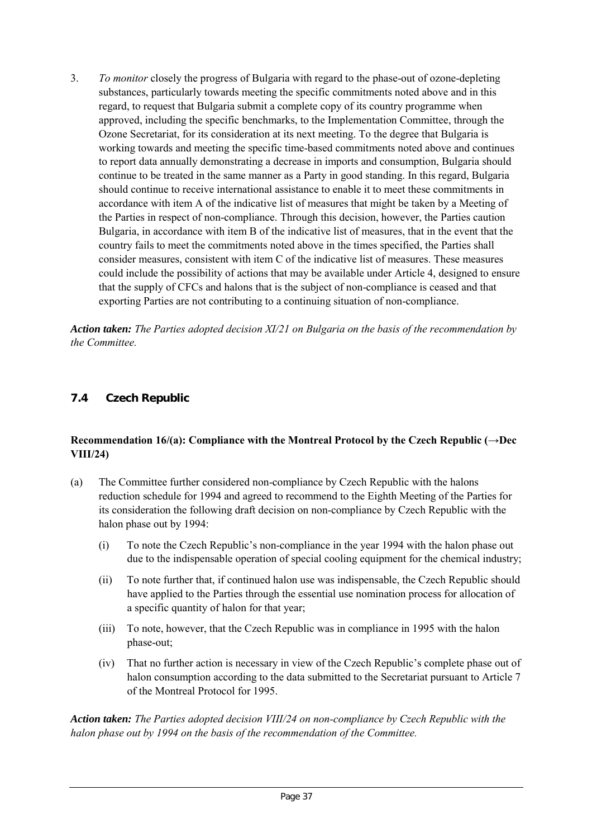3. *To monitor* closely the progress of Bulgaria with regard to the phase-out of ozone-depleting substances, particularly towards meeting the specific commitments noted above and in this regard, to request that Bulgaria submit a complete copy of its country programme when approved, including the specific benchmarks, to the Implementation Committee, through the Ozone Secretariat, for its consideration at its next meeting. To the degree that Bulgaria is working towards and meeting the specific time-based commitments noted above and continues to report data annually demonstrating a decrease in imports and consumption, Bulgaria should continue to be treated in the same manner as a Party in good standing. In this regard, Bulgaria should continue to receive international assistance to enable it to meet these commitments in accordance with item A of the indicative list of measures that might be taken by a Meeting of the Parties in respect of non-compliance. Through this decision, however, the Parties caution Bulgaria, in accordance with item B of the indicative list of measures, that in the event that the country fails to meet the commitments noted above in the times specified, the Parties shall consider measures, consistent with item C of the indicative list of measures. These measures could include the possibility of actions that may be available under Article 4, designed to ensure that the supply of CFCs and halons that is the subject of non-compliance is ceased and that exporting Parties are not contributing to a continuing situation of non-compliance.

*Action taken: The Parties adopted decision XI/21 on Bulgaria on the basis of the recommendation by the Committee.*

# **7.4 Czech Republic**

## **Recommendation 16/(a): Compliance with the Montreal Protocol by the Czech Republic (→Dec VIII/24)**

- (a) The Committee further considered non-compliance by Czech Republic with the halons reduction schedule for 1994 and agreed to recommend to the Eighth Meeting of the Parties for its consideration the following draft decision on non-compliance by Czech Republic with the halon phase out by 1994:
	- (i) To note the Czech Republic's non-compliance in the year 1994 with the halon phase out due to the indispensable operation of special cooling equipment for the chemical industry;
	- (ii) To note further that, if continued halon use was indispensable, the Czech Republic should have applied to the Parties through the essential use nomination process for allocation of a specific quantity of halon for that year;
	- (iii) To note, however, that the Czech Republic was in compliance in 1995 with the halon phase-out;
	- (iv) That no further action is necessary in view of the Czech Republic's complete phase out of halon consumption according to the data submitted to the Secretariat pursuant to Article 7 of the Montreal Protocol for 1995.

*Action taken: The Parties adopted decision VIII/24 on non-compliance by Czech Republic with the halon phase out by 1994 on the basis of the recommendation of the Committee.*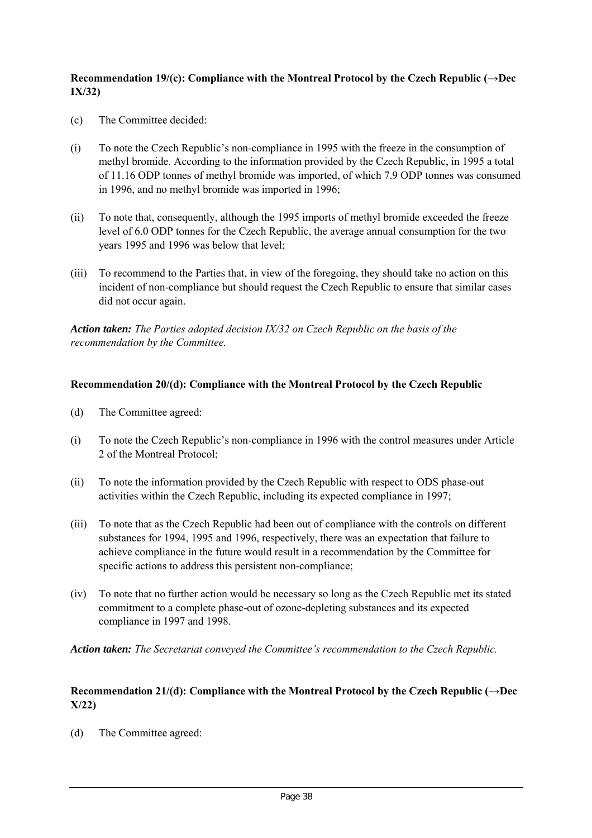## **Recommendation 19/(c): Compliance with the Montreal Protocol by the Czech Republic (→Dec IX/32)**

- (c) The Committee decided:
- (i) To note the Czech Republic's non-compliance in 1995 with the freeze in the consumption of methyl bromide. According to the information provided by the Czech Republic, in 1995 a total of 11.16 ODP tonnes of methyl bromide was imported, of which 7.9 ODP tonnes was consumed in 1996, and no methyl bromide was imported in 1996;
- (ii) To note that, consequently, although the 1995 imports of methyl bromide exceeded the freeze level of 6.0 ODP tonnes for the Czech Republic, the average annual consumption for the two years 1995 and 1996 was below that level;
- (iii) To recommend to the Parties that, in view of the foregoing, they should take no action on this incident of non-compliance but should request the Czech Republic to ensure that similar cases did not occur again.

*Action taken: The Parties adopted decision IX/32 on Czech Republic on the basis of the recommendation by the Committee.*

## **Recommendation 20/(d): Compliance with the Montreal Protocol by the Czech Republic**

- (d) The Committee agreed:
- (i) To note the Czech Republic's non-compliance in 1996 with the control measures under Article 2 of the Montreal Protocol;
- (ii) To note the information provided by the Czech Republic with respect to ODS phase-out activities within the Czech Republic, including its expected compliance in 1997;
- (iii) To note that as the Czech Republic had been out of compliance with the controls on different substances for 1994, 1995 and 1996, respectively, there was an expectation that failure to achieve compliance in the future would result in a recommendation by the Committee for specific actions to address this persistent non-compliance;
- (iv) To note that no further action would be necessary so long as the Czech Republic met its stated commitment to a complete phase-out of ozone-depleting substances and its expected compliance in 1997 and 1998.

*Action taken: The Secretariat conveyed the Committee's recommendation to the Czech Republic.*

## **Recommendation 21/(d): Compliance with the Montreal Protocol by the Czech Republic (→Dec X/22)**

(d) The Committee agreed: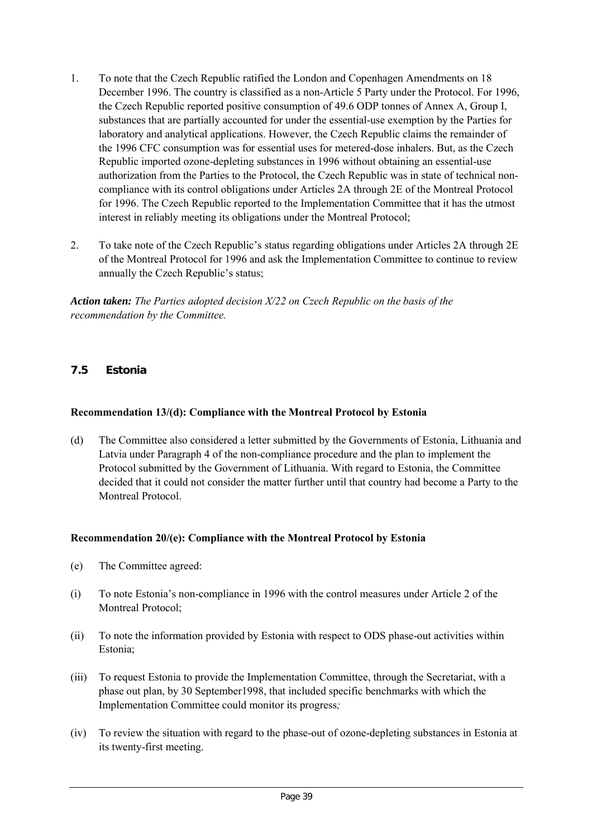- 1. To note that the Czech Republic ratified the London and Copenhagen Amendments on 18 December 1996. The country is classified as a non-Article 5 Party under the Protocol. For 1996, the Czech Republic reported positive consumption of 49.6 ODP tonnes of Annex A, Group I, substances that are partially accounted for under the essential-use exemption by the Parties for laboratory and analytical applications. However, the Czech Republic claims the remainder of the 1996 CFC consumption was for essential uses for metered-dose inhalers. But, as the Czech Republic imported ozone-depleting substances in 1996 without obtaining an essential-use authorization from the Parties to the Protocol, the Czech Republic was in state of technical noncompliance with its control obligations under Articles 2A through 2E of the Montreal Protocol for 1996. The Czech Republic reported to the Implementation Committee that it has the utmost interest in reliably meeting its obligations under the Montreal Protocol;
- 2. To take note of the Czech Republic's status regarding obligations under Articles 2A through 2E of the Montreal Protocol for 1996 and ask the Implementation Committee to continue to review annually the Czech Republic's status;

*Action taken: The Parties adopted decision X/22 on Czech Republic on the basis of the recommendation by the Committee.*

# **7.5 Estonia**

## **Recommendation 13/(d): Compliance with the Montreal Protocol by Estonia**

(d) The Committee also considered a letter submitted by the Governments of Estonia, Lithuania and Latvia under Paragraph 4 of the non-compliance procedure and the plan to implement the Protocol submitted by the Government of Lithuania. With regard to Estonia, the Committee decided that it could not consider the matter further until that country had become a Party to the Montreal Protocol.

## **Recommendation 20/(e): Compliance with the Montreal Protocol by Estonia**

- (e) The Committee agreed:
- (i) To note Estonia's non-compliance in 1996 with the control measures under Article 2 of the Montreal Protocol;
- (ii) To note the information provided by Estonia with respect to ODS phase-out activities within Estonia;
- (iii) To request Estonia to provide the Implementation Committee, through the Secretariat, with a phase out plan, by 30 September1998, that included specific benchmarks with which the Implementation Committee could monitor its progress*;*
- (iv) To review the situation with regard to the phase-out of ozone-depleting substances in Estonia at its twenty-first meeting.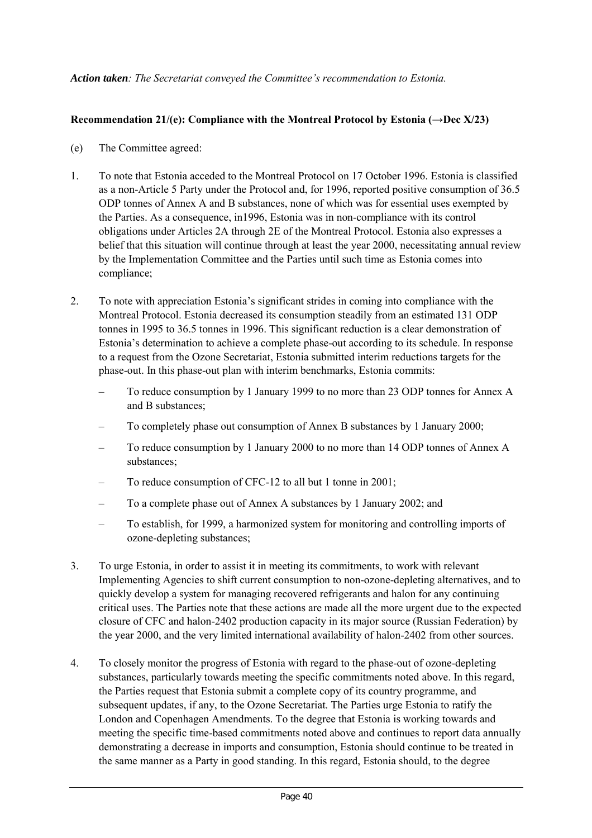## *Action taken: The Secretariat conveyed the Committee's recommendation to Estonia.*

## **Recommendation 21/(e): Compliance with the Montreal Protocol by Estonia (→Dec X/23)**

- (e) The Committee agreed:
- 1. To note that Estonia acceded to the Montreal Protocol on 17 October 1996. Estonia is classified as a non-Article 5 Party under the Protocol and, for 1996, reported positive consumption of 36.5 ODP tonnes of Annex A and B substances, none of which was for essential uses exempted by the Parties. As a consequence, in1996, Estonia was in non-compliance with its control obligations under Articles 2A through 2E of the Montreal Protocol. Estonia also expresses a belief that this situation will continue through at least the year 2000, necessitating annual review by the Implementation Committee and the Parties until such time as Estonia comes into compliance;
- 2. To note with appreciation Estonia's significant strides in coming into compliance with the Montreal Protocol. Estonia decreased its consumption steadily from an estimated 131 ODP tonnes in 1995 to 36.5 tonnes in 1996. This significant reduction is a clear demonstration of Estonia's determination to achieve a complete phase-out according to its schedule. In response to a request from the Ozone Secretariat, Estonia submitted interim reductions targets for the phase-out. In this phase-out plan with interim benchmarks, Estonia commits:
	- To reduce consumption by 1 January 1999 to no more than 23 ODP tonnes for Annex A and B substances;
	- To completely phase out consumption of Annex B substances by 1 January 2000;
	- To reduce consumption by 1 January 2000 to no more than 14 ODP tonnes of Annex A substances;
	- To reduce consumption of CFC-12 to all but 1 tonne in 2001;
	- To a complete phase out of Annex A substances by 1 January 2002; and
	- To establish, for 1999, a harmonized system for monitoring and controlling imports of ozone-depleting substances;
- 3. To urge Estonia, in order to assist it in meeting its commitments, to work with relevant Implementing Agencies to shift current consumption to non-ozone-depleting alternatives, and to quickly develop a system for managing recovered refrigerants and halon for any continuing critical uses. The Parties note that these actions are made all the more urgent due to the expected closure of CFC and halon-2402 production capacity in its major source (Russian Federation) by the year 2000, and the very limited international availability of halon-2402 from other sources.
- 4. To closely monitor the progress of Estonia with regard to the phase-out of ozone-depleting substances, particularly towards meeting the specific commitments noted above. In this regard, the Parties request that Estonia submit a complete copy of its country programme, and subsequent updates, if any, to the Ozone Secretariat. The Parties urge Estonia to ratify the London and Copenhagen Amendments. To the degree that Estonia is working towards and meeting the specific time-based commitments noted above and continues to report data annually demonstrating a decrease in imports and consumption, Estonia should continue to be treated in the same manner as a Party in good standing. In this regard, Estonia should, to the degree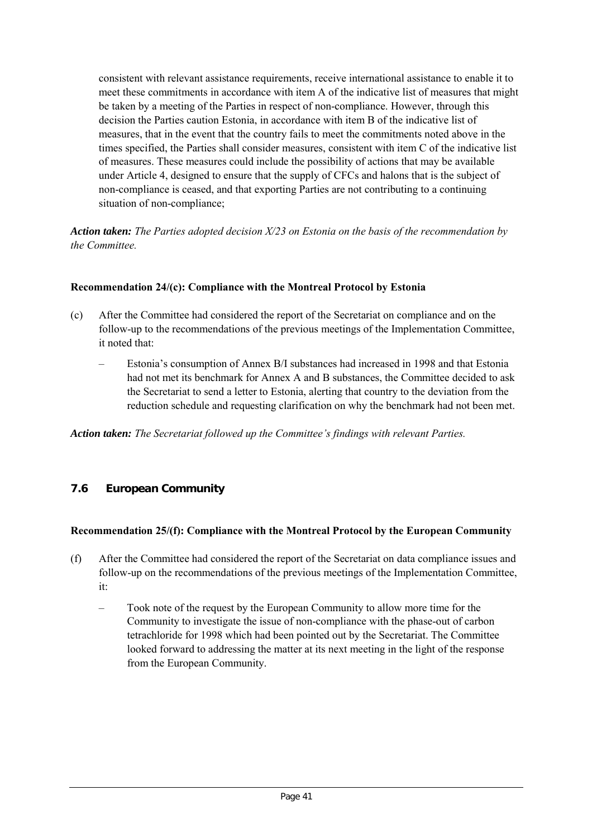consistent with relevant assistance requirements, receive international assistance to enable it to meet these commitments in accordance with item A of the indicative list of measures that might be taken by a meeting of the Parties in respect of non-compliance. However, through this decision the Parties caution Estonia, in accordance with item B of the indicative list of measures, that in the event that the country fails to meet the commitments noted above in the times specified, the Parties shall consider measures, consistent with item C of the indicative list of measures. These measures could include the possibility of actions that may be available under Article 4, designed to ensure that the supply of CFCs and halons that is the subject of non-compliance is ceased, and that exporting Parties are not contributing to a continuing situation of non-compliance;

*Action taken: The Parties adopted decision X/23 on Estonia on the basis of the recommendation by the Committee.*

## **Recommendation 24/(c): Compliance with the Montreal Protocol by Estonia**

- (c) After the Committee had considered the report of the Secretariat on compliance and on the follow-up to the recommendations of the previous meetings of the Implementation Committee, it noted that:
	- Estonia's consumption of Annex B/I substances had increased in 1998 and that Estonia had not met its benchmark for Annex A and B substances, the Committee decided to ask the Secretariat to send a letter to Estonia, alerting that country to the deviation from the reduction schedule and requesting clarification on why the benchmark had not been met.

*Action taken: The Secretariat followed up the Committee's findings with relevant Parties.*

## **7.6 European Community**

## **Recommendation 25/(f): Compliance with the Montreal Protocol by the European Community**

- (f) After the Committee had considered the report of the Secretariat on data compliance issues and follow-up on the recommendations of the previous meetings of the Implementation Committee, it:
	- Took note of the request by the European Community to allow more time for the Community to investigate the issue of non-compliance with the phase-out of carbon tetrachloride for 1998 which had been pointed out by the Secretariat. The Committee looked forward to addressing the matter at its next meeting in the light of the response from the European Community.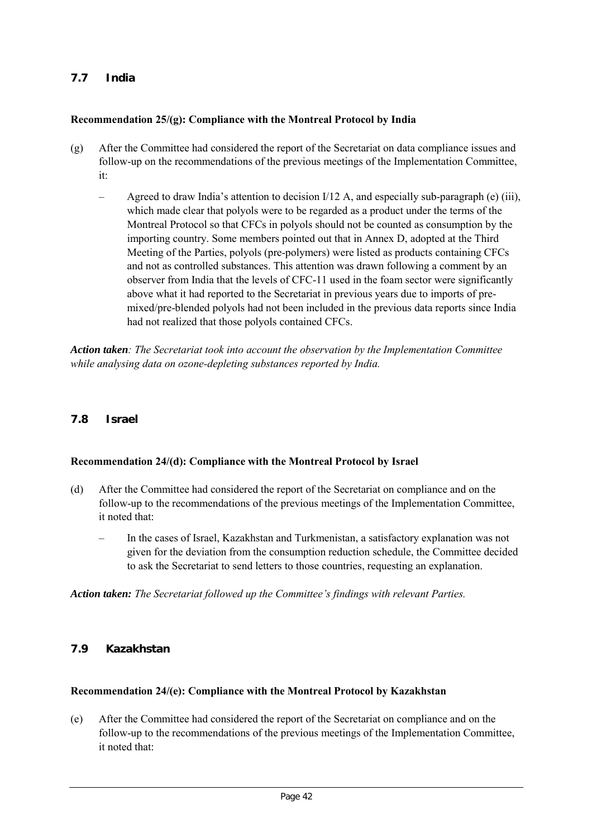# **7.7 India**

#### **Recommendation 25/(g): Compliance with the Montreal Protocol by India**

- (g) After the Committee had considered the report of the Secretariat on data compliance issues and follow-up on the recommendations of the previous meetings of the Implementation Committee, it:
	- Agreed to draw India's attention to decision  $I/12$  A, and especially sub-paragraph (e) (iii), which made clear that polyols were to be regarded as a product under the terms of the Montreal Protocol so that CFCs in polyols should not be counted as consumption by the importing country. Some members pointed out that in Annex D, adopted at the Third Meeting of the Parties, polyols (pre-polymers) were listed as products containing CFCs and not as controlled substances. This attention was drawn following a comment by an observer from India that the levels of CFC-11 used in the foam sector were significantly above what it had reported to the Secretariat in previous years due to imports of premixed/pre-blended polyols had not been included in the previous data reports since India had not realized that those polyols contained CFCs.

*Action taken: The Secretariat took into account the observation by the Implementation Committee while analysing data on ozone-depleting substances reported by India.*

## **7.8 Israel**

## **Recommendation 24/(d): Compliance with the Montreal Protocol by Israel**

- (d) After the Committee had considered the report of the Secretariat on compliance and on the follow-up to the recommendations of the previous meetings of the Implementation Committee, it noted that:
	- In the cases of Israel, Kazakhstan and Turkmenistan, a satisfactory explanation was not given for the deviation from the consumption reduction schedule, the Committee decided to ask the Secretariat to send letters to those countries, requesting an explanation.

*Action taken: The Secretariat followed up the Committee's findings with relevant Parties.*

## **7.9 Kazakhstan**

#### **Recommendation 24/(e): Compliance with the Montreal Protocol by Kazakhstan**

(e) After the Committee had considered the report of the Secretariat on compliance and on the follow-up to the recommendations of the previous meetings of the Implementation Committee, it noted that: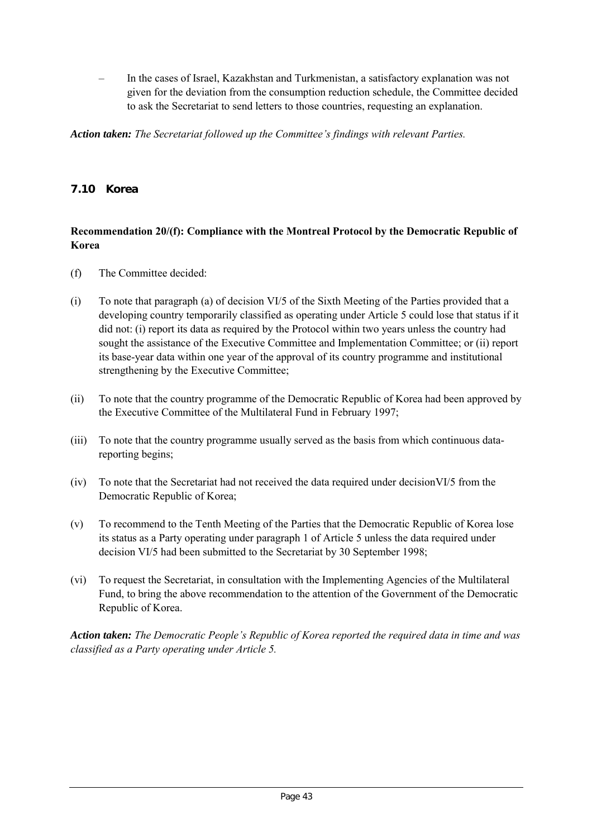– In the cases of Israel, Kazakhstan and Turkmenistan, a satisfactory explanation was not given for the deviation from the consumption reduction schedule, the Committee decided to ask the Secretariat to send letters to those countries, requesting an explanation.

*Action taken: The Secretariat followed up the Committee's findings with relevant Parties.*

## **7.10 Korea**

## **Recommendation 20/(f): Compliance with the Montreal Protocol by the Democratic Republic of Korea**

- (f) The Committee decided:
- (i) To note that paragraph (a) of decision VI/5 of the Sixth Meeting of the Parties provided that a developing country temporarily classified as operating under Article 5 could lose that status if it did not: (i) report its data as required by the Protocol within two years unless the country had sought the assistance of the Executive Committee and Implementation Committee; or (ii) report its base-year data within one year of the approval of its country programme and institutional strengthening by the Executive Committee;
- (ii) To note that the country programme of the Democratic Republic of Korea had been approved by the Executive Committee of the Multilateral Fund in February 1997;
- (iii) To note that the country programme usually served as the basis from which continuous datareporting begins;
- (iv) To note that the Secretariat had not received the data required under decisionVI/5 from the Democratic Republic of Korea;
- (v) To recommend to the Tenth Meeting of the Parties that the Democratic Republic of Korea lose its status as a Party operating under paragraph 1 of Article 5 unless the data required under decision VI/5 had been submitted to the Secretariat by 30 September 1998;
- (vi) To request the Secretariat, in consultation with the Implementing Agencies of the Multilateral Fund, to bring the above recommendation to the attention of the Government of the Democratic Republic of Korea.

*Action taken: The Democratic People's Republic of Korea reported the required data in time and was classified as a Party operating under Article 5.*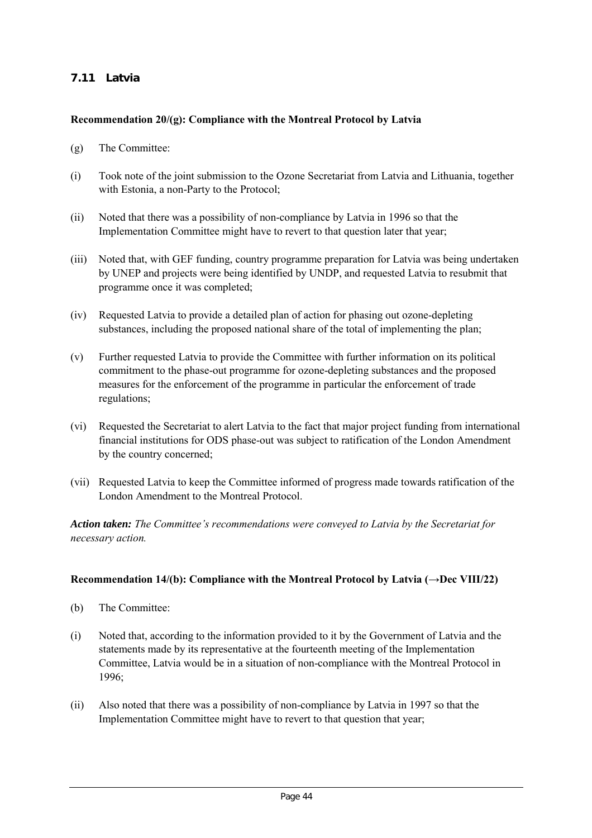# **7.11 Latvia**

#### **Recommendation 20/(g): Compliance with the Montreal Protocol by Latvia**

- (g) The Committee:
- (i) Took note of the joint submission to the Ozone Secretariat from Latvia and Lithuania, together with Estonia, a non-Party to the Protocol;
- (ii) Noted that there was a possibility of non-compliance by Latvia in 1996 so that the Implementation Committee might have to revert to that question later that year;
- (iii) Noted that, with GEF funding, country programme preparation for Latvia was being undertaken by UNEP and projects were being identified by UNDP, and requested Latvia to resubmit that programme once it was completed;
- (iv) Requested Latvia to provide a detailed plan of action for phasing out ozone-depleting substances, including the proposed national share of the total of implementing the plan;
- (v) Further requested Latvia to provide the Committee with further information on its political commitment to the phase-out programme for ozone-depleting substances and the proposed measures for the enforcement of the programme in particular the enforcement of trade regulations;
- (vi) Requested the Secretariat to alert Latvia to the fact that major project funding from international financial institutions for ODS phase-out was subject to ratification of the London Amendment by the country concerned;
- (vii) Requested Latvia to keep the Committee informed of progress made towards ratification of the London Amendment to the Montreal Protocol.

*Action taken: The Committee's recommendations were conveyed to Latvia by the Secretariat for necessary action.*

#### **Recommendation 14/(b): Compliance with the Montreal Protocol by Latvia (→Dec VIII/22)**

- (b) The Committee:
- (i) Noted that, according to the information provided to it by the Government of Latvia and the statements made by its representative at the fourteenth meeting of the Implementation Committee, Latvia would be in a situation of non-compliance with the Montreal Protocol in 1996;
- (ii) Also noted that there was a possibility of non-compliance by Latvia in 1997 so that the Implementation Committee might have to revert to that question that year;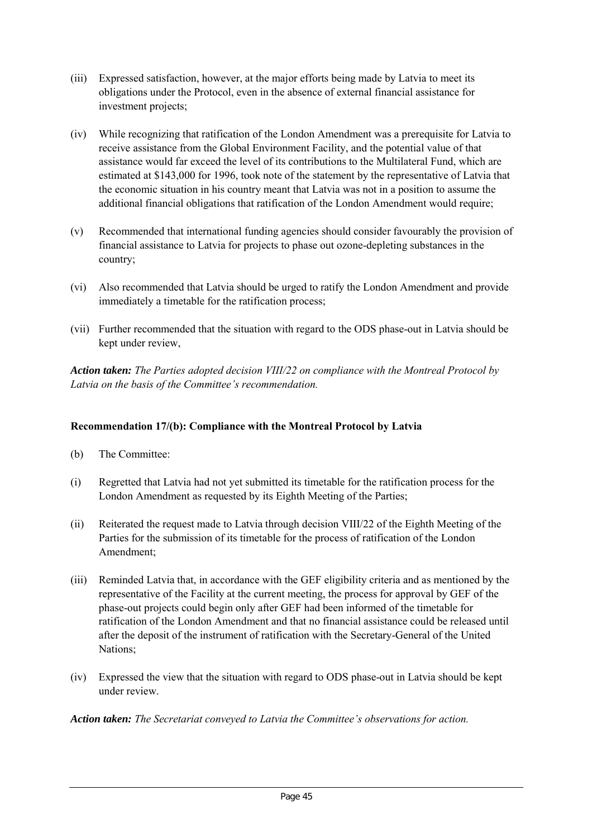- (iii) Expressed satisfaction, however, at the major efforts being made by Latvia to meet its obligations under the Protocol, even in the absence of external financial assistance for investment projects;
- (iv) While recognizing that ratification of the London Amendment was a prerequisite for Latvia to receive assistance from the Global Environment Facility, and the potential value of that assistance would far exceed the level of its contributions to the Multilateral Fund, which are estimated at \$143,000 for 1996, took note of the statement by the representative of Latvia that the economic situation in his country meant that Latvia was not in a position to assume the additional financial obligations that ratification of the London Amendment would require;
- (v) Recommended that international funding agencies should consider favourably the provision of financial assistance to Latvia for projects to phase out ozone-depleting substances in the country;
- (vi) Also recommended that Latvia should be urged to ratify the London Amendment and provide immediately a timetable for the ratification process;
- (vii) Further recommended that the situation with regard to the ODS phase-out in Latvia should be kept under review,

*Action taken: The Parties adopted decision VIII/22 on compliance with the Montreal Protocol by Latvia on the basis of the Committee's recommendation.*

## **Recommendation 17/(b): Compliance with the Montreal Protocol by Latvia**

- (b) The Committee:
- (i) Regretted that Latvia had not yet submitted its timetable for the ratification process for the London Amendment as requested by its Eighth Meeting of the Parties;
- (ii) Reiterated the request made to Latvia through decision VIII/22 of the Eighth Meeting of the Parties for the submission of its timetable for the process of ratification of the London Amendment;
- (iii) Reminded Latvia that, in accordance with the GEF eligibility criteria and as mentioned by the representative of the Facility at the current meeting, the process for approval by GEF of the phase-out projects could begin only after GEF had been informed of the timetable for ratification of the London Amendment and that no financial assistance could be released until after the deposit of the instrument of ratification with the Secretary-General of the United Nations;
- (iv) Expressed the view that the situation with regard to ODS phase-out in Latvia should be kept under review.

*Action taken: The Secretariat conveyed to Latvia the Committee's observations for action.*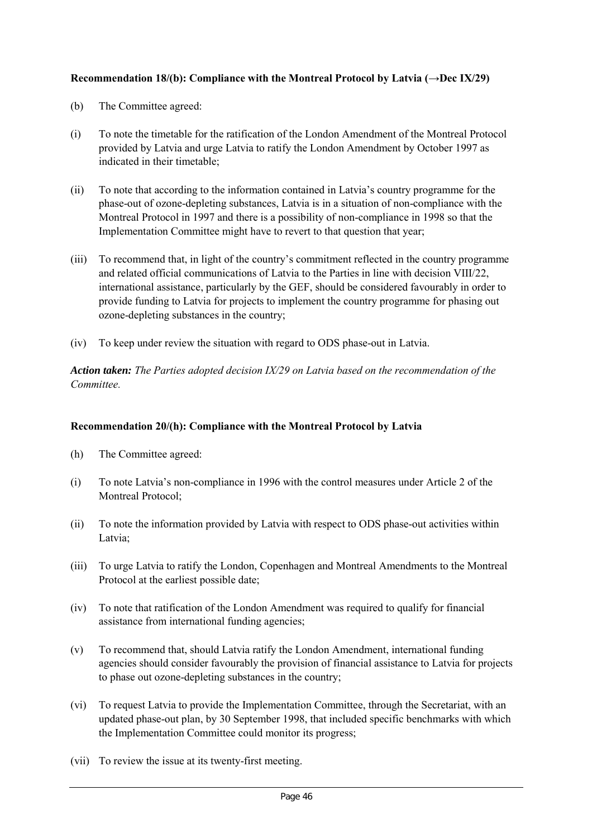## **Recommendation 18/(b): Compliance with the Montreal Protocol by Latvia (→Dec IX/29)**

- (b) The Committee agreed:
- (i) To note the timetable for the ratification of the London Amendment of the Montreal Protocol provided by Latvia and urge Latvia to ratify the London Amendment by October 1997 as indicated in their timetable;
- (ii) To note that according to the information contained in Latvia's country programme for the phase-out of ozone-depleting substances, Latvia is in a situation of non-compliance with the Montreal Protocol in 1997 and there is a possibility of non-compliance in 1998 so that the Implementation Committee might have to revert to that question that year;
- (iii) To recommend that, in light of the country's commitment reflected in the country programme and related official communications of Latvia to the Parties in line with decision VIII/22, international assistance, particularly by the GEF, should be considered favourably in order to provide funding to Latvia for projects to implement the country programme for phasing out ozone-depleting substances in the country;
- (iv) To keep under review the situation with regard to ODS phase-out in Latvia.

*Action taken: The Parties adopted decision IX/29 on Latvia based on the recommendation of the Committee.*

## **Recommendation 20/(h): Compliance with the Montreal Protocol by Latvia**

- (h) The Committee agreed:
- (i) To note Latvia's non-compliance in 1996 with the control measures under Article 2 of the Montreal Protocol;
- (ii) To note the information provided by Latvia with respect to ODS phase-out activities within Latvia;
- (iii) To urge Latvia to ratify the London, Copenhagen and Montreal Amendments to the Montreal Protocol at the earliest possible date;
- (iv) To note that ratification of the London Amendment was required to qualify for financial assistance from international funding agencies;
- (v) To recommend that, should Latvia ratify the London Amendment, international funding agencies should consider favourably the provision of financial assistance to Latvia for projects to phase out ozone-depleting substances in the country;
- (vi) To request Latvia to provide the Implementation Committee, through the Secretariat, with an updated phase-out plan, by 30 September 1998, that included specific benchmarks with which the Implementation Committee could monitor its progress;
- (vii) To review the issue at its twenty-first meeting.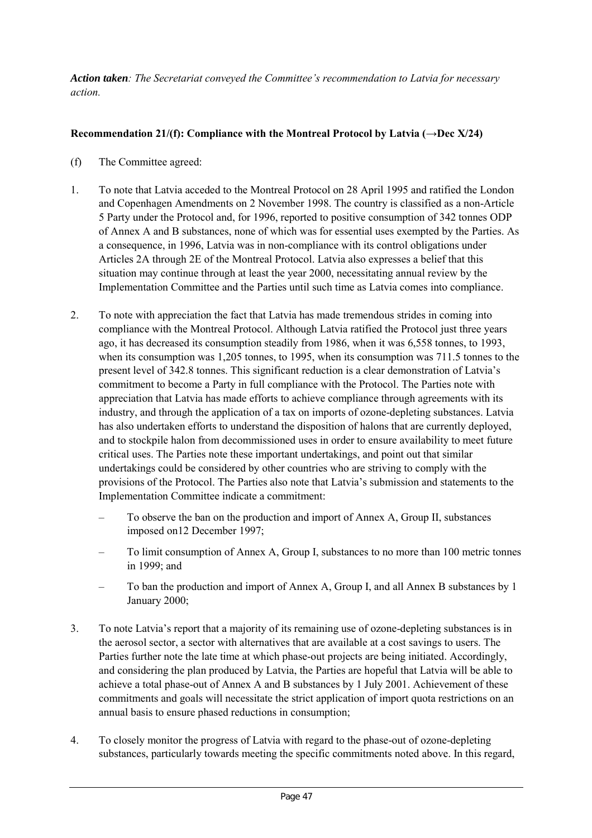*Action taken: The Secretariat conveyed the Committee's recommendation to Latvia for necessary action.*

# **Recommendation 21/(f): Compliance with the Montreal Protocol by Latvia (** $\rightarrow$ **Dec X/24)**

- (f) The Committee agreed:
- 1. To note that Latvia acceded to the Montreal Protocol on 28 April 1995 and ratified the London and Copenhagen Amendments on 2 November 1998. The country is classified as a non-Article 5 Party under the Protocol and, for 1996, reported to positive consumption of 342 tonnes ODP of Annex A and B substances, none of which was for essential uses exempted by the Parties. As a consequence, in 1996, Latvia was in non-compliance with its control obligations under Articles 2A through 2E of the Montreal Protocol. Latvia also expresses a belief that this situation may continue through at least the year 2000, necessitating annual review by the Implementation Committee and the Parties until such time as Latvia comes into compliance.
- 2. To note with appreciation the fact that Latvia has made tremendous strides in coming into compliance with the Montreal Protocol. Although Latvia ratified the Protocol just three years ago, it has decreased its consumption steadily from 1986, when it was 6,558 tonnes, to 1993, when its consumption was 1,205 tonnes, to 1995, when its consumption was 711.5 tonnes to the present level of 342.8 tonnes. This significant reduction is a clear demonstration of Latvia's commitment to become a Party in full compliance with the Protocol. The Parties note with appreciation that Latvia has made efforts to achieve compliance through agreements with its industry, and through the application of a tax on imports of ozone-depleting substances. Latvia has also undertaken efforts to understand the disposition of halons that are currently deployed, and to stockpile halon from decommissioned uses in order to ensure availability to meet future critical uses. The Parties note these important undertakings, and point out that similar undertakings could be considered by other countries who are striving to comply with the provisions of the Protocol. The Parties also note that Latvia's submission and statements to the Implementation Committee indicate a commitment:
	- To observe the ban on the production and import of Annex A, Group II, substances imposed on12 December 1997;
	- To limit consumption of Annex A, Group I, substances to no more than 100 metric tonnes in 1999; and
	- To ban the production and import of Annex A, Group I, and all Annex B substances by 1 January 2000;
- 3. To note Latvia's report that a majority of its remaining use of ozone-depleting substances is in the aerosol sector, a sector with alternatives that are available at a cost savings to users. The Parties further note the late time at which phase-out projects are being initiated. Accordingly, and considering the plan produced by Latvia, the Parties are hopeful that Latvia will be able to achieve a total phase-out of Annex A and B substances by 1 July 2001. Achievement of these commitments and goals will necessitate the strict application of import quota restrictions on an annual basis to ensure phased reductions in consumption;
- 4. To closely monitor the progress of Latvia with regard to the phase-out of ozone-depleting substances, particularly towards meeting the specific commitments noted above. In this regard,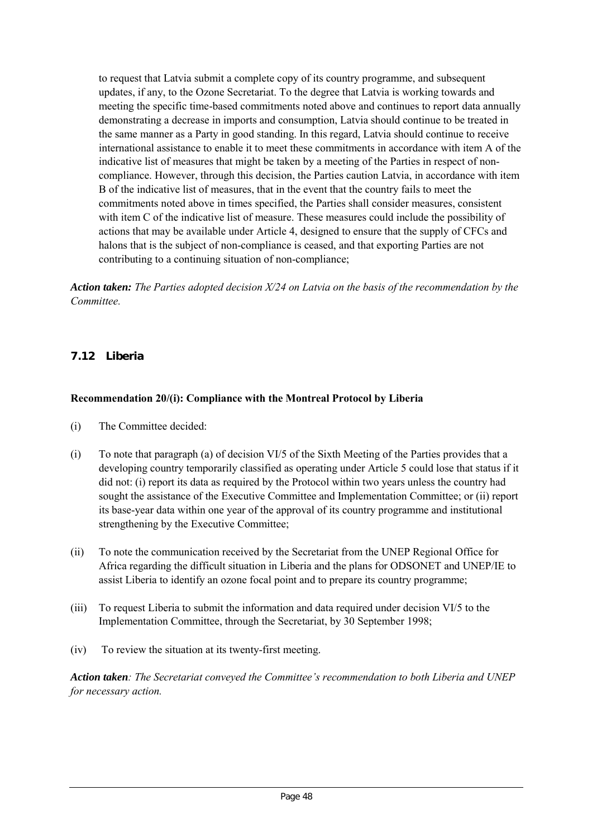to request that Latvia submit a complete copy of its country programme, and subsequent updates, if any, to the Ozone Secretariat. To the degree that Latvia is working towards and meeting the specific time-based commitments noted above and continues to report data annually demonstrating a decrease in imports and consumption, Latvia should continue to be treated in the same manner as a Party in good standing. In this regard, Latvia should continue to receive international assistance to enable it to meet these commitments in accordance with item A of the indicative list of measures that might be taken by a meeting of the Parties in respect of noncompliance. However, through this decision, the Parties caution Latvia, in accordance with item B of the indicative list of measures, that in the event that the country fails to meet the commitments noted above in times specified, the Parties shall consider measures, consistent with item C of the indicative list of measure. These measures could include the possibility of actions that may be available under Article 4, designed to ensure that the supply of CFCs and halons that is the subject of non-compliance is ceased, and that exporting Parties are not contributing to a continuing situation of non-compliance;

*Action taken: The Parties adopted decision X/24 on Latvia on the basis of the recommendation by the Committee.*

# **7.12 Liberia**

## **Recommendation 20/(i): Compliance with the Montreal Protocol by Liberia**

- (i) The Committee decided:
- (i) To note that paragraph (a) of decision VI/5 of the Sixth Meeting of the Parties provides that a developing country temporarily classified as operating under Article 5 could lose that status if it did not: (i) report its data as required by the Protocol within two years unless the country had sought the assistance of the Executive Committee and Implementation Committee; or (ii) report its base-year data within one year of the approval of its country programme and institutional strengthening by the Executive Committee;
- (ii) To note the communication received by the Secretariat from the UNEP Regional Office for Africa regarding the difficult situation in Liberia and the plans for ODSONET and UNEP/IE to assist Liberia to identify an ozone focal point and to prepare its country programme;
- (iii) To request Liberia to submit the information and data required under decision VI/5 to the Implementation Committee, through the Secretariat, by 30 September 1998;
- (iv) To review the situation at its twenty-first meeting.

*Action taken: The Secretariat conveyed the Committee's recommendation to both Liberia and UNEP for necessary action.*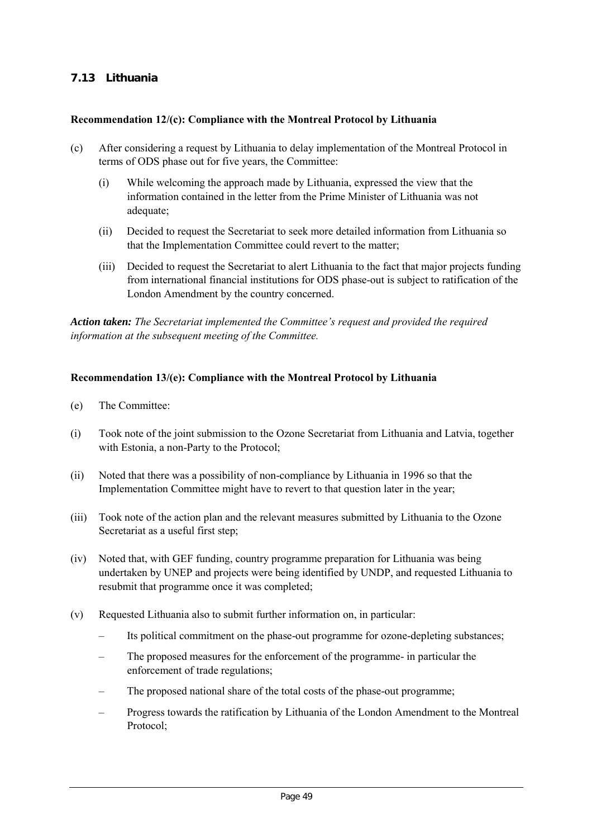# **7.13 Lithuania**

#### **Recommendation 12/(c): Compliance with the Montreal Protocol by Lithuania**

- (c) After considering a request by Lithuania to delay implementation of the Montreal Protocol in terms of ODS phase out for five years, the Committee:
	- (i) While welcoming the approach made by Lithuania, expressed the view that the information contained in the letter from the Prime Minister of Lithuania was not adequate;
	- (ii) Decided to request the Secretariat to seek more detailed information from Lithuania so that the Implementation Committee could revert to the matter;
	- (iii) Decided to request the Secretariat to alert Lithuania to the fact that major projects funding from international financial institutions for ODS phase-out is subject to ratification of the London Amendment by the country concerned.

*Action taken: The Secretariat implemented the Committee's request and provided the required information at the subsequent meeting of the Committee.*

#### **Recommendation 13/(e): Compliance with the Montreal Protocol by Lithuania**

- (e) The Committee:
- (i) Took note of the joint submission to the Ozone Secretariat from Lithuania and Latvia, together with Estonia, a non-Party to the Protocol;
- (ii) Noted that there was a possibility of non-compliance by Lithuania in 1996 so that the Implementation Committee might have to revert to that question later in the year;
- (iii) Took note of the action plan and the relevant measures submitted by Lithuania to the Ozone Secretariat as a useful first step;
- (iv) Noted that, with GEF funding, country programme preparation for Lithuania was being undertaken by UNEP and projects were being identified by UNDP, and requested Lithuania to resubmit that programme once it was completed;
- (v) Requested Lithuania also to submit further information on, in particular:
	- Its political commitment on the phase-out programme for ozone-depleting substances;
	- The proposed measures for the enforcement of the programme- in particular the enforcement of trade regulations;
	- The proposed national share of the total costs of the phase-out programme;
	- Progress towards the ratification by Lithuania of the London Amendment to the Montreal Protocol;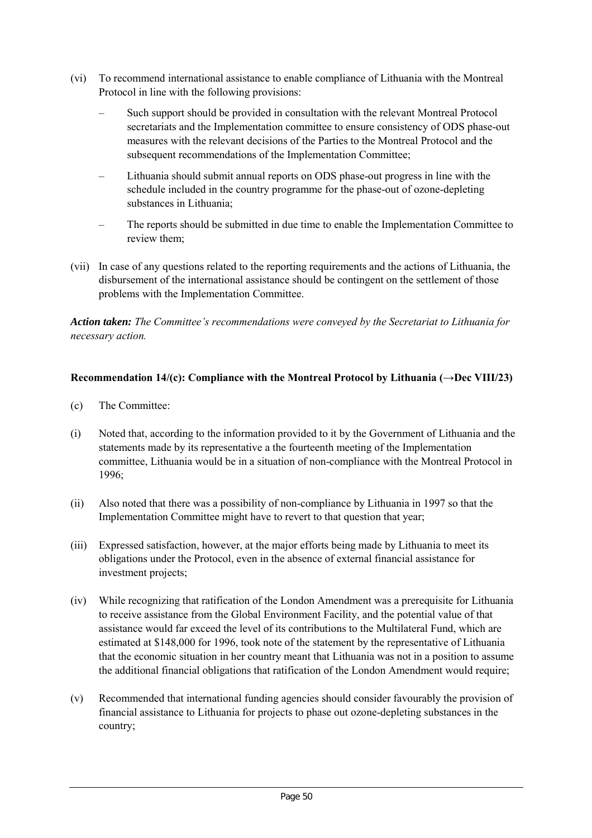- (vi) To recommend international assistance to enable compliance of Lithuania with the Montreal Protocol in line with the following provisions:
	- Such support should be provided in consultation with the relevant Montreal Protocol secretariats and the Implementation committee to ensure consistency of ODS phase-out measures with the relevant decisions of the Parties to the Montreal Protocol and the subsequent recommendations of the Implementation Committee;
	- Lithuania should submit annual reports on ODS phase-out progress in line with the schedule included in the country programme for the phase-out of ozone-depleting substances in Lithuania;
	- The reports should be submitted in due time to enable the Implementation Committee to review them;
- (vii) In case of any questions related to the reporting requirements and the actions of Lithuania, the disbursement of the international assistance should be contingent on the settlement of those problems with the Implementation Committee.

*Action taken: The Committee's recommendations were conveyed by the Secretariat to Lithuania for necessary action.*

## **Recommendation 14/(c): Compliance with the Montreal Protocol by Lithuania (→Dec VIII/23)**

- (c) The Committee:
- (i) Noted that, according to the information provided to it by the Government of Lithuania and the statements made by its representative a the fourteenth meeting of the Implementation committee, Lithuania would be in a situation of non-compliance with the Montreal Protocol in 1996;
- (ii) Also noted that there was a possibility of non-compliance by Lithuania in 1997 so that the Implementation Committee might have to revert to that question that year;
- (iii) Expressed satisfaction, however, at the major efforts being made by Lithuania to meet its obligations under the Protocol, even in the absence of external financial assistance for investment projects;
- (iv) While recognizing that ratification of the London Amendment was a prerequisite for Lithuania to receive assistance from the Global Environment Facility, and the potential value of that assistance would far exceed the level of its contributions to the Multilateral Fund, which are estimated at \$148,000 for 1996, took note of the statement by the representative of Lithuania that the economic situation in her country meant that Lithuania was not in a position to assume the additional financial obligations that ratification of the London Amendment would require;
- (v) Recommended that international funding agencies should consider favourably the provision of financial assistance to Lithuania for projects to phase out ozone-depleting substances in the country;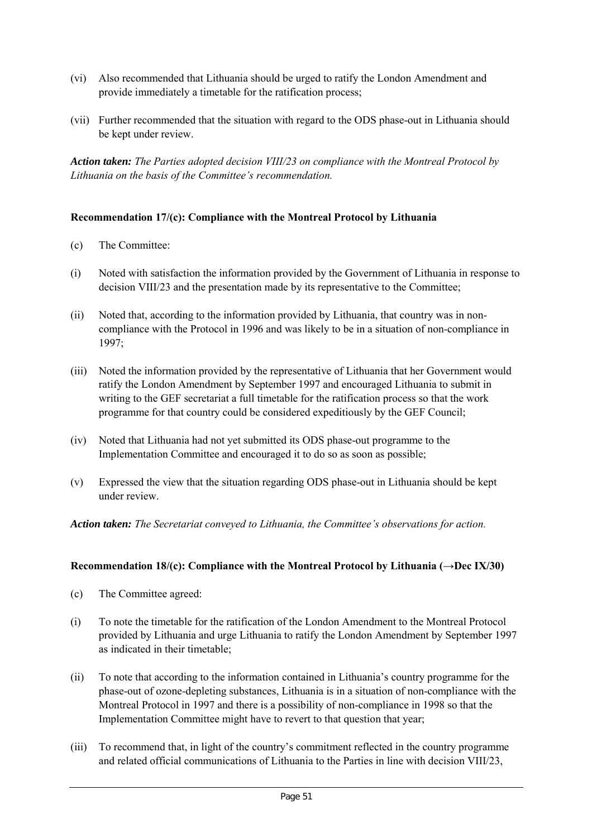- (vi) Also recommended that Lithuania should be urged to ratify the London Amendment and provide immediately a timetable for the ratification process;
- (vii) Further recommended that the situation with regard to the ODS phase-out in Lithuania should be kept under review.

*Action taken: The Parties adopted decision VIII/23 on compliance with the Montreal Protocol by Lithuania on the basis of the Committee's recommendation.*

## **Recommendation 17/(c): Compliance with the Montreal Protocol by Lithuania**

- (c) The Committee:
- (i) Noted with satisfaction the information provided by the Government of Lithuania in response to decision VIII/23 and the presentation made by its representative to the Committee;
- (ii) Noted that, according to the information provided by Lithuania, that country was in noncompliance with the Protocol in 1996 and was likely to be in a situation of non-compliance in 1997;
- (iii) Noted the information provided by the representative of Lithuania that her Government would ratify the London Amendment by September 1997 and encouraged Lithuania to submit in writing to the GEF secretariat a full timetable for the ratification process so that the work programme for that country could be considered expeditiously by the GEF Council;
- (iv) Noted that Lithuania had not yet submitted its ODS phase-out programme to the Implementation Committee and encouraged it to do so as soon as possible;
- (v) Expressed the view that the situation regarding ODS phase-out in Lithuania should be kept under review.

*Action taken: The Secretariat conveyed to Lithuania, the Committee's observations for action.*

## **Recommendation 18/(c): Compliance with the Montreal Protocol by Lithuania (→Dec IX/30)**

- (c) The Committee agreed:
- (i) To note the timetable for the ratification of the London Amendment to the Montreal Protocol provided by Lithuania and urge Lithuania to ratify the London Amendment by September 1997 as indicated in their timetable;
- (ii) To note that according to the information contained in Lithuania's country programme for the phase-out of ozone-depleting substances, Lithuania is in a situation of non-compliance with the Montreal Protocol in 1997 and there is a possibility of non-compliance in 1998 so that the Implementation Committee might have to revert to that question that year;
- (iii) To recommend that, in light of the country's commitment reflected in the country programme and related official communications of Lithuania to the Parties in line with decision VIII/23,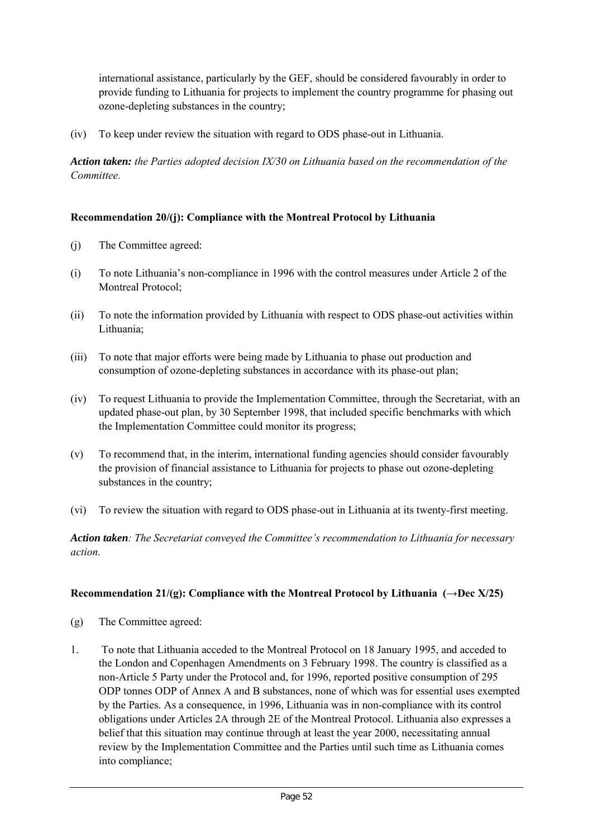international assistance, particularly by the GEF, should be considered favourably in order to provide funding to Lithuania for projects to implement the country programme for phasing out ozone-depleting substances in the country;

(iv) To keep under review the situation with regard to ODS phase-out in Lithuania.

*Action taken: the Parties adopted decision IX/30 on Lithuania based on the recommendation of the Committee.*

## **Recommendation 20/(j): Compliance with the Montreal Protocol by Lithuania**

- (j) The Committee agreed:
- (i) To note Lithuania's non-compliance in 1996 with the control measures under Article 2 of the Montreal Protocol;
- (ii) To note the information provided by Lithuania with respect to ODS phase-out activities within Lithuania;
- (iii) To note that major efforts were being made by Lithuania to phase out production and consumption of ozone-depleting substances in accordance with its phase-out plan;
- (iv) To request Lithuania to provide the Implementation Committee, through the Secretariat, with an updated phase-out plan, by 30 September 1998, that included specific benchmarks with which the Implementation Committee could monitor its progress;
- (v) To recommend that, in the interim, international funding agencies should consider favourably the provision of financial assistance to Lithuania for projects to phase out ozone-depleting substances in the country;
- (vi) To review the situation with regard to ODS phase-out in Lithuania at its twenty-first meeting.

*Action taken: The Secretariat conveyed the Committee's recommendation to Lithuania for necessary action.*

## **Recommendation 21/(g): Compliance with the Montreal Protocol by Lithuania (** $\rightarrow$ **Dec X/25)**

- (g) The Committee agreed:
- 1. To note that Lithuania acceded to the Montreal Protocol on 18 January 1995, and acceded to the London and Copenhagen Amendments on 3 February 1998. The country is classified as a non-Article 5 Party under the Protocol and, for 1996, reported positive consumption of 295 ODP tonnes ODP of Annex A and B substances, none of which was for essential uses exempted by the Parties. As a consequence, in 1996, Lithuania was in non-compliance with its control obligations under Articles 2A through 2E of the Montreal Protocol. Lithuania also expresses a belief that this situation may continue through at least the year 2000, necessitating annual review by the Implementation Committee and the Parties until such time as Lithuania comes into compliance;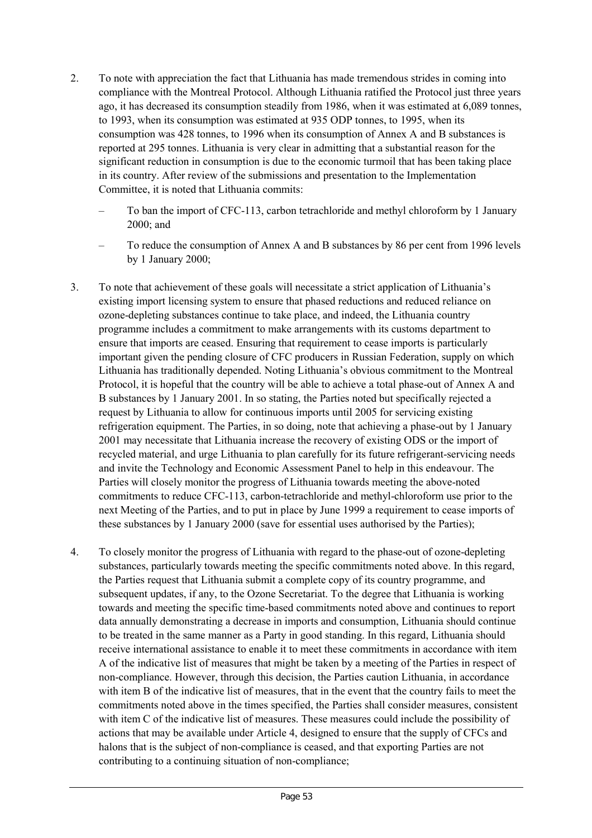- 2. To note with appreciation the fact that Lithuania has made tremendous strides in coming into compliance with the Montreal Protocol. Although Lithuania ratified the Protocol just three years ago, it has decreased its consumption steadily from 1986, when it was estimated at 6,089 tonnes, to 1993, when its consumption was estimated at 935 ODP tonnes, to 1995, when its consumption was 428 tonnes, to 1996 when its consumption of Annex A and B substances is reported at 295 tonnes. Lithuania is very clear in admitting that a substantial reason for the significant reduction in consumption is due to the economic turmoil that has been taking place in its country. After review of the submissions and presentation to the Implementation Committee, it is noted that Lithuania commits:
	- To ban the import of CFC-113, carbon tetrachloride and methyl chloroform by 1 January 2000; and
	- To reduce the consumption of Annex A and B substances by 86 per cent from 1996 levels by 1 January 2000;
- 3. To note that achievement of these goals will necessitate a strict application of Lithuania's existing import licensing system to ensure that phased reductions and reduced reliance on ozone-depleting substances continue to take place, and indeed, the Lithuania country programme includes a commitment to make arrangements with its customs department to ensure that imports are ceased. Ensuring that requirement to cease imports is particularly important given the pending closure of CFC producers in Russian Federation, supply on which Lithuania has traditionally depended. Noting Lithuania's obvious commitment to the Montreal Protocol, it is hopeful that the country will be able to achieve a total phase-out of Annex A and B substances by 1 January 2001. In so stating, the Parties noted but specifically rejected a request by Lithuania to allow for continuous imports until 2005 for servicing existing refrigeration equipment. The Parties, in so doing, note that achieving a phase-out by 1 January 2001 may necessitate that Lithuania increase the recovery of existing ODS or the import of recycled material, and urge Lithuania to plan carefully for its future refrigerant-servicing needs and invite the Technology and Economic Assessment Panel to help in this endeavour. The Parties will closely monitor the progress of Lithuania towards meeting the above-noted commitments to reduce CFC-113, carbon-tetrachloride and methyl-chloroform use prior to the next Meeting of the Parties, and to put in place by June 1999 a requirement to cease imports of these substances by 1 January 2000 (save for essential uses authorised by the Parties);
- 4. To closely monitor the progress of Lithuania with regard to the phase-out of ozone-depleting substances, particularly towards meeting the specific commitments noted above. In this regard, the Parties request that Lithuania submit a complete copy of its country programme, and subsequent updates, if any, to the Ozone Secretariat. To the degree that Lithuania is working towards and meeting the specific time-based commitments noted above and continues to report data annually demonstrating a decrease in imports and consumption, Lithuania should continue to be treated in the same manner as a Party in good standing. In this regard, Lithuania should receive international assistance to enable it to meet these commitments in accordance with item A of the indicative list of measures that might be taken by a meeting of the Parties in respect of non-compliance. However, through this decision, the Parties caution Lithuania, in accordance with item B of the indicative list of measures, that in the event that the country fails to meet the commitments noted above in the times specified, the Parties shall consider measures, consistent with item C of the indicative list of measures. These measures could include the possibility of actions that may be available under Article 4, designed to ensure that the supply of CFCs and halons that is the subject of non-compliance is ceased, and that exporting Parties are not contributing to a continuing situation of non-compliance;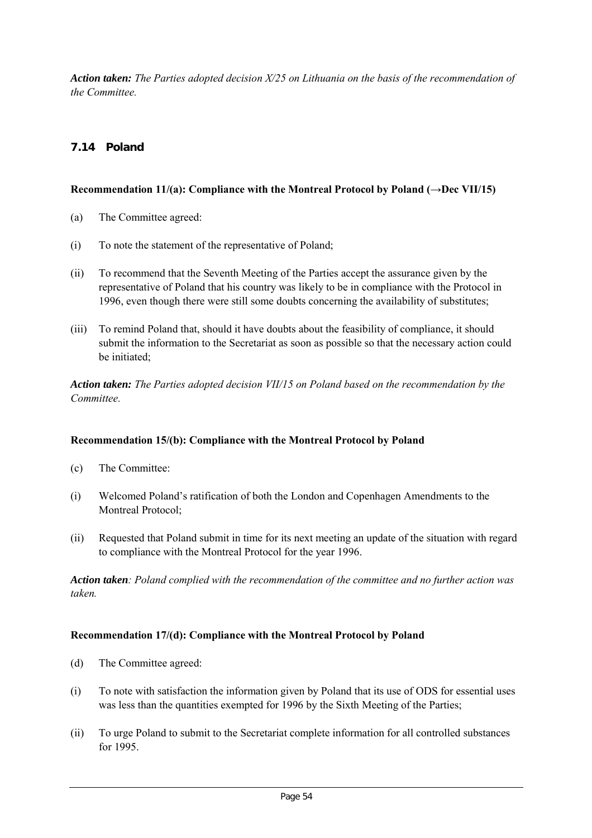*Action taken: The Parties adopted decision X/25 on Lithuania on the basis of the recommendation of the Committee.*

# **7.14 Poland**

## Recommendation 11/(a): Compliance with the Montreal Protocol by Poland  $(\rightarrow$ Dec VII/15)

- (a) The Committee agreed:
- (i) To note the statement of the representative of Poland;
- (ii) To recommend that the Seventh Meeting of the Parties accept the assurance given by the representative of Poland that his country was likely to be in compliance with the Protocol in 1996, even though there were still some doubts concerning the availability of substitutes;
- (iii) To remind Poland that, should it have doubts about the feasibility of compliance, it should submit the information to the Secretariat as soon as possible so that the necessary action could be initiated;

*Action taken: The Parties adopted decision VII/15 on Poland based on the recommendation by the Committee.*

## **Recommendation 15/(b): Compliance with the Montreal Protocol by Poland**

- (c) The Committee:
- (i) Welcomed Poland's ratification of both the London and Copenhagen Amendments to the Montreal Protocol;
- (ii) Requested that Poland submit in time for its next meeting an update of the situation with regard to compliance with the Montreal Protocol for the year 1996.

*Action taken: Poland complied with the recommendation of the committee and no further action was taken.*

#### **Recommendation 17/(d): Compliance with the Montreal Protocol by Poland**

- (d) The Committee agreed:
- (i) To note with satisfaction the information given by Poland that its use of ODS for essential uses was less than the quantities exempted for 1996 by the Sixth Meeting of the Parties;
- (ii) To urge Poland to submit to the Secretariat complete information for all controlled substances for 1995.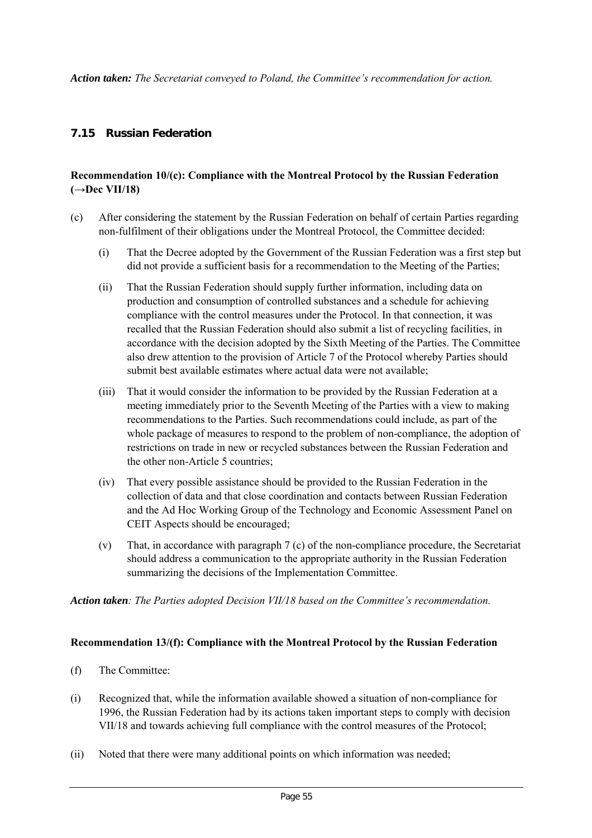*Action taken: The Secretariat conveyed to Poland, the Committee's recommendation for action.*

## **7.15 Russian Federation**

## **Recommendation 10/(c): Compliance with the Montreal Protocol by the Russian Federation (→Dec VII/18)**

- (c) After considering the statement by the Russian Federation on behalf of certain Parties regarding non-fulfilment of their obligations under the Montreal Protocol, the Committee decided:
	- (i) That the Decree adopted by the Government of the Russian Federation was a first step but did not provide a sufficient basis for a recommendation to the Meeting of the Parties;
	- (ii) That the Russian Federation should supply further information, including data on production and consumption of controlled substances and a schedule for achieving compliance with the control measures under the Protocol. In that connection, it was recalled that the Russian Federation should also submit a list of recycling facilities, in accordance with the decision adopted by the Sixth Meeting of the Parties. The Committee also drew attention to the provision of Article 7 of the Protocol whereby Parties should submit best available estimates where actual data were not available;
	- (iii) That it would consider the information to be provided by the Russian Federation at a meeting immediately prior to the Seventh Meeting of the Parties with a view to making recommendations to the Parties. Such recommendations could include, as part of the whole package of measures to respond to the problem of non-compliance, the adoption of restrictions on trade in new or recycled substances between the Russian Federation and the other non-Article 5 countries;
	- (iv) That every possible assistance should be provided to the Russian Federation in the collection of data and that close coordination and contacts between Russian Federation and the Ad Hoc Working Group of the Technology and Economic Assessment Panel on CEIT Aspects should be encouraged;
	- (v) That, in accordance with paragraph 7 (c) of the non-compliance procedure, the Secretariat should address a communication to the appropriate authority in the Russian Federation summarizing the decisions of the Implementation Committee.

*Action taken: The Parties adopted Decision VII/18 based on the Committee's recommendation.*

#### **Recommendation 13/(f): Compliance with the Montreal Protocol by the Russian Federation**

- (f) The Committee:
- (i) Recognized that, while the information available showed a situation of non-compliance for 1996, the Russian Federation had by its actions taken important steps to comply with decision VII/18 and towards achieving full compliance with the control measures of the Protocol;
- (ii) Noted that there were many additional points on which information was needed;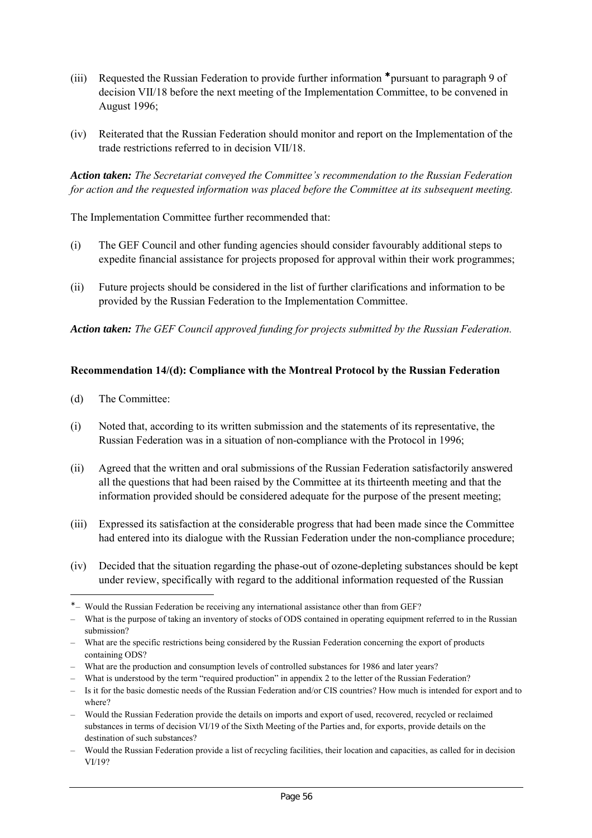- (iii) Requested the Russian Federation to provide further information \* pursuant to paragraph 9 of decision VII/18 before the next meeting of the Implementation Committee, to be convened in August 1996;
- (iv) Reiterated that the Russian Federation should monitor and report on the Implementation of the trade restrictions referred to in decision VII/18.

*Action taken: The Secretariat conveyed the Committee's recommendation to the Russian Federation for action and the requested information was placed before the Committee at its subsequent meeting.*

The Implementation Committee further recommended that:

- (i) The GEF Council and other funding agencies should consider favourably additional steps to expedite financial assistance for projects proposed for approval within their work programmes;
- (ii) Future projects should be considered in the list of further clarifications and information to be provided by the Russian Federation to the Implementation Committee.

*Action taken: The GEF Council approved funding for projects submitted by the Russian Federation.*

#### **Recommendation 14/(d): Compliance with the Montreal Protocol by the Russian Federation**

(d) The Committee:

 $\overline{a}$ 

- (i) Noted that, according to its written submission and the statements of its representative, the Russian Federation was in a situation of non-compliance with the Protocol in 1996;
- (ii) Agreed that the written and oral submissions of the Russian Federation satisfactorily answered all the questions that had been raised by the Committee at its thirteenth meeting and that the information provided should be considered adequate for the purpose of the present meeting;
- (iii) Expressed its satisfaction at the considerable progress that had been made since the Committee had entered into its dialogue with the Russian Federation under the non-compliance procedure;
- (iv) Decided that the situation regarding the phase-out of ozone-depleting substances should be kept under review, specifically with regard to the additional information requested of the Russian

<sup>∗</sup> – Would the Russian Federation be receiving any international assistance other than from GEF?

<sup>–</sup> What is the purpose of taking an inventory of stocks of ODS contained in operating equipment referred to in the Russian submission?

<sup>–</sup> What are the specific restrictions being considered by the Russian Federation concerning the export of products containing ODS?

<sup>–</sup> What are the production and consumption levels of controlled substances for 1986 and later years?

<sup>–</sup> What is understood by the term "required production" in appendix 2 to the letter of the Russian Federation?

<sup>–</sup> Is it for the basic domestic needs of the Russian Federation and/or CIS countries? How much is intended for export and to where?

<sup>–</sup> Would the Russian Federation provide the details on imports and export of used, recovered, recycled or reclaimed substances in terms of decision VI/19 of the Sixth Meeting of the Parties and, for exports, provide details on the destination of such substances?

<sup>–</sup> Would the Russian Federation provide a list of recycling facilities, their location and capacities, as called for in decision VI/19?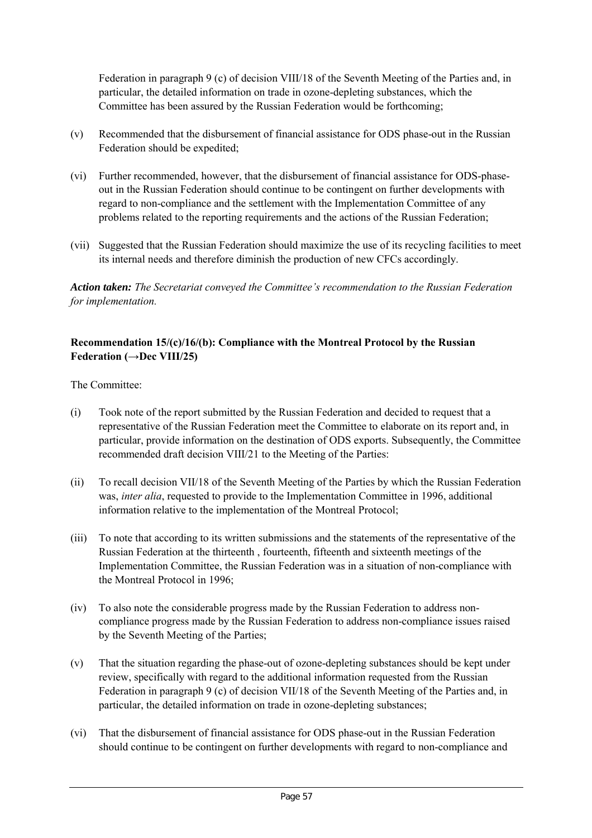Federation in paragraph 9 (c) of decision VIII/18 of the Seventh Meeting of the Parties and, in particular, the detailed information on trade in ozone-depleting substances, which the Committee has been assured by the Russian Federation would be forthcoming;

- (v) Recommended that the disbursement of financial assistance for ODS phase-out in the Russian Federation should be expedited;
- (vi) Further recommended, however, that the disbursement of financial assistance for ODS-phaseout in the Russian Federation should continue to be contingent on further developments with regard to non-compliance and the settlement with the Implementation Committee of any problems related to the reporting requirements and the actions of the Russian Federation;
- (vii) Suggested that the Russian Federation should maximize the use of its recycling facilities to meet its internal needs and therefore diminish the production of new CFCs accordingly.

*Action taken: The Secretariat conveyed the Committee's recommendation to the Russian Federation for implementation.*

## **Recommendation 15/(c)/16/(b): Compliance with the Montreal Protocol by the Russian Federation (→Dec VIII/25)**

The Committee:

- (i) Took note of the report submitted by the Russian Federation and decided to request that a representative of the Russian Federation meet the Committee to elaborate on its report and, in particular, provide information on the destination of ODS exports. Subsequently, the Committee recommended draft decision VIII/21 to the Meeting of the Parties:
- (ii) To recall decision VII/18 of the Seventh Meeting of the Parties by which the Russian Federation was, *inter alia*, requested to provide to the Implementation Committee in 1996, additional information relative to the implementation of the Montreal Protocol;
- (iii) To note that according to its written submissions and the statements of the representative of the Russian Federation at the thirteenth , fourteenth, fifteenth and sixteenth meetings of the Implementation Committee, the Russian Federation was in a situation of non-compliance with the Montreal Protocol in 1996;
- (iv) To also note the considerable progress made by the Russian Federation to address noncompliance progress made by the Russian Federation to address non-compliance issues raised by the Seventh Meeting of the Parties;
- (v) That the situation regarding the phase-out of ozone-depleting substances should be kept under review, specifically with regard to the additional information requested from the Russian Federation in paragraph 9 (c) of decision VII/18 of the Seventh Meeting of the Parties and, in particular, the detailed information on trade in ozone-depleting substances;
- (vi) That the disbursement of financial assistance for ODS phase-out in the Russian Federation should continue to be contingent on further developments with regard to non-compliance and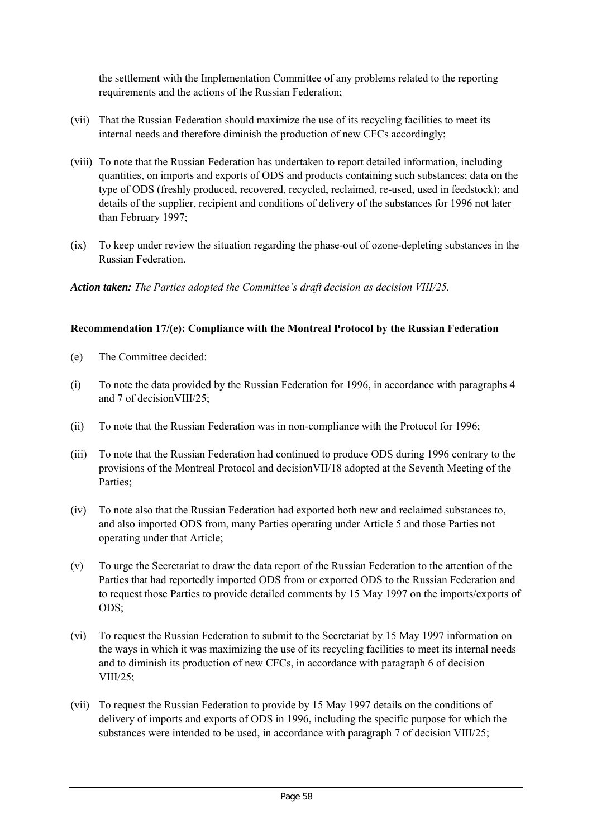the settlement with the Implementation Committee of any problems related to the reporting requirements and the actions of the Russian Federation;

- (vii) That the Russian Federation should maximize the use of its recycling facilities to meet its internal needs and therefore diminish the production of new CFCs accordingly;
- (viii) To note that the Russian Federation has undertaken to report detailed information, including quantities, on imports and exports of ODS and products containing such substances; data on the type of ODS (freshly produced, recovered, recycled, reclaimed, re-used, used in feedstock); and details of the supplier, recipient and conditions of delivery of the substances for 1996 not later than February 1997;
- (ix) To keep under review the situation regarding the phase-out of ozone-depleting substances in the Russian Federation.

*Action taken: The Parties adopted the Committee's draft decision as decision VIII/25.*

## **Recommendation 17/(e): Compliance with the Montreal Protocol by the Russian Federation**

- (e) The Committee decided:
- (i) To note the data provided by the Russian Federation for 1996, in accordance with paragraphs 4 and 7 of decisionVIII/25;
- (ii) To note that the Russian Federation was in non-compliance with the Protocol for 1996;
- (iii) To note that the Russian Federation had continued to produce ODS during 1996 contrary to the provisions of the Montreal Protocol and decisionVII/18 adopted at the Seventh Meeting of the Parties;
- (iv) To note also that the Russian Federation had exported both new and reclaimed substances to, and also imported ODS from, many Parties operating under Article 5 and those Parties not operating under that Article;
- (v) To urge the Secretariat to draw the data report of the Russian Federation to the attention of the Parties that had reportedly imported ODS from or exported ODS to the Russian Federation and to request those Parties to provide detailed comments by 15 May 1997 on the imports/exports of ODS;
- (vi) To request the Russian Federation to submit to the Secretariat by 15 May 1997 information on the ways in which it was maximizing the use of its recycling facilities to meet its internal needs and to diminish its production of new CFCs, in accordance with paragraph 6 of decision VIII/25;
- (vii) To request the Russian Federation to provide by 15 May 1997 details on the conditions of delivery of imports and exports of ODS in 1996, including the specific purpose for which the substances were intended to be used, in accordance with paragraph 7 of decision VIII/25;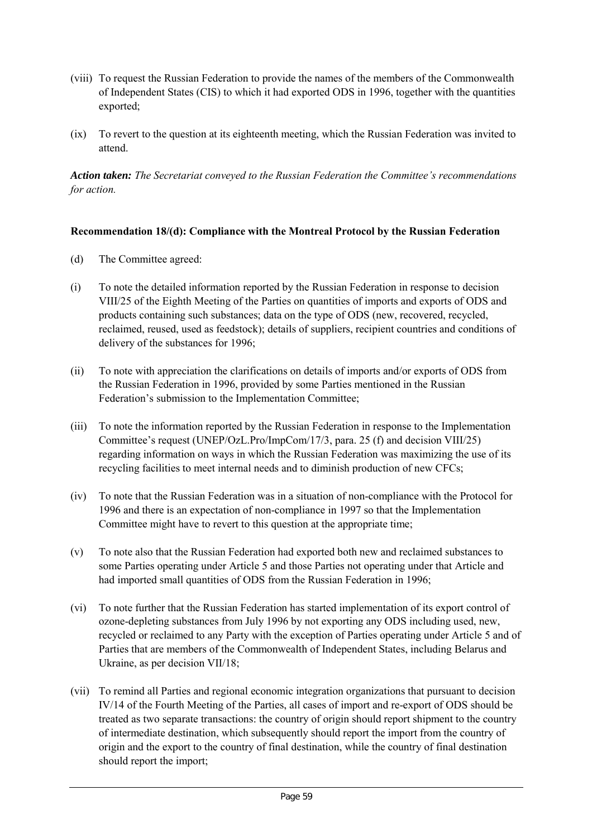- (viii) To request the Russian Federation to provide the names of the members of the Commonwealth of Independent States (CIS) to which it had exported ODS in 1996, together with the quantities exported;
- (ix) To revert to the question at its eighteenth meeting, which the Russian Federation was invited to attend.

*Action taken: The Secretariat conveyed to the Russian Federation the Committee's recommendations for action.*

## **Recommendation 18/(d): Compliance with the Montreal Protocol by the Russian Federation**

- (d) The Committee agreed:
- (i) To note the detailed information reported by the Russian Federation in response to decision VIII/25 of the Eighth Meeting of the Parties on quantities of imports and exports of ODS and products containing such substances; data on the type of ODS (new, recovered, recycled, reclaimed, reused, used as feedstock); details of suppliers, recipient countries and conditions of delivery of the substances for 1996;
- (ii) To note with appreciation the clarifications on details of imports and/or exports of ODS from the Russian Federation in 1996, provided by some Parties mentioned in the Russian Federation's submission to the Implementation Committee;
- (iii) To note the information reported by the Russian Federation in response to the Implementation Committee's request (UNEP/OzL.Pro/ImpCom/17/3, para. 25 (f) and decision VIII/25) regarding information on ways in which the Russian Federation was maximizing the use of its recycling facilities to meet internal needs and to diminish production of new CFCs;
- (iv) To note that the Russian Federation was in a situation of non-compliance with the Protocol for 1996 and there is an expectation of non-compliance in 1997 so that the Implementation Committee might have to revert to this question at the appropriate time;
- (v) To note also that the Russian Federation had exported both new and reclaimed substances to some Parties operating under Article 5 and those Parties not operating under that Article and had imported small quantities of ODS from the Russian Federation in 1996;
- (vi) To note further that the Russian Federation has started implementation of its export control of ozone-depleting substances from July 1996 by not exporting any ODS including used, new, recycled or reclaimed to any Party with the exception of Parties operating under Article 5 and of Parties that are members of the Commonwealth of Independent States, including Belarus and Ukraine, as per decision VII/18;
- (vii) To remind all Parties and regional economic integration organizations that pursuant to decision IV/14 of the Fourth Meeting of the Parties, all cases of import and re-export of ODS should be treated as two separate transactions: the country of origin should report shipment to the country of intermediate destination, which subsequently should report the import from the country of origin and the export to the country of final destination, while the country of final destination should report the import;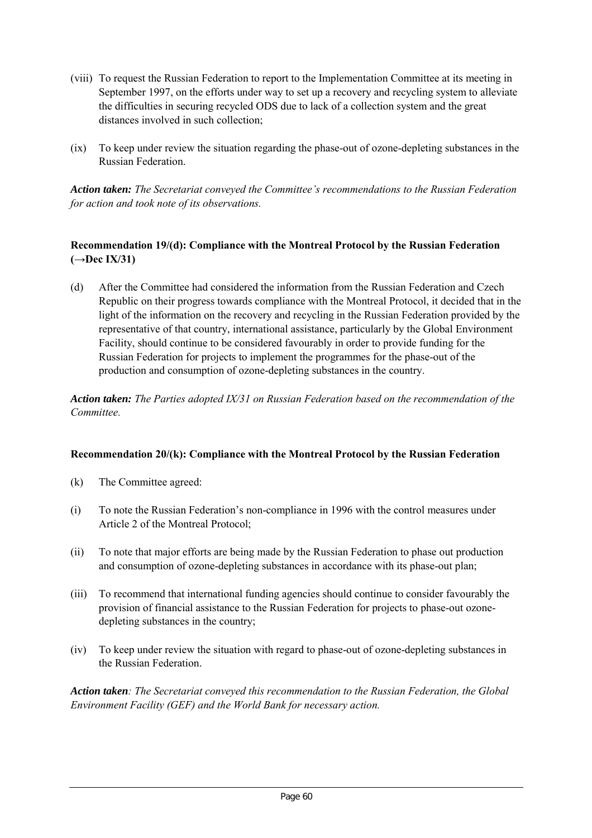- (viii) To request the Russian Federation to report to the Implementation Committee at its meeting in September 1997, on the efforts under way to set up a recovery and recycling system to alleviate the difficulties in securing recycled ODS due to lack of a collection system and the great distances involved in such collection;
- (ix) To keep under review the situation regarding the phase-out of ozone-depleting substances in the Russian Federation.

*Action taken: The Secretariat conveyed the Committee's recommendations to the Russian Federation for action and took note of its observations.*

## **Recommendation 19/(d): Compliance with the Montreal Protocol by the Russian Federation (→Dec IX/31)**

(d) After the Committee had considered the information from the Russian Federation and Czech Republic on their progress towards compliance with the Montreal Protocol, it decided that in the light of the information on the recovery and recycling in the Russian Federation provided by the representative of that country, international assistance, particularly by the Global Environment Facility, should continue to be considered favourably in order to provide funding for the Russian Federation for projects to implement the programmes for the phase-out of the production and consumption of ozone-depleting substances in the country.

*Action taken: The Parties adopted IX/31 on Russian Federation based on the recommendation of the Committee.*

## **Recommendation 20/(k): Compliance with the Montreal Protocol by the Russian Federation**

- (k) The Committee agreed:
- (i) To note the Russian Federation's non-compliance in 1996 with the control measures under Article 2 of the Montreal Protocol;
- (ii) To note that major efforts are being made by the Russian Federation to phase out production and consumption of ozone-depleting substances in accordance with its phase-out plan;
- (iii) To recommend that international funding agencies should continue to consider favourably the provision of financial assistance to the Russian Federation for projects to phase-out ozonedepleting substances in the country;
- (iv) To keep under review the situation with regard to phase-out of ozone-depleting substances in the Russian Federation.

*Action taken: The Secretariat conveyed this recommendation to the Russian Federation, the Global Environment Facility (GEF) and the World Bank for necessary action.*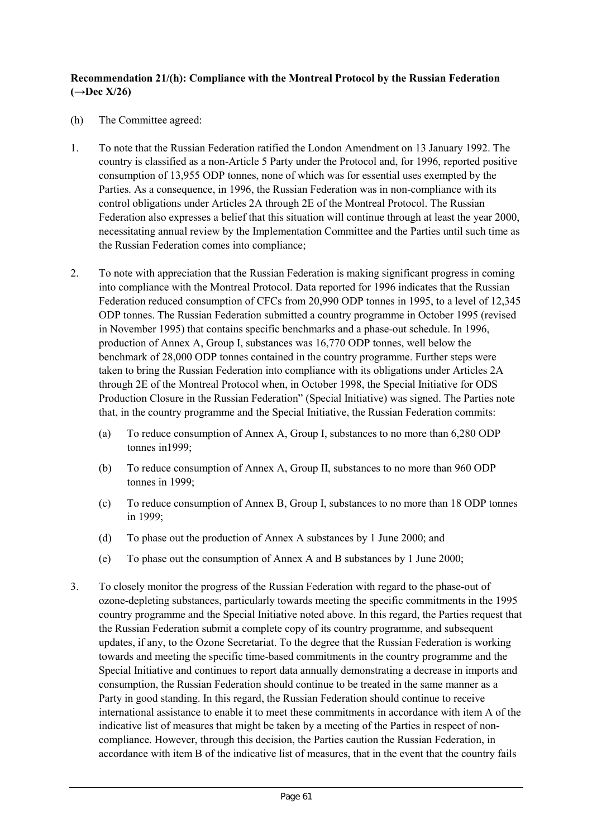## **Recommendation 21/(h): Compliance with the Montreal Protocol by the Russian Federation (→Dec X/26)**

- (h) The Committee agreed:
- 1. To note that the Russian Federation ratified the London Amendment on 13 January 1992. The country is classified as a non-Article 5 Party under the Protocol and, for 1996, reported positive consumption of 13,955 ODP tonnes, none of which was for essential uses exempted by the Parties. As a consequence, in 1996, the Russian Federation was in non-compliance with its control obligations under Articles 2A through 2E of the Montreal Protocol. The Russian Federation also expresses a belief that this situation will continue through at least the year 2000, necessitating annual review by the Implementation Committee and the Parties until such time as the Russian Federation comes into compliance;
- 2. To note with appreciation that the Russian Federation is making significant progress in coming into compliance with the Montreal Protocol. Data reported for 1996 indicates that the Russian Federation reduced consumption of CFCs from 20,990 ODP tonnes in 1995, to a level of 12,345 ODP tonnes. The Russian Federation submitted a country programme in October 1995 (revised in November 1995) that contains specific benchmarks and a phase-out schedule. In 1996, production of Annex A, Group I, substances was 16,770 ODP tonnes, well below the benchmark of 28,000 ODP tonnes contained in the country programme. Further steps were taken to bring the Russian Federation into compliance with its obligations under Articles 2A through 2E of the Montreal Protocol when, in October 1998, the Special Initiative for ODS Production Closure in the Russian Federation" (Special Initiative) was signed. The Parties note that, in the country programme and the Special Initiative, the Russian Federation commits:
	- (a) To reduce consumption of Annex A, Group I, substances to no more than 6,280 ODP tonnes in1999;
	- (b) To reduce consumption of Annex A, Group II, substances to no more than 960 ODP tonnes in 1999;
	- (c) To reduce consumption of Annex B, Group I, substances to no more than 18 ODP tonnes in 1999;
	- (d) To phase out the production of Annex A substances by 1 June 2000; and
	- (e) To phase out the consumption of Annex A and B substances by 1 June 2000;
- 3. To closely monitor the progress of the Russian Federation with regard to the phase-out of ozone-depleting substances, particularly towards meeting the specific commitments in the 1995 country programme and the Special Initiative noted above. In this regard, the Parties request that the Russian Federation submit a complete copy of its country programme, and subsequent updates, if any, to the Ozone Secretariat. To the degree that the Russian Federation is working towards and meeting the specific time-based commitments in the country programme and the Special Initiative and continues to report data annually demonstrating a decrease in imports and consumption, the Russian Federation should continue to be treated in the same manner as a Party in good standing. In this regard, the Russian Federation should continue to receive international assistance to enable it to meet these commitments in accordance with item A of the indicative list of measures that might be taken by a meeting of the Parties in respect of noncompliance. However, through this decision, the Parties caution the Russian Federation, in accordance with item B of the indicative list of measures, that in the event that the country fails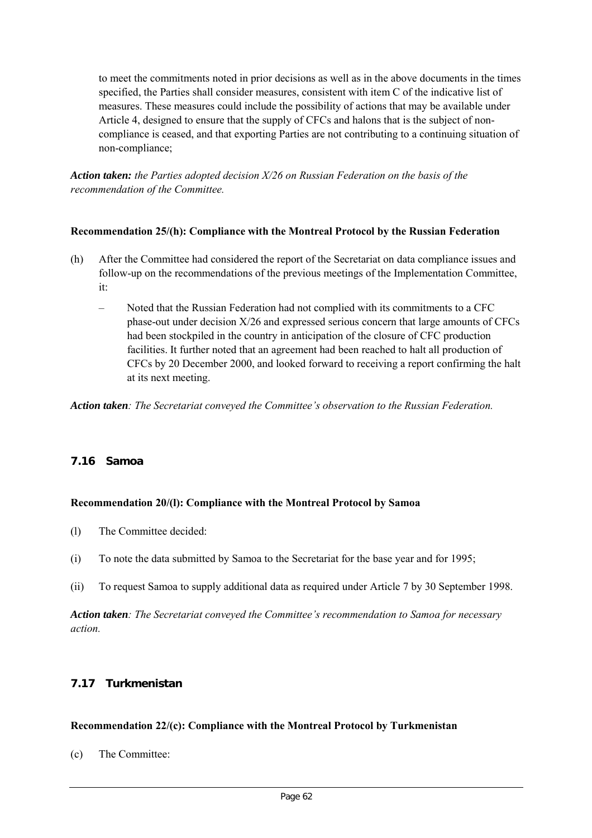to meet the commitments noted in prior decisions as well as in the above documents in the times specified, the Parties shall consider measures, consistent with item C of the indicative list of measures. These measures could include the possibility of actions that may be available under Article 4, designed to ensure that the supply of CFCs and halons that is the subject of noncompliance is ceased, and that exporting Parties are not contributing to a continuing situation of non-compliance;

*Action taken: the Parties adopted decision X/26 on Russian Federation on the basis of the recommendation of the Committee.*

## **Recommendation 25/(h): Compliance with the Montreal Protocol by the Russian Federation**

- (h) After the Committee had considered the report of the Secretariat on data compliance issues and follow-up on the recommendations of the previous meetings of the Implementation Committee, it:
	- Noted that the Russian Federation had not complied with its commitments to a CFC phase-out under decision X/26 and expressed serious concern that large amounts of CFCs had been stockpiled in the country in anticipation of the closure of CFC production facilities. It further noted that an agreement had been reached to halt all production of CFCs by 20 December 2000, and looked forward to receiving a report confirming the halt at its next meeting.

*Action taken: The Secretariat conveyed the Committee's observation to the Russian Federation.*

## **7.16 Samoa**

## **Recommendation 20/(l): Compliance with the Montreal Protocol by Samoa**

- (l) The Committee decided:
- (i) To note the data submitted by Samoa to the Secretariat for the base year and for 1995;
- (ii) To request Samoa to supply additional data as required under Article 7 by 30 September 1998.

*Action taken: The Secretariat conveyed the Committee's recommendation to Samoa for necessary action.*

## **7.17 Turkmenistan**

## **Recommendation 22/(c): Compliance with the Montreal Protocol by Turkmenistan**

(c) The Committee: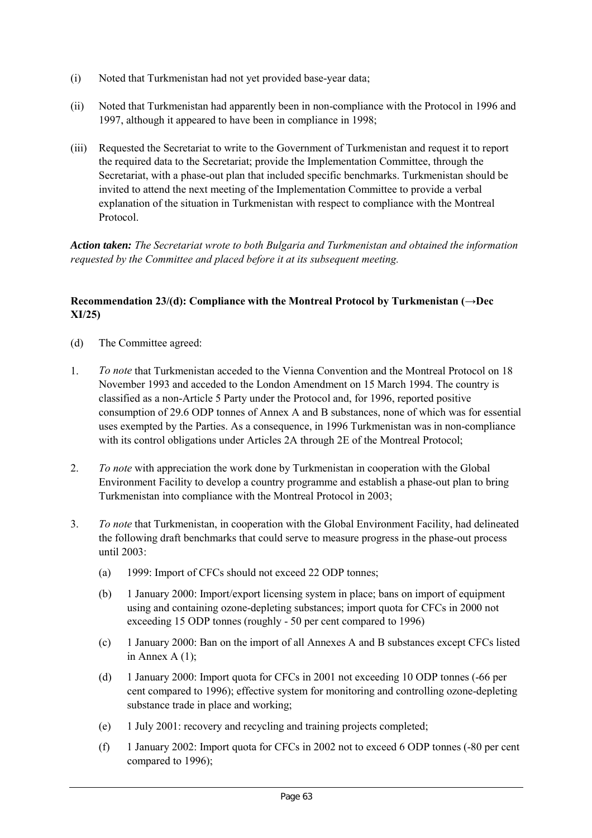- (i) Noted that Turkmenistan had not yet provided base-year data;
- (ii) Noted that Turkmenistan had apparently been in non-compliance with the Protocol in 1996 and 1997, although it appeared to have been in compliance in 1998;
- (iii) Requested the Secretariat to write to the Government of Turkmenistan and request it to report the required data to the Secretariat; provide the Implementation Committee, through the Secretariat, with a phase-out plan that included specific benchmarks. Turkmenistan should be invited to attend the next meeting of the Implementation Committee to provide a verbal explanation of the situation in Turkmenistan with respect to compliance with the Montreal Protocol.

*Action taken: The Secretariat wrote to both Bulgaria and Turkmenistan and obtained the information requested by the Committee and placed before it at its subsequent meeting.*

## **Recommendation 23/(d): Compliance with the Montreal Protocol by Turkmenistan (→Dec XI/25)**

- (d) The Committee agreed:
- 1. *To note* that Turkmenistan acceded to the Vienna Convention and the Montreal Protocol on 18 November 1993 and acceded to the London Amendment on 15 March 1994. The country is classified as a non-Article 5 Party under the Protocol and, for 1996, reported positive consumption of 29.6 ODP tonnes of Annex A and B substances, none of which was for essential uses exempted by the Parties. As a consequence, in 1996 Turkmenistan was in non-compliance with its control obligations under Articles 2A through 2E of the Montreal Protocol;
- 2. *To note* with appreciation the work done by Turkmenistan in cooperation with the Global Environment Facility to develop a country programme and establish a phase-out plan to bring Turkmenistan into compliance with the Montreal Protocol in 2003;
- 3. *To note* that Turkmenistan, in cooperation with the Global Environment Facility, had delineated the following draft benchmarks that could serve to measure progress in the phase-out process until 2003:
	- (a) 1999: Import of CFCs should not exceed 22 ODP tonnes;
	- (b) 1 January 2000: Import/export licensing system in place; bans on import of equipment using and containing ozone-depleting substances; import quota for CFCs in 2000 not exceeding 15 ODP tonnes (roughly - 50 per cent compared to 1996)
	- (c) 1 January 2000: Ban on the import of all Annexes A and B substances except CFCs listed in Annex A (1);
	- (d) 1 January 2000: Import quota for CFCs in 2001 not exceeding 10 ODP tonnes (-66 per cent compared to 1996); effective system for monitoring and controlling ozone-depleting substance trade in place and working;
	- (e) 1 July 2001: recovery and recycling and training projects completed;
	- (f) 1 January 2002: Import quota for CFCs in 2002 not to exceed 6 ODP tonnes (-80 per cent compared to 1996);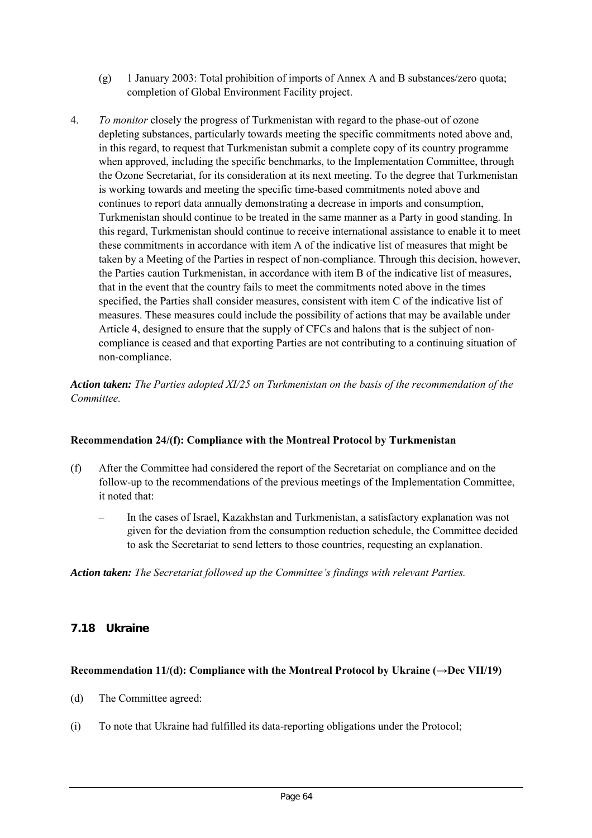- (g) 1 January 2003: Total prohibition of imports of Annex A and B substances/zero quota; completion of Global Environment Facility project.
- 4. *To monitor* closely the progress of Turkmenistan with regard to the phase-out of ozone depleting substances, particularly towards meeting the specific commitments noted above and, in this regard, to request that Turkmenistan submit a complete copy of its country programme when approved, including the specific benchmarks, to the Implementation Committee, through the Ozone Secretariat, for its consideration at its next meeting. To the degree that Turkmenistan is working towards and meeting the specific time-based commitments noted above and continues to report data annually demonstrating a decrease in imports and consumption, Turkmenistan should continue to be treated in the same manner as a Party in good standing. In this regard, Turkmenistan should continue to receive international assistance to enable it to meet these commitments in accordance with item A of the indicative list of measures that might be taken by a Meeting of the Parties in respect of non-compliance. Through this decision, however, the Parties caution Turkmenistan, in accordance with item B of the indicative list of measures, that in the event that the country fails to meet the commitments noted above in the times specified, the Parties shall consider measures, consistent with item C of the indicative list of measures. These measures could include the possibility of actions that may be available under Article 4, designed to ensure that the supply of CFCs and halons that is the subject of noncompliance is ceased and that exporting Parties are not contributing to a continuing situation of non-compliance.

*Action taken: The Parties adopted XI/25 on Turkmenistan on the basis of the recommendation of the Committee.*

## **Recommendation 24/(f): Compliance with the Montreal Protocol by Turkmenistan**

- (f) After the Committee had considered the report of the Secretariat on compliance and on the follow-up to the recommendations of the previous meetings of the Implementation Committee, it noted that:
	- In the cases of Israel, Kazakhstan and Turkmenistan, a satisfactory explanation was not given for the deviation from the consumption reduction schedule, the Committee decided to ask the Secretariat to send letters to those countries, requesting an explanation.

*Action taken: The Secretariat followed up the Committee's findings with relevant Parties.*

## **7.18 Ukraine**

## **Recommendation 11/(d): Compliance with the Montreal Protocol by Ukraine (→Dec VII/19)**

- (d) The Committee agreed:
- (i) To note that Ukraine had fulfilled its data-reporting obligations under the Protocol;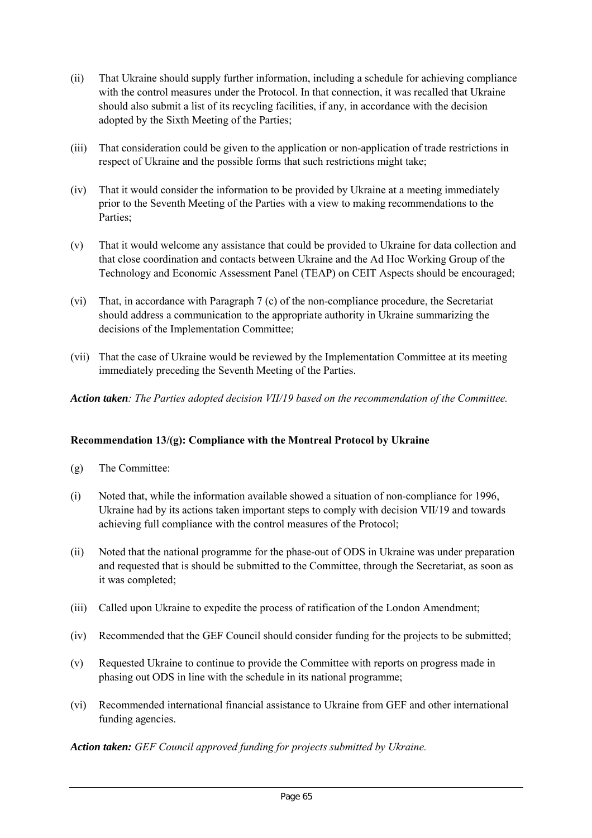- (ii) That Ukraine should supply further information, including a schedule for achieving compliance with the control measures under the Protocol. In that connection, it was recalled that Ukraine should also submit a list of its recycling facilities, if any, in accordance with the decision adopted by the Sixth Meeting of the Parties;
- (iii) That consideration could be given to the application or non-application of trade restrictions in respect of Ukraine and the possible forms that such restrictions might take;
- (iv) That it would consider the information to be provided by Ukraine at a meeting immediately prior to the Seventh Meeting of the Parties with a view to making recommendations to the Parties;
- (v) That it would welcome any assistance that could be provided to Ukraine for data collection and that close coordination and contacts between Ukraine and the Ad Hoc Working Group of the Technology and Economic Assessment Panel (TEAP) on CEIT Aspects should be encouraged;
- (vi) That, in accordance with Paragraph 7 (c) of the non-compliance procedure, the Secretariat should address a communication to the appropriate authority in Ukraine summarizing the decisions of the Implementation Committee;
- (vii) That the case of Ukraine would be reviewed by the Implementation Committee at its meeting immediately preceding the Seventh Meeting of the Parties.

*Action taken: The Parties adopted decision VII/19 based on the recommendation of the Committee.*

## **Recommendation 13/(g): Compliance with the Montreal Protocol by Ukraine**

- (g) The Committee:
- (i) Noted that, while the information available showed a situation of non-compliance for 1996, Ukraine had by its actions taken important steps to comply with decision VII/19 and towards achieving full compliance with the control measures of the Protocol;
- (ii) Noted that the national programme for the phase-out of ODS in Ukraine was under preparation and requested that is should be submitted to the Committee, through the Secretariat, as soon as it was completed;
- (iii) Called upon Ukraine to expedite the process of ratification of the London Amendment;
- (iv) Recommended that the GEF Council should consider funding for the projects to be submitted;
- (v) Requested Ukraine to continue to provide the Committee with reports on progress made in phasing out ODS in line with the schedule in its national programme;
- (vi) Recommended international financial assistance to Ukraine from GEF and other international funding agencies.

*Action taken: GEF Council approved funding for projects submitted by Ukraine.*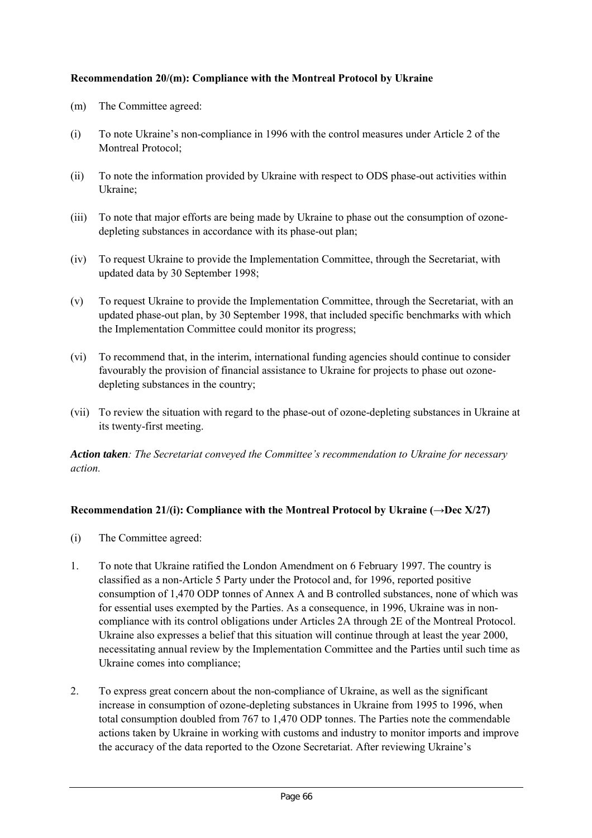## **Recommendation 20/(m): Compliance with the Montreal Protocol by Ukraine**

- (m) The Committee agreed:
- (i) To note Ukraine's non-compliance in 1996 with the control measures under Article 2 of the Montreal Protocol;
- (ii) To note the information provided by Ukraine with respect to ODS phase-out activities within Ukraine;
- (iii) To note that major efforts are being made by Ukraine to phase out the consumption of ozonedepleting substances in accordance with its phase-out plan;
- (iv) To request Ukraine to provide the Implementation Committee, through the Secretariat, with updated data by 30 September 1998;
- (v) To request Ukraine to provide the Implementation Committee, through the Secretariat, with an updated phase-out plan, by 30 September 1998, that included specific benchmarks with which the Implementation Committee could monitor its progress;
- (vi) To recommend that, in the interim, international funding agencies should continue to consider favourably the provision of financial assistance to Ukraine for projects to phase out ozonedepleting substances in the country;
- (vii) To review the situation with regard to the phase-out of ozone-depleting substances in Ukraine at its twenty-first meeting.

*Action taken: The Secretariat conveyed the Committee's recommendation to Ukraine for necessary action.*

## **Recommendation 21/(i): Compliance with the Montreal Protocol by Ukraine (** $\rightarrow$ **Dec X/27)**

- (i) The Committee agreed:
- 1. To note that Ukraine ratified the London Amendment on 6 February 1997. The country is classified as a non-Article 5 Party under the Protocol and, for 1996, reported positive consumption of 1,470 ODP tonnes of Annex A and B controlled substances, none of which was for essential uses exempted by the Parties. As a consequence, in 1996, Ukraine was in noncompliance with its control obligations under Articles 2A through 2E of the Montreal Protocol. Ukraine also expresses a belief that this situation will continue through at least the year 2000, necessitating annual review by the Implementation Committee and the Parties until such time as Ukraine comes into compliance;
- 2. To express great concern about the non-compliance of Ukraine, as well as the significant increase in consumption of ozone-depleting substances in Ukraine from 1995 to 1996, when total consumption doubled from 767 to 1,470 ODP tonnes. The Parties note the commendable actions taken by Ukraine in working with customs and industry to monitor imports and improve the accuracy of the data reported to the Ozone Secretariat. After reviewing Ukraine's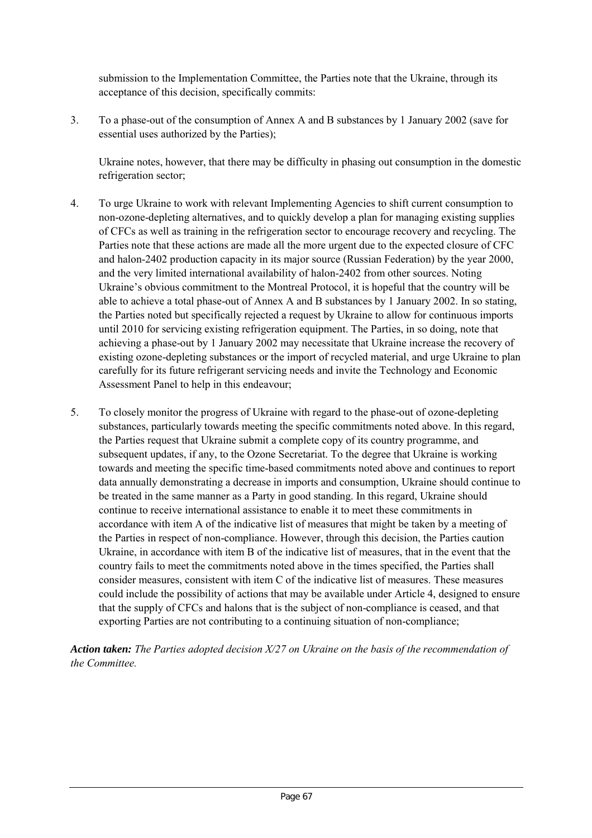submission to the Implementation Committee, the Parties note that the Ukraine, through its acceptance of this decision, specifically commits:

3. To a phase-out of the consumption of Annex A and B substances by 1 January 2002 (save for essential uses authorized by the Parties);

Ukraine notes, however, that there may be difficulty in phasing out consumption in the domestic refrigeration sector;

- 4. To urge Ukraine to work with relevant Implementing Agencies to shift current consumption to non-ozone-depleting alternatives, and to quickly develop a plan for managing existing supplies of CFCs as well as training in the refrigeration sector to encourage recovery and recycling. The Parties note that these actions are made all the more urgent due to the expected closure of CFC and halon-2402 production capacity in its major source (Russian Federation) by the year 2000, and the very limited international availability of halon-2402 from other sources. Noting Ukraine's obvious commitment to the Montreal Protocol, it is hopeful that the country will be able to achieve a total phase-out of Annex A and B substances by 1 January 2002. In so stating, the Parties noted but specifically rejected a request by Ukraine to allow for continuous imports until 2010 for servicing existing refrigeration equipment. The Parties, in so doing, note that achieving a phase-out by 1 January 2002 may necessitate that Ukraine increase the recovery of existing ozone-depleting substances or the import of recycled material, and urge Ukraine to plan carefully for its future refrigerant servicing needs and invite the Technology and Economic Assessment Panel to help in this endeavour;
- 5. To closely monitor the progress of Ukraine with regard to the phase-out of ozone-depleting substances, particularly towards meeting the specific commitments noted above. In this regard, the Parties request that Ukraine submit a complete copy of its country programme, and subsequent updates, if any, to the Ozone Secretariat. To the degree that Ukraine is working towards and meeting the specific time-based commitments noted above and continues to report data annually demonstrating a decrease in imports and consumption, Ukraine should continue to be treated in the same manner as a Party in good standing. In this regard, Ukraine should continue to receive international assistance to enable it to meet these commitments in accordance with item A of the indicative list of measures that might be taken by a meeting of the Parties in respect of non-compliance. However, through this decision, the Parties caution Ukraine, in accordance with item B of the indicative list of measures, that in the event that the country fails to meet the commitments noted above in the times specified, the Parties shall consider measures, consistent with item C of the indicative list of measures. These measures could include the possibility of actions that may be available under Article 4, designed to ensure that the supply of CFCs and halons that is the subject of non-compliance is ceased, and that exporting Parties are not contributing to a continuing situation of non-compliance;

*Action taken: The Parties adopted decision X/27 on Ukraine on the basis of the recommendation of the Committee.*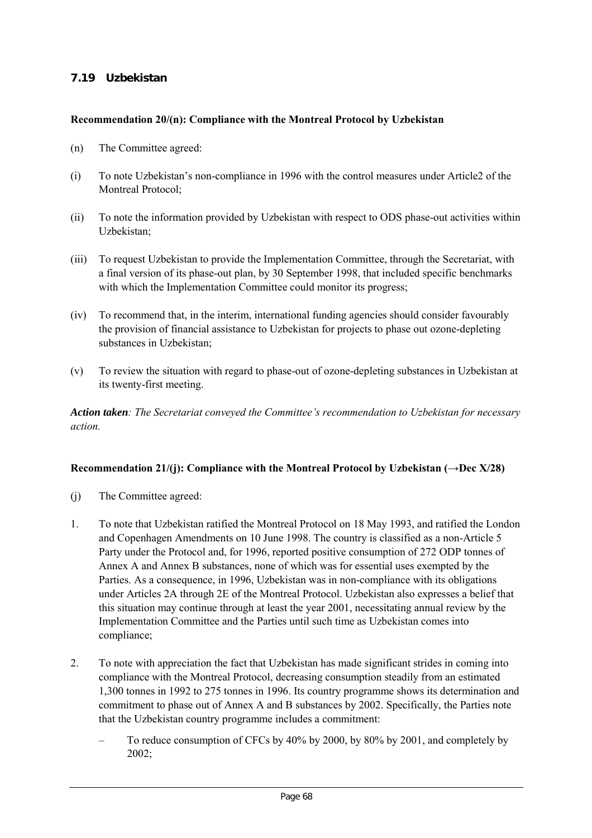# **7.19 Uzbekistan**

#### **Recommendation 20/(n): Compliance with the Montreal Protocol by Uzbekistan**

- (n) The Committee agreed:
- (i) To note Uzbekistan's non-compliance in 1996 with the control measures under Article2 of the Montreal Protocol;
- (ii) To note the information provided by Uzbekistan with respect to ODS phase-out activities within Uzbekistan;
- (iii) To request Uzbekistan to provide the Implementation Committee, through the Secretariat, with a final version of its phase-out plan, by 30 September 1998, that included specific benchmarks with which the Implementation Committee could monitor its progress;
- (iv) To recommend that, in the interim, international funding agencies should consider favourably the provision of financial assistance to Uzbekistan for projects to phase out ozone-depleting substances in Uzbekistan;
- (v) To review the situation with regard to phase-out of ozone-depleting substances in Uzbekistan at its twenty-first meeting.

*Action taken: The Secretariat conveyed the Committee's recommendation to Uzbekistan for necessary action.*

## **Recommendation 21/(j): Compliance with the Montreal Protocol by Uzbekistan (→Dec X/28)**

- (j) The Committee agreed:
- 1. To note that Uzbekistan ratified the Montreal Protocol on 18 May 1993, and ratified the London and Copenhagen Amendments on 10 June 1998. The country is classified as a non-Article 5 Party under the Protocol and, for 1996, reported positive consumption of 272 ODP tonnes of Annex A and Annex B substances, none of which was for essential uses exempted by the Parties. As a consequence, in 1996, Uzbekistan was in non-compliance with its obligations under Articles 2A through 2E of the Montreal Protocol. Uzbekistan also expresses a belief that this situation may continue through at least the year 2001, necessitating annual review by the Implementation Committee and the Parties until such time as Uzbekistan comes into compliance;
- 2. To note with appreciation the fact that Uzbekistan has made significant strides in coming into compliance with the Montreal Protocol, decreasing consumption steadily from an estimated 1,300 tonnes in 1992 to 275 tonnes in 1996. Its country programme shows its determination and commitment to phase out of Annex A and B substances by 2002. Specifically, the Parties note that the Uzbekistan country programme includes a commitment:
	- To reduce consumption of CFCs by 40% by 2000, by 80% by 2001, and completely by 2002;